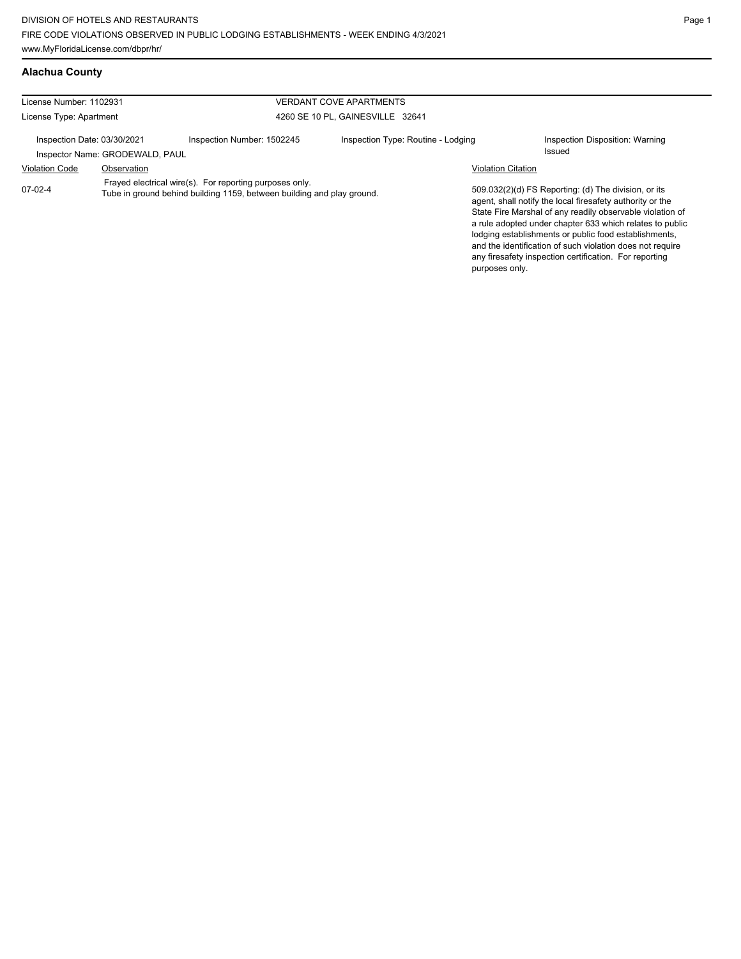## **Alachua County**

| License Number: 1102931     |                                 |                                                                                                                                   | <b>VERDANT COVE APARTMENTS</b>     |                           |                                                                                                                                                                                                                                                                                                                                                                                                                            |
|-----------------------------|---------------------------------|-----------------------------------------------------------------------------------------------------------------------------------|------------------------------------|---------------------------|----------------------------------------------------------------------------------------------------------------------------------------------------------------------------------------------------------------------------------------------------------------------------------------------------------------------------------------------------------------------------------------------------------------------------|
| License Type: Apartment     |                                 |                                                                                                                                   | 4260 SE 10 PL, GAINESVILLE 32641   |                           |                                                                                                                                                                                                                                                                                                                                                                                                                            |
| Inspection Date: 03/30/2021 | Inspector Name: GRODEWALD, PAUL | Inspection Number: 1502245                                                                                                        | Inspection Type: Routine - Lodging |                           | Inspection Disposition: Warning<br>Issued                                                                                                                                                                                                                                                                                                                                                                                  |
| <b>Violation Code</b>       | Observation                     |                                                                                                                                   |                                    | <b>Violation Citation</b> |                                                                                                                                                                                                                                                                                                                                                                                                                            |
| $07-02-4$                   |                                 | Frayed electrical wire(s). For reporting purposes only.<br>Tube in ground behind building 1159, between building and play ground. |                                    | purposes only.            | 509.032(2)(d) FS Reporting: (d) The division, or its<br>agent, shall notify the local firesafety authority or the<br>State Fire Marshal of any readily observable violation of<br>a rule adopted under chapter 633 which relates to public<br>lodging establishments or public food establishments,<br>and the identification of such violation does not require<br>any firesafety inspection certification. For reporting |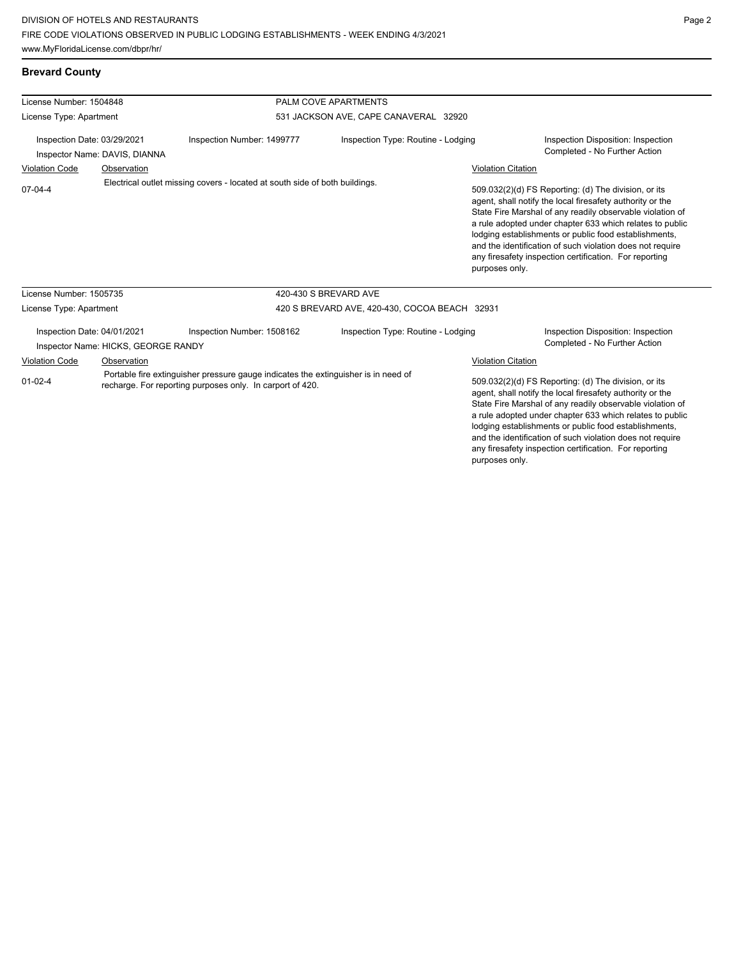## **Brevard County**

| License Number: 1504848                                                                                                                                          |                                                                    |                                                                             | PALM COVE APARTMENTS                  |                                                                                                                                                                                                                                                                                                                                                                                                                            |                                                                                                                                                                                                                                                                                                                                                                                                                            |
|------------------------------------------------------------------------------------------------------------------------------------------------------------------|--------------------------------------------------------------------|-----------------------------------------------------------------------------|---------------------------------------|----------------------------------------------------------------------------------------------------------------------------------------------------------------------------------------------------------------------------------------------------------------------------------------------------------------------------------------------------------------------------------------------------------------------------|----------------------------------------------------------------------------------------------------------------------------------------------------------------------------------------------------------------------------------------------------------------------------------------------------------------------------------------------------------------------------------------------------------------------------|
| License Type: Apartment                                                                                                                                          |                                                                    |                                                                             | 531 JACKSON AVE, CAPE CANAVERAL 32920 |                                                                                                                                                                                                                                                                                                                                                                                                                            |                                                                                                                                                                                                                                                                                                                                                                                                                            |
| Inspection Date: 03/29/2021<br>Inspector Name: DAVIS, DIANNA                                                                                                     |                                                                    | Inspection Number: 1499777                                                  | Inspection Type: Routine - Lodging    |                                                                                                                                                                                                                                                                                                                                                                                                                            | Inspection Disposition: Inspection<br>Completed - No Further Action                                                                                                                                                                                                                                                                                                                                                        |
| <b>Violation Code</b>                                                                                                                                            | Observation                                                        |                                                                             |                                       | <b>Violation Citation</b>                                                                                                                                                                                                                                                                                                                                                                                                  |                                                                                                                                                                                                                                                                                                                                                                                                                            |
| $07 - 04 - 4$                                                                                                                                                    |                                                                    | Electrical outlet missing covers - located at south side of both buildings. |                                       | purposes only.                                                                                                                                                                                                                                                                                                                                                                                                             | 509.032(2)(d) FS Reporting: (d) The division, or its<br>agent, shall notify the local firesafety authority or the<br>State Fire Marshal of any readily observable violation of<br>a rule adopted under chapter 633 which relates to public<br>lodging establishments or public food establishments,<br>and the identification of such violation does not require<br>any firesafety inspection certification. For reporting |
| License Number: 1505735                                                                                                                                          |                                                                    |                                                                             | 420-430 S BREVARD AVE                 |                                                                                                                                                                                                                                                                                                                                                                                                                            |                                                                                                                                                                                                                                                                                                                                                                                                                            |
| License Type: Apartment                                                                                                                                          |                                                                    | 420 S BREVARD AVE, 420-430, COCOA BEACH 32931                               |                                       |                                                                                                                                                                                                                                                                                                                                                                                                                            |                                                                                                                                                                                                                                                                                                                                                                                                                            |
|                                                                                                                                                                  | Inspection Date: 04/01/2021<br>Inspector Name: HICKS, GEORGE RANDY | Inspection Number: 1508162                                                  | Inspection Type: Routine - Lodging    |                                                                                                                                                                                                                                                                                                                                                                                                                            | Inspection Disposition: Inspection<br>Completed - No Further Action                                                                                                                                                                                                                                                                                                                                                        |
| <b>Violation Code</b>                                                                                                                                            | Observation                                                        |                                                                             |                                       | <b>Violation Citation</b>                                                                                                                                                                                                                                                                                                                                                                                                  |                                                                                                                                                                                                                                                                                                                                                                                                                            |
| Portable fire extinguisher pressure gauge indicates the extinguisher is in need of<br>$01 - 02 - 4$<br>recharge. For reporting purposes only. In carport of 420. |                                                                    |                                                                             | purposes only.                        | 509.032(2)(d) FS Reporting: (d) The division, or its<br>agent, shall notify the local firesafety authority or the<br>State Fire Marshal of any readily observable violation of<br>a rule adopted under chapter 633 which relates to public<br>lodging establishments or public food establishments,<br>and the identification of such violation does not require<br>any firesafety inspection certification. For reporting |                                                                                                                                                                                                                                                                                                                                                                                                                            |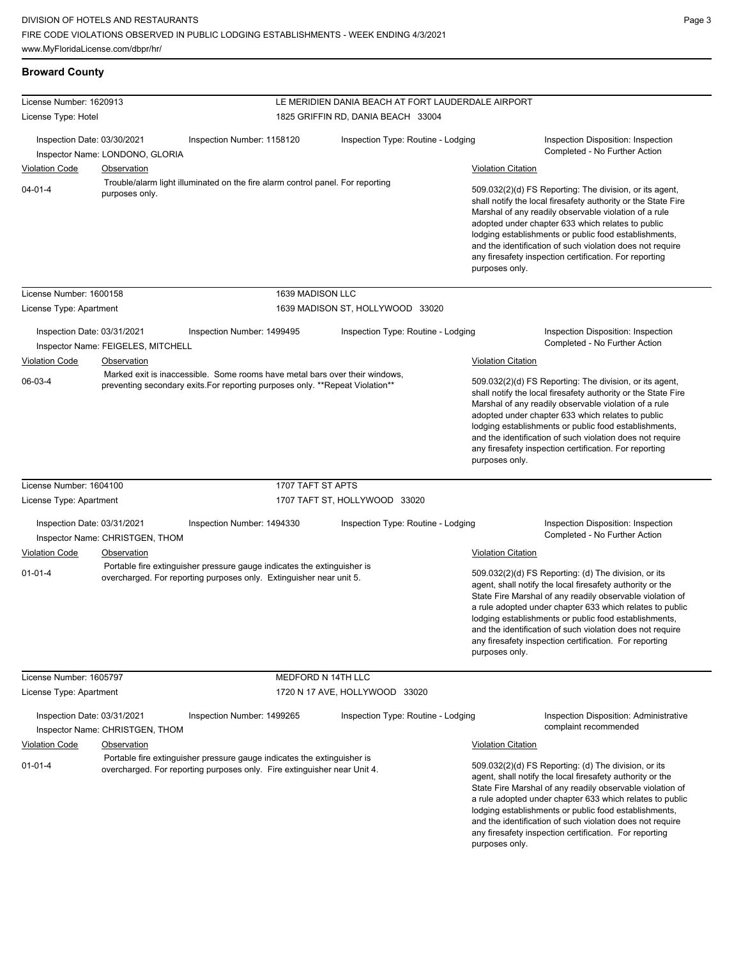| <b>Broward County</b>       |                                    |                                                                                                                                                              |                                                    |                           |                                                                                                                                                                                                                                                                                                                                                                                                                            |
|-----------------------------|------------------------------------|--------------------------------------------------------------------------------------------------------------------------------------------------------------|----------------------------------------------------|---------------------------|----------------------------------------------------------------------------------------------------------------------------------------------------------------------------------------------------------------------------------------------------------------------------------------------------------------------------------------------------------------------------------------------------------------------------|
| License Number: 1620913     |                                    |                                                                                                                                                              | LE MERIDIEN DANIA BEACH AT FORT LAUDERDALE AIRPORT |                           |                                                                                                                                                                                                                                                                                                                                                                                                                            |
| License Type: Hotel         |                                    |                                                                                                                                                              | 1825 GRIFFIN RD, DANIA BEACH 33004                 |                           |                                                                                                                                                                                                                                                                                                                                                                                                                            |
| Inspection Date: 03/30/2021 | Inspector Name: LONDONO, GLORIA    | Inspection Number: 1158120                                                                                                                                   | Inspection Type: Routine - Lodging                 |                           | Inspection Disposition: Inspection<br>Completed - No Further Action                                                                                                                                                                                                                                                                                                                                                        |
| <b>Violation Code</b>       | <b>Observation</b>                 |                                                                                                                                                              |                                                    | <b>Violation Citation</b> |                                                                                                                                                                                                                                                                                                                                                                                                                            |
|                             |                                    | Trouble/alarm light illuminated on the fire alarm control panel. For reporting                                                                               |                                                    |                           |                                                                                                                                                                                                                                                                                                                                                                                                                            |
| $04 - 01 - 4$               | purposes only.                     |                                                                                                                                                              |                                                    | purposes only.            | 509.032(2)(d) FS Reporting: The division, or its agent,<br>shall notify the local firesafety authority or the State Fire<br>Marshal of any readily observable violation of a rule<br>adopted under chapter 633 which relates to public<br>lodging establishments or public food establishments,<br>and the identification of such violation does not require<br>any firesafety inspection certification. For reporting     |
| License Number: 1600158     |                                    | 1639 MADISON LLC                                                                                                                                             |                                                    |                           |                                                                                                                                                                                                                                                                                                                                                                                                                            |
| License Type: Apartment     |                                    |                                                                                                                                                              | 1639 MADISON ST, HOLLYWOOD 33020                   |                           |                                                                                                                                                                                                                                                                                                                                                                                                                            |
| Inspection Date: 03/31/2021 | Inspector Name: FEIGELES, MITCHELL | Inspection Number: 1499495                                                                                                                                   | Inspection Type: Routine - Lodging                 |                           | Inspection Disposition: Inspection<br>Completed - No Further Action                                                                                                                                                                                                                                                                                                                                                        |
| <b>Violation Code</b>       | Observation                        |                                                                                                                                                              |                                                    | <b>Violation Citation</b> |                                                                                                                                                                                                                                                                                                                                                                                                                            |
| 06-03-4                     |                                    | Marked exit is inaccessible. Some rooms have metal bars over their windows,<br>preventing secondary exits. For reporting purposes only. **Repeat Violation** |                                                    | purposes only.            | 509.032(2)(d) FS Reporting: The division, or its agent,<br>shall notify the local firesafety authority or the State Fire<br>Marshal of any readily observable violation of a rule<br>adopted under chapter 633 which relates to public<br>lodging establishments or public food establishments,<br>and the identification of such violation does not require<br>any firesafety inspection certification. For reporting     |
| License Number: 1604100     |                                    | 1707 TAFT ST APTS                                                                                                                                            |                                                    |                           |                                                                                                                                                                                                                                                                                                                                                                                                                            |
| License Type: Apartment     |                                    |                                                                                                                                                              | 1707 TAFT ST, HOLLYWOOD 33020                      |                           |                                                                                                                                                                                                                                                                                                                                                                                                                            |
| Inspection Date: 03/31/2021 | Inspector Name: CHRISTGEN, THOM    | Inspection Number: 1494330                                                                                                                                   | Inspection Type: Routine - Lodging                 |                           | Inspection Disposition: Inspection<br>Completed - No Further Action                                                                                                                                                                                                                                                                                                                                                        |
| <b>Violation Code</b>       | Observation                        |                                                                                                                                                              |                                                    | <b>Violation Citation</b> |                                                                                                                                                                                                                                                                                                                                                                                                                            |
| $01 - 01 - 4$               |                                    | Portable fire extinguisher pressure gauge indicates the extinguisher is<br>overcharged. For reporting purposes only. Extinguisher near unit 5.               |                                                    | purposes only.            | 509.032(2)(d) FS Reporting: (d) The division, or its<br>agent, shall notify the local firesafety authority or the<br>State Fire Marshal of any readily observable violation of<br>a rule adopted under chapter 633 which relates to public<br>lodging establishments or public food establishments,<br>and the identification of such violation does not require<br>any firesafety inspection certification. For reporting |
| License Number: 1605797     |                                    | MEDFORD N 14TH LLC                                                                                                                                           |                                                    |                           |                                                                                                                                                                                                                                                                                                                                                                                                                            |
| License Type: Apartment     |                                    |                                                                                                                                                              | 1720 N 17 AVE, HOLLYWOOD 33020                     |                           |                                                                                                                                                                                                                                                                                                                                                                                                                            |
| Inspection Date: 03/31/2021 | Inspector Name: CHRISTGEN, THOM    | Inspection Number: 1499265                                                                                                                                   | Inspection Type: Routine - Lodging                 |                           | <b>Inspection Disposition: Administrative</b><br>complaint recommended                                                                                                                                                                                                                                                                                                                                                     |
| <b>Violation Code</b>       | Observation                        |                                                                                                                                                              |                                                    | <b>Violation Citation</b> |                                                                                                                                                                                                                                                                                                                                                                                                                            |
| $01 - 01 - 4$               |                                    | Portable fire extinguisher pressure gauge indicates the extinguisher is<br>overcharged. For reporting purposes only. Fire extinguisher near Unit 4.          |                                                    |                           | 509.032(2)(d) FS Reporting: (d) The division, or its<br>agent, shall notify the local firesafety authority or the<br>State Fire Marshal of any readily observable violation of<br>a rule adopted under chapter 633 which relates to public                                                                                                                                                                                 |

lodging establishments or public food establishments, and the identification of such violation does not require any firesafety inspection certification. For reporting purposes only.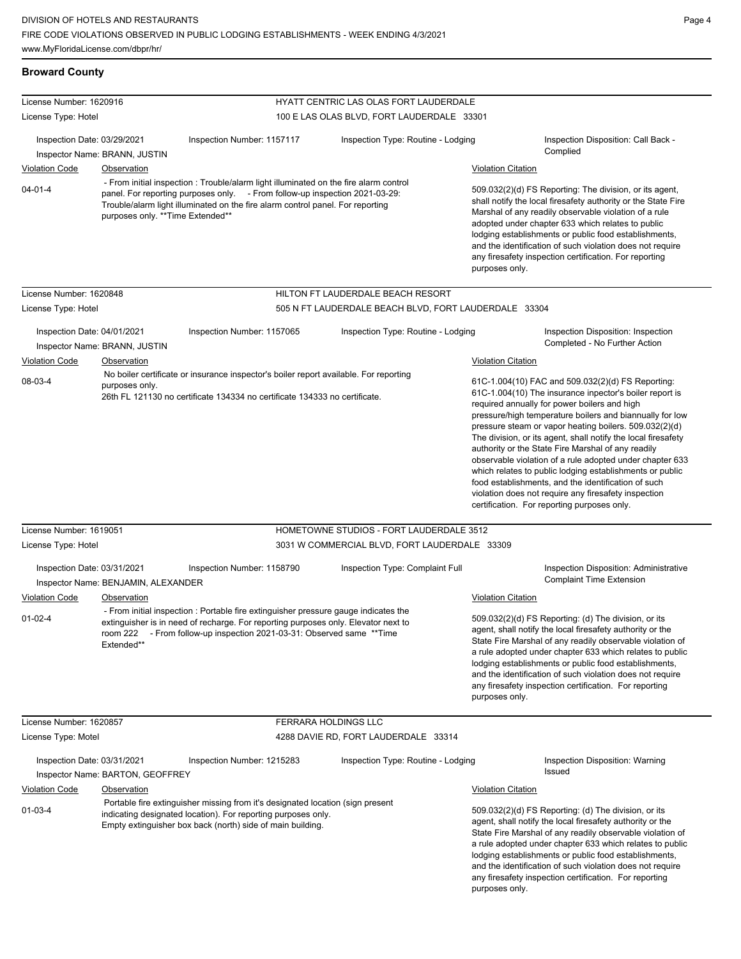## **Broward County**

| License Number: 1620916<br>License Type: Hotel                                                                                                                                                                                                                                                              |                                     |                                                                                                                                                                                                                                           | HYATT CENTRIC LAS OLAS FORT LAUDERDALE<br>100 E LAS OLAS BLVD, FORT LAUDERDALE 33301 |                                                                                                                                                                                                                                                                                                                                                                                                                                                                                                                                                                                                                                            |                                                                                                                                                                                                                                                                                                                                                                                                                            |  |
|-------------------------------------------------------------------------------------------------------------------------------------------------------------------------------------------------------------------------------------------------------------------------------------------------------------|-------------------------------------|-------------------------------------------------------------------------------------------------------------------------------------------------------------------------------------------------------------------------------------------|--------------------------------------------------------------------------------------|--------------------------------------------------------------------------------------------------------------------------------------------------------------------------------------------------------------------------------------------------------------------------------------------------------------------------------------------------------------------------------------------------------------------------------------------------------------------------------------------------------------------------------------------------------------------------------------------------------------------------------------------|----------------------------------------------------------------------------------------------------------------------------------------------------------------------------------------------------------------------------------------------------------------------------------------------------------------------------------------------------------------------------------------------------------------------------|--|
|                                                                                                                                                                                                                                                                                                             |                                     |                                                                                                                                                                                                                                           |                                                                                      |                                                                                                                                                                                                                                                                                                                                                                                                                                                                                                                                                                                                                                            |                                                                                                                                                                                                                                                                                                                                                                                                                            |  |
| Inspection Date: 03/29/2021                                                                                                                                                                                                                                                                                 | Inspector Name: BRANN, JUSTIN       | Inspection Number: 1157117                                                                                                                                                                                                                | Inspection Type: Routine - Lodging                                                   |                                                                                                                                                                                                                                                                                                                                                                                                                                                                                                                                                                                                                                            | Inspection Disposition: Call Back -<br>Complied                                                                                                                                                                                                                                                                                                                                                                            |  |
| <b>Violation Code</b>                                                                                                                                                                                                                                                                                       | Observation                         |                                                                                                                                                                                                                                           |                                                                                      | <b>Violation Citation</b>                                                                                                                                                                                                                                                                                                                                                                                                                                                                                                                                                                                                                  |                                                                                                                                                                                                                                                                                                                                                                                                                            |  |
| - From initial inspection: Trouble/alarm light illuminated on the fire alarm control<br>$04 - 01 - 4$<br>panel. For reporting purposes only. - From follow-up inspection 2021-03-29:<br>Trouble/alarm light illuminated on the fire alarm control panel. For reporting<br>purposes only. ** Time Extended** |                                     |                                                                                                                                                                                                                                           |                                                                                      | 509.032(2)(d) FS Reporting: The division, or its agent,<br>shall notify the local firesafety authority or the State Fire<br>Marshal of any readily observable violation of a rule<br>adopted under chapter 633 which relates to public<br>lodging establishments or public food establishments,<br>and the identification of such violation does not require<br>any firesafety inspection certification. For reporting<br>purposes only.                                                                                                                                                                                                   |                                                                                                                                                                                                                                                                                                                                                                                                                            |  |
| License Number: 1620848                                                                                                                                                                                                                                                                                     |                                     |                                                                                                                                                                                                                                           | HILTON FT LAUDERDALE BEACH RESORT                                                    |                                                                                                                                                                                                                                                                                                                                                                                                                                                                                                                                                                                                                                            |                                                                                                                                                                                                                                                                                                                                                                                                                            |  |
| License Type: Hotel                                                                                                                                                                                                                                                                                         |                                     |                                                                                                                                                                                                                                           | 505 N FT LAUDERDALE BEACH BLVD, FORT LAUDERDALE 33304                                |                                                                                                                                                                                                                                                                                                                                                                                                                                                                                                                                                                                                                                            |                                                                                                                                                                                                                                                                                                                                                                                                                            |  |
| Inspection Date: 04/01/2021                                                                                                                                                                                                                                                                                 | Inspector Name: BRANN, JUSTIN       | Inspection Number: 1157065                                                                                                                                                                                                                | Inspection Type: Routine - Lodging                                                   |                                                                                                                                                                                                                                                                                                                                                                                                                                                                                                                                                                                                                                            | Inspection Disposition: Inspection<br>Completed - No Further Action                                                                                                                                                                                                                                                                                                                                                        |  |
| <b>Violation Code</b>                                                                                                                                                                                                                                                                                       | Observation                         |                                                                                                                                                                                                                                           |                                                                                      | <b>Violation Citation</b>                                                                                                                                                                                                                                                                                                                                                                                                                                                                                                                                                                                                                  |                                                                                                                                                                                                                                                                                                                                                                                                                            |  |
| 08-03-4                                                                                                                                                                                                                                                                                                     | purposes only.                      | No boiler certificate or insurance inspector's boiler report available. For reporting                                                                                                                                                     |                                                                                      |                                                                                                                                                                                                                                                                                                                                                                                                                                                                                                                                                                                                                                            | 61C-1.004(10) FAC and 509.032(2)(d) FS Reporting:                                                                                                                                                                                                                                                                                                                                                                          |  |
|                                                                                                                                                                                                                                                                                                             |                                     | 26th FL 121130 no certificate 134334 no certificate 134333 no certificate.                                                                                                                                                                |                                                                                      | 61C-1.004(10) The insurance inpector's boiler report is<br>required annually for power boilers and high<br>pressure/high temperature boilers and biannually for low<br>pressure steam or vapor heating boilers. 509.032(2)(d)<br>The division, or its agent, shall notify the local firesafety<br>authority or the State Fire Marshal of any readily<br>observable violation of a rule adopted under chapter 633<br>which relates to public lodging establishments or public<br>food establishments, and the identification of such<br>violation does not require any firesafety inspection<br>certification. For reporting purposes only. |                                                                                                                                                                                                                                                                                                                                                                                                                            |  |
| License Number: 1619051                                                                                                                                                                                                                                                                                     |                                     |                                                                                                                                                                                                                                           | HOMETOWNE STUDIOS - FORT LAUDERDALE 3512                                             |                                                                                                                                                                                                                                                                                                                                                                                                                                                                                                                                                                                                                                            |                                                                                                                                                                                                                                                                                                                                                                                                                            |  |
| License Type: Hotel                                                                                                                                                                                                                                                                                         |                                     |                                                                                                                                                                                                                                           | 3031 W COMMERCIAL BLVD, FORT LAUDERDALE 33309                                        |                                                                                                                                                                                                                                                                                                                                                                                                                                                                                                                                                                                                                                            |                                                                                                                                                                                                                                                                                                                                                                                                                            |  |
| Inspection Date: 03/31/2021                                                                                                                                                                                                                                                                                 | Inspector Name: BENJAMIN, ALEXANDER | Inspection Number: 1158790                                                                                                                                                                                                                | Inspection Type: Complaint Full                                                      |                                                                                                                                                                                                                                                                                                                                                                                                                                                                                                                                                                                                                                            | <b>Inspection Disposition: Administrative</b><br><b>Complaint Time Extension</b>                                                                                                                                                                                                                                                                                                                                           |  |
| <b>Violation Code</b>                                                                                                                                                                                                                                                                                       | Observation                         |                                                                                                                                                                                                                                           |                                                                                      | <b>Violation Citation</b>                                                                                                                                                                                                                                                                                                                                                                                                                                                                                                                                                                                                                  |                                                                                                                                                                                                                                                                                                                                                                                                                            |  |
| $01 - 02 - 4$                                                                                                                                                                                                                                                                                               | room 222<br>Extended**              | - From initial inspection : Portable fire extinguisher pressure gauge indicates the<br>extinguisher is in need of recharge. For reporting purposes only. Elevator next to<br>- From follow-up inspection 2021-03-31: Observed same **Time |                                                                                      | 509.032(2)(d) FS Reporting: (d) The division, or its<br>agent, shall notify the local firesafety authority or the<br>State Fire Marshal of any readily observable violation of<br>a rule adopted under chapter 633 which relates to public<br>lodging establishments or public food establishments,<br>and the identification of such violation does not require<br>any firesafety inspection certification. For reporting<br>purposes only.                                                                                                                                                                                               |                                                                                                                                                                                                                                                                                                                                                                                                                            |  |
| License Number: 1620857                                                                                                                                                                                                                                                                                     |                                     |                                                                                                                                                                                                                                           | FERRARA HOLDINGS LLC                                                                 |                                                                                                                                                                                                                                                                                                                                                                                                                                                                                                                                                                                                                                            |                                                                                                                                                                                                                                                                                                                                                                                                                            |  |
| License Type: Motel                                                                                                                                                                                                                                                                                         |                                     |                                                                                                                                                                                                                                           | 4288 DAVIE RD, FORT LAUDERDALE 33314                                                 |                                                                                                                                                                                                                                                                                                                                                                                                                                                                                                                                                                                                                                            |                                                                                                                                                                                                                                                                                                                                                                                                                            |  |
| Inspection Date: 03/31/2021                                                                                                                                                                                                                                                                                 | Inspector Name: BARTON, GEOFFREY    | Inspection Number: 1215283                                                                                                                                                                                                                | Inspection Type: Routine - Lodging                                                   |                                                                                                                                                                                                                                                                                                                                                                                                                                                                                                                                                                                                                                            | Inspection Disposition: Warning<br>Issued                                                                                                                                                                                                                                                                                                                                                                                  |  |
| <b>Violation Code</b>                                                                                                                                                                                                                                                                                       | Observation                         |                                                                                                                                                                                                                                           |                                                                                      | <b>Violation Citation</b>                                                                                                                                                                                                                                                                                                                                                                                                                                                                                                                                                                                                                  |                                                                                                                                                                                                                                                                                                                                                                                                                            |  |
| $01 - 03 - 4$                                                                                                                                                                                                                                                                                               |                                     | Portable fire extinguisher missing from it's designated location (sign present<br>indicating designated location). For reporting purposes only.<br>Empty extinguisher box back (north) side of main building.                             |                                                                                      | purposes only.                                                                                                                                                                                                                                                                                                                                                                                                                                                                                                                                                                                                                             | 509.032(2)(d) FS Reporting: (d) The division, or its<br>agent, shall notify the local firesafety authority or the<br>State Fire Marshal of any readily observable violation of<br>a rule adopted under chapter 633 which relates to public<br>lodging establishments or public food establishments,<br>and the identification of such violation does not require<br>any firesafety inspection certification. For reporting |  |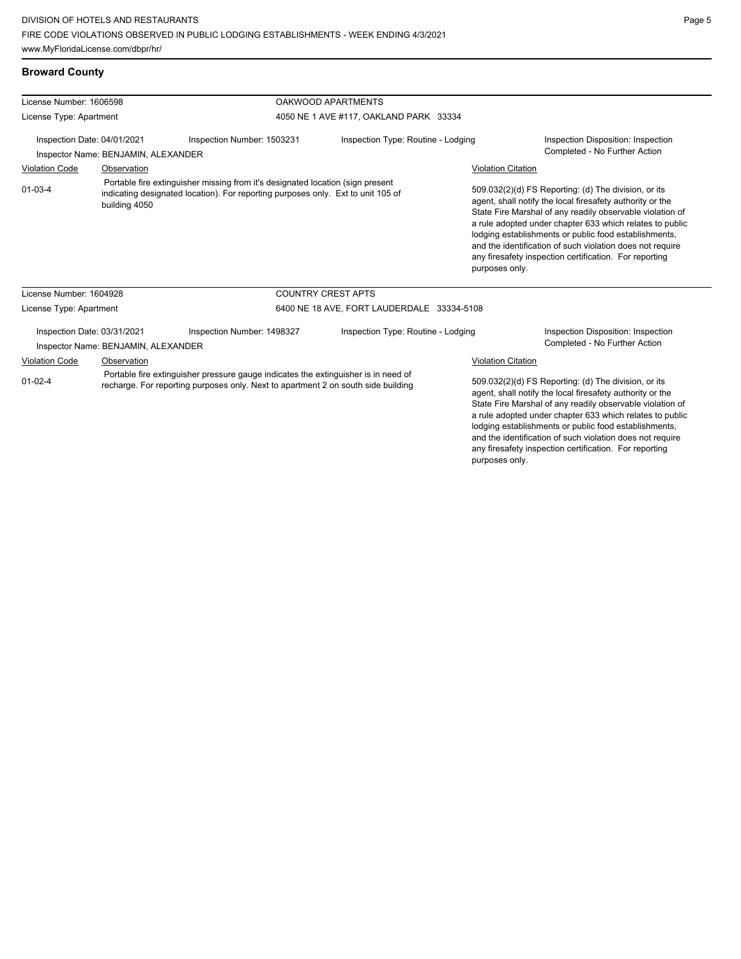## **Broward County**

| License Number: 1606598                                            |                                                                    |                                                                                                                                                                         | OAKWOOD APARTMENTS                         |                           |                                                                                                                                                                                                                                                                                                                                                                                                                            |
|--------------------------------------------------------------------|--------------------------------------------------------------------|-------------------------------------------------------------------------------------------------------------------------------------------------------------------------|--------------------------------------------|---------------------------|----------------------------------------------------------------------------------------------------------------------------------------------------------------------------------------------------------------------------------------------------------------------------------------------------------------------------------------------------------------------------------------------------------------------------|
| License Type: Apartment                                            |                                                                    |                                                                                                                                                                         | 4050 NE 1 AVE #117, OAKLAND PARK 33334     |                           |                                                                                                                                                                                                                                                                                                                                                                                                                            |
| Inspection Date: 04/01/2021<br>Inspector Name: BENJAMIN, ALEXANDER |                                                                    | Inspection Type: Routine - Lodging<br>Inspection Number: 1503231                                                                                                        |                                            |                           | Inspection Disposition: Inspection<br>Completed - No Further Action                                                                                                                                                                                                                                                                                                                                                        |
| Observation<br><b>Violation Code</b>                               |                                                                    |                                                                                                                                                                         |                                            | <b>Violation Citation</b> |                                                                                                                                                                                                                                                                                                                                                                                                                            |
| $01 - 03 - 4$<br>building 4050                                     |                                                                    | Portable fire extinguisher missing from it's designated location (sign present<br>indicating designated location). For reporting purposes only. Ext to unit 105 of      |                                            | purposes only.            | 509.032(2)(d) FS Reporting: (d) The division, or its<br>agent, shall notify the local firesafety authority or the<br>State Fire Marshal of any readily observable violation of<br>a rule adopted under chapter 633 which relates to public<br>lodging establishments or public food establishments,<br>and the identification of such violation does not require<br>any firesafety inspection certification. For reporting |
| License Number: 1604928                                            |                                                                    |                                                                                                                                                                         | <b>COUNTRY CREST APTS</b>                  |                           |                                                                                                                                                                                                                                                                                                                                                                                                                            |
| License Type: Apartment                                            |                                                                    |                                                                                                                                                                         | 6400 NE 18 AVE, FORT LAUDERDALE 33334-5108 |                           |                                                                                                                                                                                                                                                                                                                                                                                                                            |
|                                                                    | Inspection Date: 03/31/2021<br>Inspector Name: BENJAMIN, ALEXANDER | Inspection Number: 1498327                                                                                                                                              | Inspection Type: Routine - Lodging         |                           | Inspection Disposition: Inspection<br>Completed - No Further Action                                                                                                                                                                                                                                                                                                                                                        |
| <b>Violation Code</b>                                              | Observation                                                        |                                                                                                                                                                         |                                            | <b>Violation Citation</b> |                                                                                                                                                                                                                                                                                                                                                                                                                            |
| $01-02-4$                                                          |                                                                    | Portable fire extinguisher pressure gauge indicates the extinguisher is in need of<br>recharge. For reporting purposes only. Next to apartment 2 on south side building |                                            |                           | 509.032(2)(d) FS Reporting: (d) The division, or its<br>agent, shall notify the local firesafety authority or the<br>State Fire Marshal of any readily observable violation of<br>a rule adopted under chapter 633 which relates to public<br>lodging establishments or public food establishments,<br>and the identification of such violation does not require<br>any firesafety inspection certification. For reporting |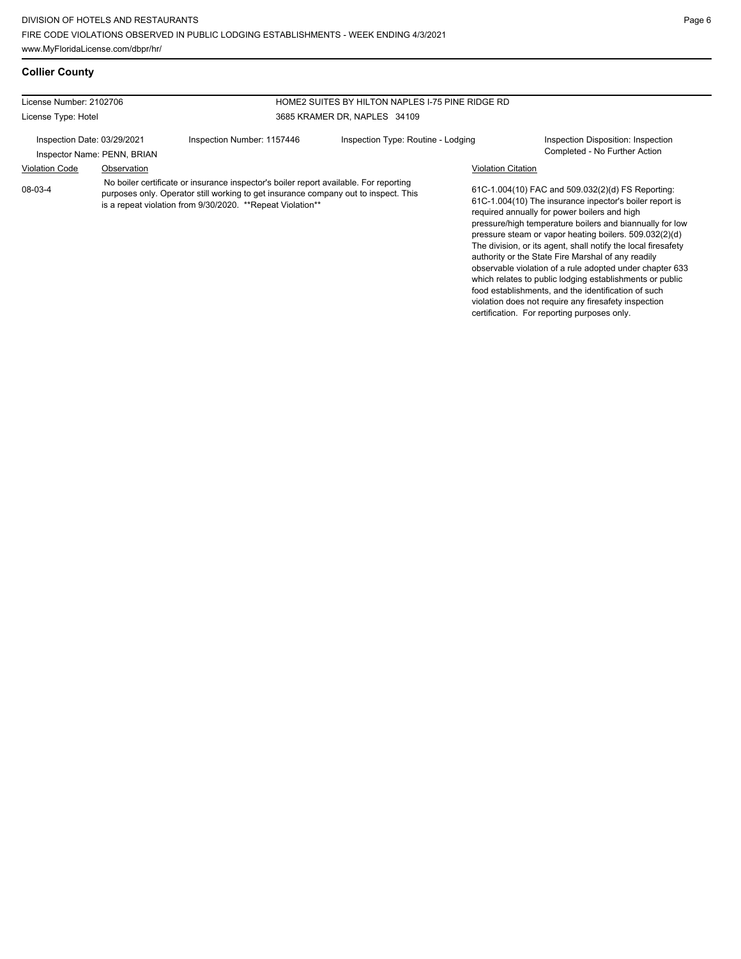food establishments, and the identification of such violation does not require any firesafety inspection certification. For reporting purposes only.

## **Collier County**

| License Number: 2102706     |                             |                                                                                                                                                                                                                                            | HOME2 SUITES BY HILTON NAPLES I-75 PINE RIDGE RD |                           |                                                                                                                                                                                                                                                                                                                                                                                                                                                                                                                                   |
|-----------------------------|-----------------------------|--------------------------------------------------------------------------------------------------------------------------------------------------------------------------------------------------------------------------------------------|--------------------------------------------------|---------------------------|-----------------------------------------------------------------------------------------------------------------------------------------------------------------------------------------------------------------------------------------------------------------------------------------------------------------------------------------------------------------------------------------------------------------------------------------------------------------------------------------------------------------------------------|
| License Type: Hotel         |                             |                                                                                                                                                                                                                                            | 3685 KRAMER DR. NAPLES 34109                     |                           |                                                                                                                                                                                                                                                                                                                                                                                                                                                                                                                                   |
| Inspection Date: 03/29/2021 | Inspector Name: PENN, BRIAN | Inspection Number: 1157446                                                                                                                                                                                                                 | Inspection Type: Routine - Lodging               |                           | Inspection Disposition: Inspection<br>Completed - No Further Action                                                                                                                                                                                                                                                                                                                                                                                                                                                               |
| <b>Violation Code</b>       | Observation                 |                                                                                                                                                                                                                                            |                                                  | <b>Violation Citation</b> |                                                                                                                                                                                                                                                                                                                                                                                                                                                                                                                                   |
| 08-03-4                     |                             | No boiler certificate or insurance inspector's boiler report available. For reporting<br>purposes only. Operator still working to get insurance company out to inspect. This<br>is a repeat violation from 9/30/2020. **Repeat Violation** |                                                  |                           | 61C-1.004(10) FAC and 509.032(2)(d) FS Reporting:<br>61C-1.004(10) The insurance inpector's boiler report is<br>required annually for power boilers and high<br>pressure/high temperature boilers and biannually for low<br>pressure steam or vapor heating boilers. 509.032(2)(d)<br>The division, or its agent, shall notify the local firesafety<br>authority or the State Fire Marshal of any readily<br>observable violation of a rule adopted under chapter 633<br>which relates to public lodging establishments or public |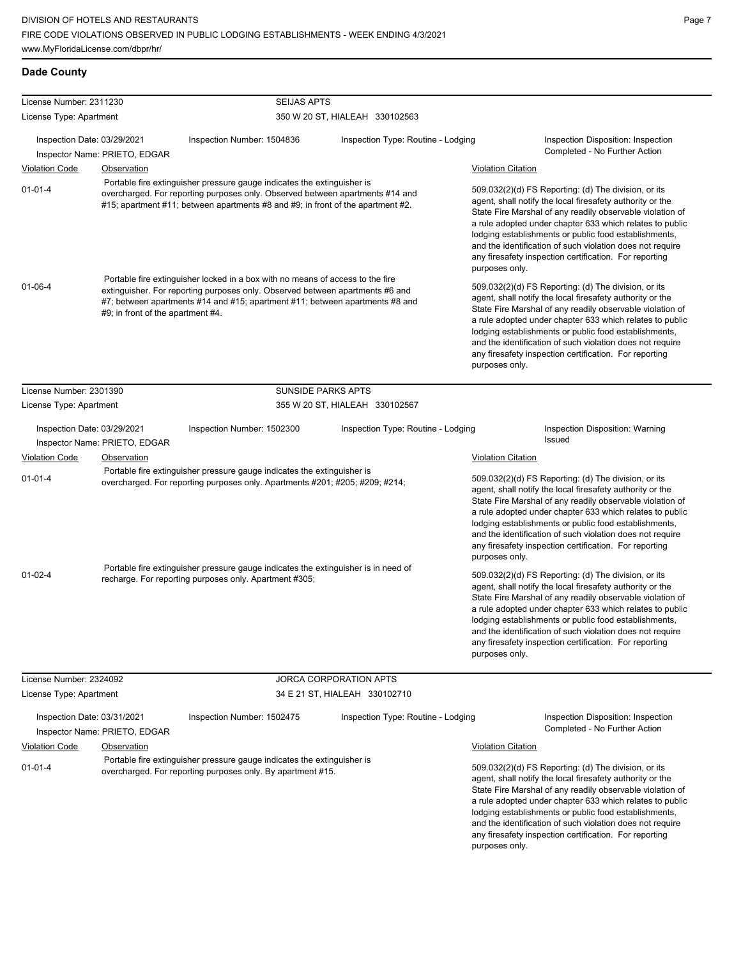### **Dade County**

| License Number: 2311230     |                                   | <b>SEIJAS APTS</b>                                                                                                                                                                                                                              |                                    |                                                                                                                                                                                                                                                                                                                                                                                                                                              |                                                                                                                                                                                                                                                                                                                                                                                                                            |  |
|-----------------------------|-----------------------------------|-------------------------------------------------------------------------------------------------------------------------------------------------------------------------------------------------------------------------------------------------|------------------------------------|----------------------------------------------------------------------------------------------------------------------------------------------------------------------------------------------------------------------------------------------------------------------------------------------------------------------------------------------------------------------------------------------------------------------------------------------|----------------------------------------------------------------------------------------------------------------------------------------------------------------------------------------------------------------------------------------------------------------------------------------------------------------------------------------------------------------------------------------------------------------------------|--|
| License Type: Apartment     |                                   |                                                                                                                                                                                                                                                 | 350 W 20 ST, HIALEAH 330102563     |                                                                                                                                                                                                                                                                                                                                                                                                                                              |                                                                                                                                                                                                                                                                                                                                                                                                                            |  |
| Inspection Date: 03/29/2021 | Inspector Name: PRIETO, EDGAR     | Inspection Number: 1504836                                                                                                                                                                                                                      | Inspection Type: Routine - Lodging |                                                                                                                                                                                                                                                                                                                                                                                                                                              | Inspection Disposition: Inspection<br>Completed - No Further Action                                                                                                                                                                                                                                                                                                                                                        |  |
| <b>Violation Code</b>       | Observation                       |                                                                                                                                                                                                                                                 |                                    | <b>Violation Citation</b>                                                                                                                                                                                                                                                                                                                                                                                                                    |                                                                                                                                                                                                                                                                                                                                                                                                                            |  |
| $01 - 01 - 4$               |                                   | Portable fire extinguisher pressure gauge indicates the extinguisher is<br>overcharged. For reporting purposes only. Observed between apartments #14 and<br>#15; apartment #11; between apartments #8 and #9; in front of the apartment #2.     |                                    | 509.032(2)(d) FS Reporting: (d) The division, or its<br>agent, shall notify the local firesafety authority or the<br>State Fire Marshal of any readily observable violation of<br>a rule adopted under chapter 633 which relates to public<br>lodging establishments or public food establishments,<br>and the identification of such violation does not require<br>any firesafety inspection certification. For reporting<br>purposes only. |                                                                                                                                                                                                                                                                                                                                                                                                                            |  |
| $01 - 06 - 4$               | #9; in front of the apartment #4. | Portable fire extinguisher locked in a box with no means of access to the fire<br>extinguisher. For reporting purposes only. Observed between apartments #6 and<br>#7; between apartments #14 and #15; apartment #11; between apartments #8 and |                                    | purposes only.                                                                                                                                                                                                                                                                                                                                                                                                                               | 509.032(2)(d) FS Reporting: (d) The division, or its<br>agent, shall notify the local firesafety authority or the<br>State Fire Marshal of any readily observable violation of<br>a rule adopted under chapter 633 which relates to public<br>lodging establishments or public food establishments,<br>and the identification of such violation does not require<br>any firesafety inspection certification. For reporting |  |
| License Number: 2301390     |                                   | <b>SUNSIDE PARKS APTS</b>                                                                                                                                                                                                                       |                                    |                                                                                                                                                                                                                                                                                                                                                                                                                                              |                                                                                                                                                                                                                                                                                                                                                                                                                            |  |
| License Type: Apartment     |                                   |                                                                                                                                                                                                                                                 | 355 W 20 ST, HIALEAH 330102567     |                                                                                                                                                                                                                                                                                                                                                                                                                                              |                                                                                                                                                                                                                                                                                                                                                                                                                            |  |
| Inspection Date: 03/29/2021 | Inspector Name: PRIETO, EDGAR     | Inspection Number: 1502300                                                                                                                                                                                                                      | Inspection Type: Routine - Lodging |                                                                                                                                                                                                                                                                                                                                                                                                                                              | Inspection Disposition: Warning<br>Issued                                                                                                                                                                                                                                                                                                                                                                                  |  |
| <b>Violation Code</b>       | Observation                       |                                                                                                                                                                                                                                                 |                                    | <b>Violation Citation</b>                                                                                                                                                                                                                                                                                                                                                                                                                    |                                                                                                                                                                                                                                                                                                                                                                                                                            |  |
| $01 - 01 - 4$               |                                   | Portable fire extinguisher pressure gauge indicates the extinguisher is<br>overcharged. For reporting purposes only. Apartments #201; #205; #209; #214;                                                                                         |                                    | 509.032(2)(d) FS Reporting: (d) The division, or its<br>agent, shall notify the local firesafety authority or the<br>State Fire Marshal of any readily observable violation of<br>a rule adopted under chapter 633 which relates to public<br>lodging establishments or public food establishments,<br>and the identification of such violation does not require<br>any firesafety inspection certification. For reporting<br>purposes only. |                                                                                                                                                                                                                                                                                                                                                                                                                            |  |
| $01-02-4$                   |                                   | Portable fire extinguisher pressure gauge indicates the extinguisher is in need of<br>recharge. For reporting purposes only. Apartment #305;                                                                                                    |                                    | 509.032(2)(d) FS Reporting: (d) The division, or its<br>agent, shall notify the local firesafety authority or the<br>State Fire Marshal of any readily observable violation of<br>a rule adopted under chapter 633 which relates to public<br>lodging establishments or public food establishments,<br>and the identification of such violation does not require<br>any firesafety inspection certification. For reporting<br>purposes only. |                                                                                                                                                                                                                                                                                                                                                                                                                            |  |
| License Number: 2324092     |                                   |                                                                                                                                                                                                                                                 | JORCA CORPORATION APTS             |                                                                                                                                                                                                                                                                                                                                                                                                                                              |                                                                                                                                                                                                                                                                                                                                                                                                                            |  |
| License Type: Apartment     |                                   |                                                                                                                                                                                                                                                 | 34 E 21 ST, HIALEAH 330102710      |                                                                                                                                                                                                                                                                                                                                                                                                                                              |                                                                                                                                                                                                                                                                                                                                                                                                                            |  |
| Inspection Date: 03/31/2021 | Inspector Name: PRIETO, EDGAR     | Inspection Number: 1502475                                                                                                                                                                                                                      | Inspection Type: Routine - Lodging |                                                                                                                                                                                                                                                                                                                                                                                                                                              | Inspection Disposition: Inspection<br>Completed - No Further Action                                                                                                                                                                                                                                                                                                                                                        |  |
| <b>Violation Code</b>       | Observation                       |                                                                                                                                                                                                                                                 |                                    | <b>Violation Citation</b>                                                                                                                                                                                                                                                                                                                                                                                                                    |                                                                                                                                                                                                                                                                                                                                                                                                                            |  |
| $01 - 01 - 4$               |                                   | Portable fire extinguisher pressure gauge indicates the extinguisher is<br>overcharged. For reporting purposes only. By apartment #15.                                                                                                          |                                    |                                                                                                                                                                                                                                                                                                                                                                                                                                              | 509.032(2)(d) FS Reporting: (d) The division, or its<br>agent, shall notify the local firesafety authority or the<br>State Fire Marshal of any readily observable violation of                                                                                                                                                                                                                                             |  |

a rule adopted under chapter 633 which relates to public lodging establishments or public food establishments, and the identification of such violation does not require any firesafety inspection certification. For reporting purposes only.

▃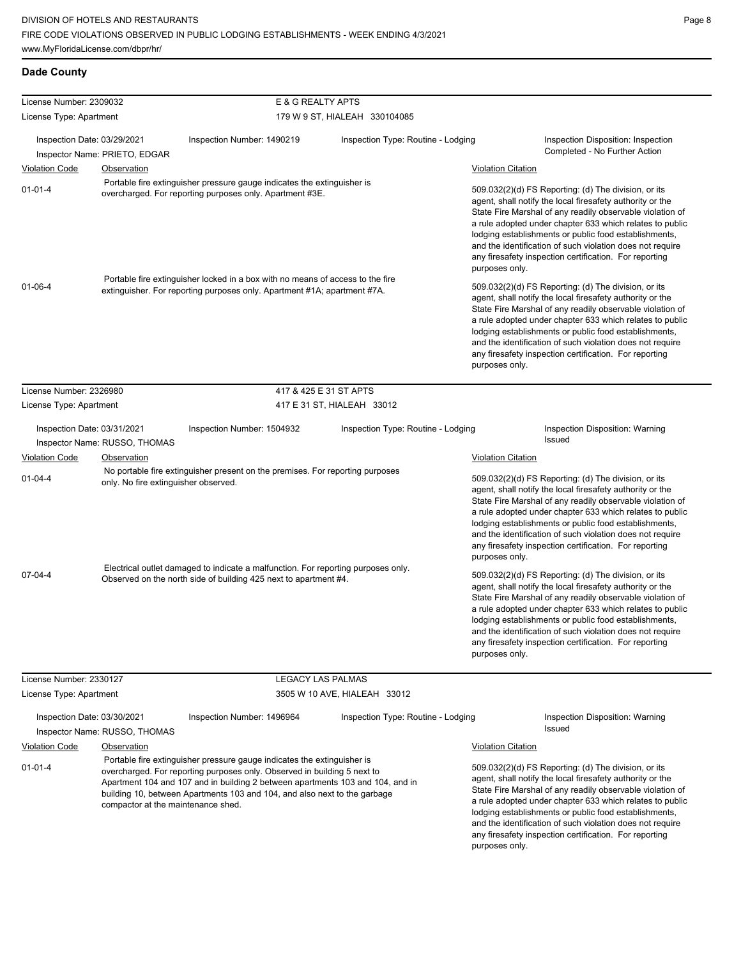## **Dade County**

| License Number: 2309032                                                                                                                                                                                                                                                                                                                                                   |                                                                                                                                             | E & G REALTY APTS                                                                                                                                     |                                                                                                                                                            |                                                                                                                                                                                                                                                                                                                                                                                                                            |                                                                                                                                                                                                                                                                                                                                                                                                                                              |
|---------------------------------------------------------------------------------------------------------------------------------------------------------------------------------------------------------------------------------------------------------------------------------------------------------------------------------------------------------------------------|---------------------------------------------------------------------------------------------------------------------------------------------|-------------------------------------------------------------------------------------------------------------------------------------------------------|------------------------------------------------------------------------------------------------------------------------------------------------------------|----------------------------------------------------------------------------------------------------------------------------------------------------------------------------------------------------------------------------------------------------------------------------------------------------------------------------------------------------------------------------------------------------------------------------|----------------------------------------------------------------------------------------------------------------------------------------------------------------------------------------------------------------------------------------------------------------------------------------------------------------------------------------------------------------------------------------------------------------------------------------------|
| License Type: Apartment                                                                                                                                                                                                                                                                                                                                                   |                                                                                                                                             |                                                                                                                                                       | 179 W 9 ST, HIALEAH 330104085                                                                                                                              |                                                                                                                                                                                                                                                                                                                                                                                                                            |                                                                                                                                                                                                                                                                                                                                                                                                                                              |
| Inspection Date: 03/29/2021                                                                                                                                                                                                                                                                                                                                               |                                                                                                                                             | Inspection Number: 1490219                                                                                                                            | Inspection Type: Routine - Lodging                                                                                                                         |                                                                                                                                                                                                                                                                                                                                                                                                                            | Inspection Disposition: Inspection<br>Completed - No Further Action                                                                                                                                                                                                                                                                                                                                                                          |
| <b>Violation Code</b>                                                                                                                                                                                                                                                                                                                                                     | Inspector Name: PRIETO, EDGAR<br>Observation                                                                                                |                                                                                                                                                       |                                                                                                                                                            | <b>Violation Citation</b>                                                                                                                                                                                                                                                                                                                                                                                                  |                                                                                                                                                                                                                                                                                                                                                                                                                                              |
| $01 - 01 - 4$<br>$01 - 06 - 4$                                                                                                                                                                                                                                                                                                                                            |                                                                                                                                             | Portable fire extinguisher pressure gauge indicates the extinguisher is<br>overcharged. For reporting purposes only. Apartment #3E.                   |                                                                                                                                                            | purposes only.                                                                                                                                                                                                                                                                                                                                                                                                             | 509.032(2)(d) FS Reporting: (d) The division, or its<br>agent, shall notify the local firesafety authority or the<br>State Fire Marshal of any readily observable violation of<br>a rule adopted under chapter 633 which relates to public<br>lodging establishments or public food establishments,<br>and the identification of such violation does not require<br>any firesafety inspection certification. For reporting                   |
|                                                                                                                                                                                                                                                                                                                                                                           |                                                                                                                                             |                                                                                                                                                       | Portable fire extinguisher locked in a box with no means of access to the fire<br>extinguisher. For reporting purposes only. Apartment #1A; apartment #7A. |                                                                                                                                                                                                                                                                                                                                                                                                                            | 509.032(2)(d) FS Reporting: (d) The division, or its<br>agent, shall notify the local firesafety authority or the<br>State Fire Marshal of any readily observable violation of<br>a rule adopted under chapter 633 which relates to public<br>lodging establishments or public food establishments,<br>and the identification of such violation does not require<br>any firesafety inspection certification. For reporting<br>purposes only. |
| License Number: 2326980                                                                                                                                                                                                                                                                                                                                                   |                                                                                                                                             |                                                                                                                                                       | 417 & 425 E 31 ST APTS                                                                                                                                     |                                                                                                                                                                                                                                                                                                                                                                                                                            |                                                                                                                                                                                                                                                                                                                                                                                                                                              |
| License Type: Apartment                                                                                                                                                                                                                                                                                                                                                   |                                                                                                                                             | 417 E 31 ST, HIALEAH 33012                                                                                                                            |                                                                                                                                                            |                                                                                                                                                                                                                                                                                                                                                                                                                            |                                                                                                                                                                                                                                                                                                                                                                                                                                              |
| Inspection Date: 03/31/2021<br>Inspector Name: RUSSO, THOMAS                                                                                                                                                                                                                                                                                                              |                                                                                                                                             | Inspection Type: Routine - Lodging<br>Inspection Number: 1504932                                                                                      |                                                                                                                                                            |                                                                                                                                                                                                                                                                                                                                                                                                                            | <b>Inspection Disposition: Warning</b><br>Issued                                                                                                                                                                                                                                                                                                                                                                                             |
| <b>Violation Code</b>                                                                                                                                                                                                                                                                                                                                                     |                                                                                                                                             |                                                                                                                                                       |                                                                                                                                                            | <b>Violation Citation</b>                                                                                                                                                                                                                                                                                                                                                                                                  |                                                                                                                                                                                                                                                                                                                                                                                                                                              |
| $01 - 04 - 4$                                                                                                                                                                                                                                                                                                                                                             | <b>Observation</b><br>No portable fire extinguisher present on the premises. For reporting purposes<br>only. No fire extinguisher observed. |                                                                                                                                                       |                                                                                                                                                            | purposes only.                                                                                                                                                                                                                                                                                                                                                                                                             | 509.032(2)(d) FS Reporting: (d) The division, or its<br>agent, shall notify the local firesafety authority or the<br>State Fire Marshal of any readily observable violation of<br>a rule adopted under chapter 633 which relates to public<br>lodging establishments or public food establishments,<br>and the identification of such violation does not require<br>any firesafety inspection certification. For reporting                   |
| $07 - 04 - 4$                                                                                                                                                                                                                                                                                                                                                             |                                                                                                                                             | Electrical outlet damaged to indicate a malfunction. For reporting purposes only.<br>Observed on the north side of building 425 next to apartment #4. |                                                                                                                                                            | purposes only.                                                                                                                                                                                                                                                                                                                                                                                                             | 509.032(2)(d) FS Reporting: (d) The division, or its<br>agent, shall notify the local firesafety authority or the<br>State Fire Marshal of any readily observable violation of<br>a rule adopted under chapter 633 which relates to public<br>lodging establishments or public food establishments,<br>and the identification of such violation does not require<br>any firesafety inspection certification. For reporting                   |
| License Number: 2330127                                                                                                                                                                                                                                                                                                                                                   |                                                                                                                                             |                                                                                                                                                       | <b>LEGACY LAS PALMAS</b>                                                                                                                                   |                                                                                                                                                                                                                                                                                                                                                                                                                            |                                                                                                                                                                                                                                                                                                                                                                                                                                              |
| License Type: Apartment                                                                                                                                                                                                                                                                                                                                                   |                                                                                                                                             |                                                                                                                                                       | 3505 W 10 AVE, HIALEAH 33012                                                                                                                               |                                                                                                                                                                                                                                                                                                                                                                                                                            |                                                                                                                                                                                                                                                                                                                                                                                                                                              |
| Inspection Date: 03/30/2021                                                                                                                                                                                                                                                                                                                                               | Inspector Name: RUSSO, THOMAS                                                                                                               | Inspection Number: 1496964                                                                                                                            | Inspection Type: Routine - Lodging                                                                                                                         |                                                                                                                                                                                                                                                                                                                                                                                                                            | Inspection Disposition: Warning<br>Issued                                                                                                                                                                                                                                                                                                                                                                                                    |
| <b>Violation Code</b>                                                                                                                                                                                                                                                                                                                                                     | <b>Observation</b>                                                                                                                          |                                                                                                                                                       |                                                                                                                                                            | <b>Violation Citation</b>                                                                                                                                                                                                                                                                                                                                                                                                  |                                                                                                                                                                                                                                                                                                                                                                                                                                              |
| Portable fire extinguisher pressure gauge indicates the extinguisher is<br>$01 - 01 - 4$<br>overcharged. For reporting purposes only. Observed in building 5 next to<br>Apartment 104 and 107 and in building 2 between apartments 103 and 104, and in<br>building 10, between Apartments 103 and 104, and also next to the garbage<br>compactor at the maintenance shed. |                                                                                                                                             |                                                                                                                                                       | purposes only.                                                                                                                                             | 509.032(2)(d) FS Reporting: (d) The division, or its<br>agent, shall notify the local firesafety authority or the<br>State Fire Marshal of any readily observable violation of<br>a rule adopted under chapter 633 which relates to public<br>lodging establishments or public food establishments,<br>and the identification of such violation does not require<br>any firesafety inspection certification. For reporting |                                                                                                                                                                                                                                                                                                                                                                                                                                              |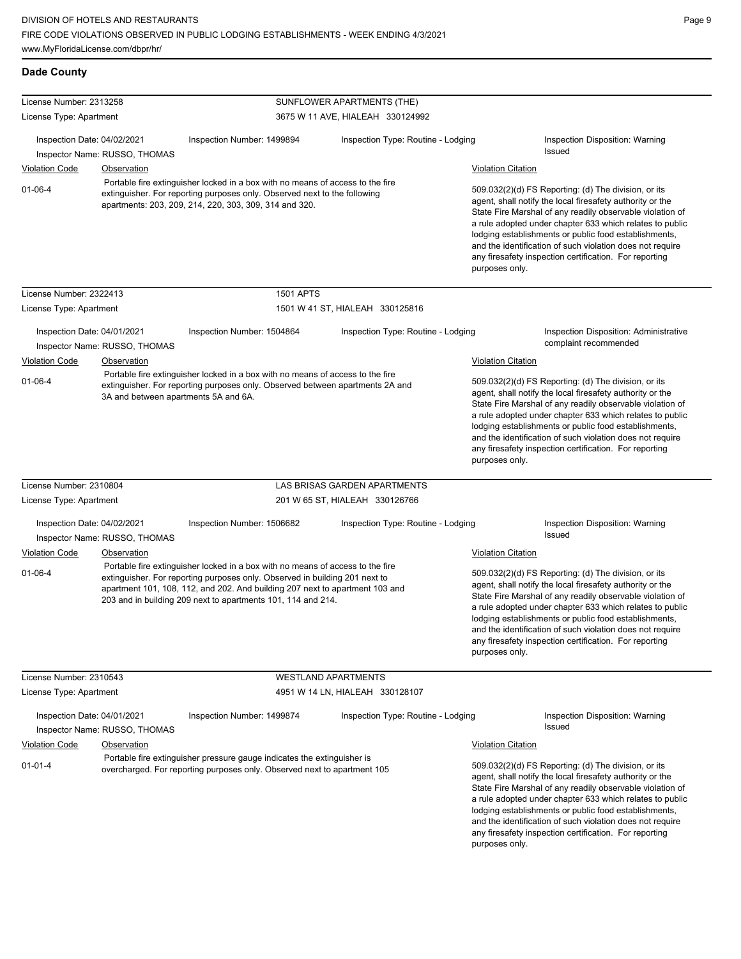#### **Dade County** License Number: 2313258 License Type: Apartment SUNFLOWER APARTMENTS (THE) 3675 W 11 AVE, HIALEAH 330124992 Inspection Date: 04/02/2021 Inspection Number: 1499894 Inspection Type: Routine - Lodging Inspection Disposition: Warning Inspector Name: RUSSO, THOMAS **Inspector Name: RUSSO, THOMAS** Violation Code Observation Violation Citation 509.032(2)(d) FS Reporting: (d) The division, or its agent, shall notify the local firesafety authority or the State Fire Marshal of any readily observable violation of a rule adopted under chapter 633 which relates to public lodging establishments or public food establishments, and the identification of such violation does not require any firesafety inspection certification. For reporting purposes only. 01-06-4 Portable fire extinguisher locked in a box with no means of access to the fire extinguisher. For reporting purposes only. Observed next to the following apartments: 203, 209, 214, 220, 303, 309, 314 and 320. License Number: 2322413 License Type: Apartment 1501 APTS 1501 W 41 ST, HIALEAH 330125816 Inspection Date: 04/01/2021 Inspection Number: 1504864 Inspection Type: Routine - Lodging Inspection Disposition: Administrative Inspector Name: RUSSO, THOMAS **Inspector Name: RUSSO, THOMAS** Violation Code Observation Violation Citation 509.032(2)(d) FS Reporting: (d) The division, or its agent, shall notify the local firesafety authority or the State Fire Marshal of any readily observable violation of a rule adopted under chapter 633 which relates to public lodging establishments or public food establishments, and the identification of such violation does not require any firesafety inspection certification. For reporting purposes only. 01-06-4 Portable fire extinguisher locked in a box with no means of access to the fire extinguisher. For reporting purposes only. Observed between apartments 2A and 3A and between apartments 5A and 6A. License Number: 2310804 License Type: Apartment LAS BRISAS GARDEN APARTMENTS 201 W 65 ST, HIALEAH 330126766 Inspection Date: 04/02/2021 Inspection Number: 1506682 Inspection Type: Routine - Lodging Inspection Disposition: Warning Inspector Name: RUSSO, THOMAS Violation Code Observation Violation Citation 509.032(2)(d) FS Reporting: (d) The division, or its agent, shall notify the local firesafety authority or the State Fire Marshal of any readily observable violation of a rule adopted under chapter 633 which relates to public lodging establishments or public food establishments, and the identification of such violation does not require any firesafety inspection certification. For reporting purposes only. 01-06-4 Portable fire extinguisher locked in a box with no means of access to the fire extinguisher. For reporting purposes only. Observed in building 201 next to apartment 101, 108, 112, and 202. And building 207 next to apartment 103 and 203 and in building 209 next to apartments 101, 114 and 214. License Number: 2310543 License Type: Apartment WESTLAND APARTMENTS 4951 W 14 LN, HIALEAH 330128107 Inspection Date: 04/01/2021 Inspection Number: 1499874 Inspection Type: Routine - Lodging Inspection Disposition: Warning Issued Inspector Name: RUSSO, THOMAS Violation Code Observation Violation Citation 509.032(2)(d) FS Reporting: (d) The division, or its agent, shall notify the local firesafety authority or the State Fire Marshal of any readily observable violation of a rule adopted under chapter 633 which relates to public 01-01-4 Portable fire extinguisher pressure gauge indicates the extinguisher is overcharged. For reporting purposes only. Observed next to apartment 105

lodging establishments or public food establishments, and the identification of such violation does not require any firesafety inspection certification. For reporting purposes only.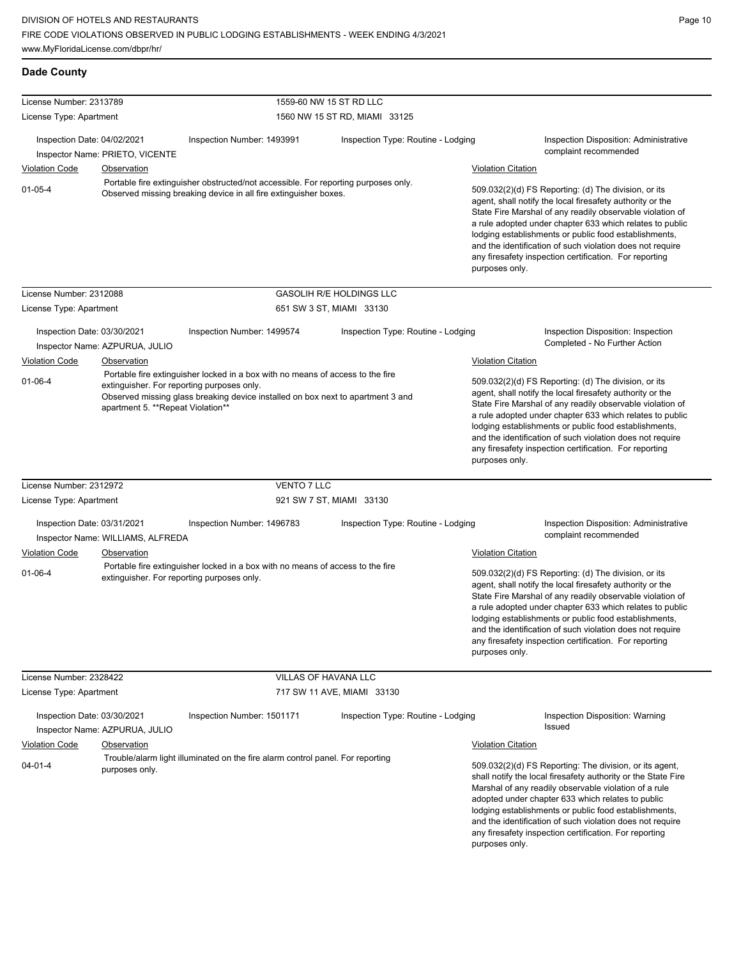| <b>Dade County</b>                                                                                                                                                                  |                                                                                                                                                        |                                                                                                                                                                                                                                                                                                                                                                                                                                              |                                                                                                                                                                                                                                                                                                                                                                                                                                              |                           |                                                                                                                                                                                                                                                                                                                                                                                                                            |
|-------------------------------------------------------------------------------------------------------------------------------------------------------------------------------------|--------------------------------------------------------------------------------------------------------------------------------------------------------|----------------------------------------------------------------------------------------------------------------------------------------------------------------------------------------------------------------------------------------------------------------------------------------------------------------------------------------------------------------------------------------------------------------------------------------------|----------------------------------------------------------------------------------------------------------------------------------------------------------------------------------------------------------------------------------------------------------------------------------------------------------------------------------------------------------------------------------------------------------------------------------------------|---------------------------|----------------------------------------------------------------------------------------------------------------------------------------------------------------------------------------------------------------------------------------------------------------------------------------------------------------------------------------------------------------------------------------------------------------------------|
| License Number: 2313789                                                                                                                                                             |                                                                                                                                                        |                                                                                                                                                                                                                                                                                                                                                                                                                                              | 1559-60 NW 15 ST RD LLC                                                                                                                                                                                                                                                                                                                                                                                                                      |                           |                                                                                                                                                                                                                                                                                                                                                                                                                            |
| License Type: Apartment                                                                                                                                                             |                                                                                                                                                        |                                                                                                                                                                                                                                                                                                                                                                                                                                              | 1560 NW 15 ST RD, MIAMI 33125                                                                                                                                                                                                                                                                                                                                                                                                                |                           |                                                                                                                                                                                                                                                                                                                                                                                                                            |
| Inspection Date: 04/02/2021                                                                                                                                                         | Inspector Name: PRIETO, VICENTE                                                                                                                        | Inspection Number: 1493991                                                                                                                                                                                                                                                                                                                                                                                                                   | Inspection Type: Routine - Lodging                                                                                                                                                                                                                                                                                                                                                                                                           |                           | Inspection Disposition: Administrative<br>complaint recommended                                                                                                                                                                                                                                                                                                                                                            |
| <b>Violation Code</b>                                                                                                                                                               | <b>Observation</b>                                                                                                                                     |                                                                                                                                                                                                                                                                                                                                                                                                                                              |                                                                                                                                                                                                                                                                                                                                                                                                                                              | <b>Violation Citation</b> |                                                                                                                                                                                                                                                                                                                                                                                                                            |
| $01 - 05 - 4$                                                                                                                                                                       | Portable fire extinguisher obstructed/not accessible. For reporting purposes only.<br>Observed missing breaking device in all fire extinguisher boxes. |                                                                                                                                                                                                                                                                                                                                                                                                                                              | 509.032(2)(d) FS Reporting: (d) The division, or its<br>agent, shall notify the local firesafety authority or the<br>State Fire Marshal of any readily observable violation of<br>a rule adopted under chapter 633 which relates to public<br>lodging establishments or public food establishments,<br>and the identification of such violation does not require<br>any firesafety inspection certification. For reporting<br>purposes only. |                           |                                                                                                                                                                                                                                                                                                                                                                                                                            |
| License Number: 2312088                                                                                                                                                             |                                                                                                                                                        |                                                                                                                                                                                                                                                                                                                                                                                                                                              | <b>GASOLIH R/E HOLDINGS LLC</b>                                                                                                                                                                                                                                                                                                                                                                                                              |                           |                                                                                                                                                                                                                                                                                                                                                                                                                            |
| License Type: Apartment                                                                                                                                                             |                                                                                                                                                        |                                                                                                                                                                                                                                                                                                                                                                                                                                              | 651 SW 3 ST, MIAMI 33130                                                                                                                                                                                                                                                                                                                                                                                                                     |                           |                                                                                                                                                                                                                                                                                                                                                                                                                            |
| Inspection Date: 03/30/2021<br><b>Violation Code</b>                                                                                                                                | Inspector Name: AZPURUA, JULIO<br>Observation                                                                                                          | Inspection Number: 1499574<br>Portable fire extinguisher locked in a box with no means of access to the fire                                                                                                                                                                                                                                                                                                                                 | Inspection Type: Routine - Lodging                                                                                                                                                                                                                                                                                                                                                                                                           | <b>Violation Citation</b> | Inspection Disposition: Inspection<br>Completed - No Further Action                                                                                                                                                                                                                                                                                                                                                        |
| $01 - 06 - 4$<br>extinguisher. For reporting purposes only.<br>Observed missing glass breaking device installed on box next to apartment 3 and<br>apartment 5. **Repeat Violation** |                                                                                                                                                        | 509.032(2)(d) FS Reporting: (d) The division, or its<br>agent, shall notify the local firesafety authority or the<br>State Fire Marshal of any readily observable violation of<br>a rule adopted under chapter 633 which relates to public<br>lodging establishments or public food establishments,<br>and the identification of such violation does not require<br>any firesafety inspection certification. For reporting<br>purposes only. |                                                                                                                                                                                                                                                                                                                                                                                                                                              |                           |                                                                                                                                                                                                                                                                                                                                                                                                                            |
| License Number: 2312972                                                                                                                                                             |                                                                                                                                                        | VENTO 7 LLC                                                                                                                                                                                                                                                                                                                                                                                                                                  |                                                                                                                                                                                                                                                                                                                                                                                                                                              |                           |                                                                                                                                                                                                                                                                                                                                                                                                                            |
| License Type: Apartment                                                                                                                                                             |                                                                                                                                                        |                                                                                                                                                                                                                                                                                                                                                                                                                                              | 921 SW 7 ST, MIAMI 33130                                                                                                                                                                                                                                                                                                                                                                                                                     |                           |                                                                                                                                                                                                                                                                                                                                                                                                                            |
| Inspection Date: 03/31/2021                                                                                                                                                         | Inspector Name: WILLIAMS, ALFREDA                                                                                                                      | Inspection Number: 1496783                                                                                                                                                                                                                                                                                                                                                                                                                   | Inspection Type: Routine - Lodging                                                                                                                                                                                                                                                                                                                                                                                                           |                           | Inspection Disposition: Administrative<br>complaint recommended                                                                                                                                                                                                                                                                                                                                                            |
| <b>Violation Code</b>                                                                                                                                                               | Observation                                                                                                                                            |                                                                                                                                                                                                                                                                                                                                                                                                                                              |                                                                                                                                                                                                                                                                                                                                                                                                                                              | <b>Violation Citation</b> |                                                                                                                                                                                                                                                                                                                                                                                                                            |
| $01 - 06 - 4$                                                                                                                                                                       |                                                                                                                                                        | Portable fire extinguisher locked in a box with no means of access to the fire<br>extinguisher. For reporting purposes only.                                                                                                                                                                                                                                                                                                                 |                                                                                                                                                                                                                                                                                                                                                                                                                                              | purposes only.            | 509.032(2)(d) FS Reporting: (d) The division, or its<br>agent, shall notify the local firesafety authority or the<br>State Fire Marshal of any readily observable violation of<br>a rule adopted under chapter 633 which relates to public<br>lodging establishments or public food establishments,<br>and the identification of such violation does not require<br>any firesafety inspection certification. For reporting |
| License Number: 2328422                                                                                                                                                             |                                                                                                                                                        |                                                                                                                                                                                                                                                                                                                                                                                                                                              | VILLAS OF HAVANA LLC                                                                                                                                                                                                                                                                                                                                                                                                                         |                           |                                                                                                                                                                                                                                                                                                                                                                                                                            |
| License Type: Apartment                                                                                                                                                             |                                                                                                                                                        |                                                                                                                                                                                                                                                                                                                                                                                                                                              | 717 SW 11 AVE, MIAMI 33130                                                                                                                                                                                                                                                                                                                                                                                                                   |                           |                                                                                                                                                                                                                                                                                                                                                                                                                            |
| Inspection Date: 03/30/2021                                                                                                                                                         | Inspector Name: AZPURUA, JULIO                                                                                                                         | Inspection Number: 1501171                                                                                                                                                                                                                                                                                                                                                                                                                   | Inspection Type: Routine - Lodging                                                                                                                                                                                                                                                                                                                                                                                                           |                           | Inspection Disposition: Warning<br>Issued                                                                                                                                                                                                                                                                                                                                                                                  |
| <b>Violation Code</b>                                                                                                                                                               | Observation                                                                                                                                            |                                                                                                                                                                                                                                                                                                                                                                                                                                              |                                                                                                                                                                                                                                                                                                                                                                                                                                              | <b>Violation Citation</b> |                                                                                                                                                                                                                                                                                                                                                                                                                            |
| $04 - 01 - 4$                                                                                                                                                                       | purposes only.                                                                                                                                         | Trouble/alarm light illuminated on the fire alarm control panel. For reporting                                                                                                                                                                                                                                                                                                                                                               |                                                                                                                                                                                                                                                                                                                                                                                                                                              | purposes only.            | 509.032(2)(d) FS Reporting: The division, or its agent,<br>shall notify the local firesafety authority or the State Fire<br>Marshal of any readily observable violation of a rule<br>adopted under chapter 633 which relates to public<br>lodging establishments or public food establishments,<br>and the identification of such violation does not require<br>any firesafety inspection certification. For reporting     |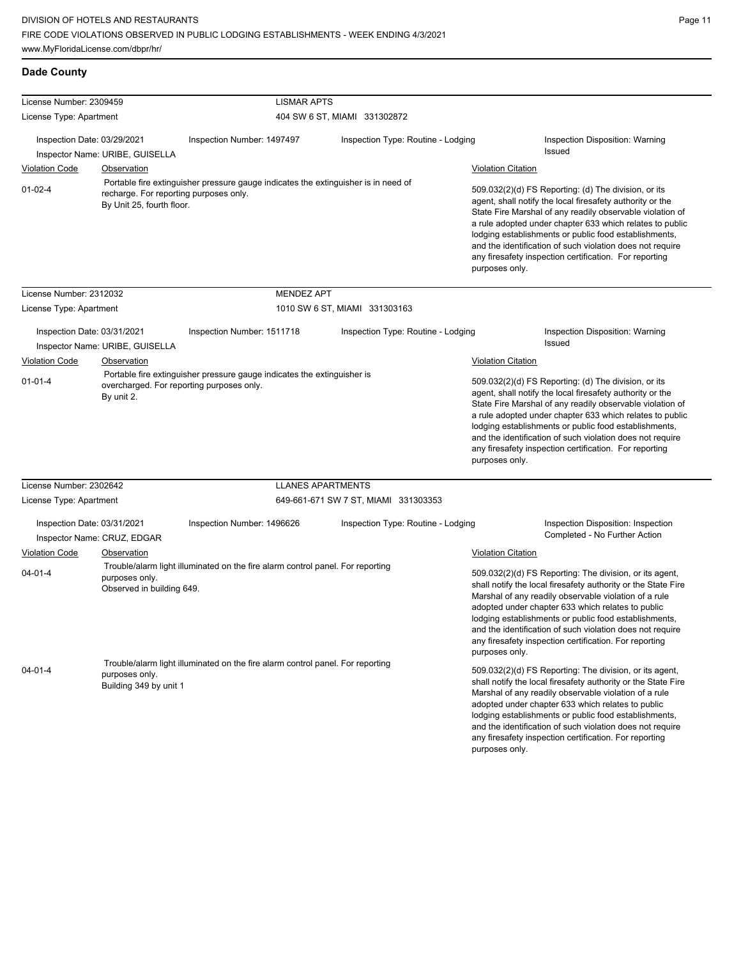## **Dade County**

| License Number: 2309459     |                                                                     | <b>LISMAR APTS</b>                                                                                                   |                                      |                           |                                                                                                                                                                                                                                                                                                                                                                                                                            |
|-----------------------------|---------------------------------------------------------------------|----------------------------------------------------------------------------------------------------------------------|--------------------------------------|---------------------------|----------------------------------------------------------------------------------------------------------------------------------------------------------------------------------------------------------------------------------------------------------------------------------------------------------------------------------------------------------------------------------------------------------------------------|
| License Type: Apartment     |                                                                     |                                                                                                                      | 404 SW 6 ST, MIAMI 331302872         |                           |                                                                                                                                                                                                                                                                                                                                                                                                                            |
| Inspection Date: 03/29/2021 | Inspector Name: URIBE, GUISELLA                                     | Inspection Number: 1497497                                                                                           | Inspection Type: Routine - Lodging   |                           | Inspection Disposition: Warning<br><b>Issued</b>                                                                                                                                                                                                                                                                                                                                                                           |
| <b>Violation Code</b>       | Observation                                                         |                                                                                                                      |                                      | <b>Violation Citation</b> |                                                                                                                                                                                                                                                                                                                                                                                                                            |
| $01 - 02 - 4$               | recharge. For reporting purposes only.<br>By Unit 25, fourth floor. | Portable fire extinguisher pressure gauge indicates the extinguisher is in need of                                   |                                      | purposes only.            | 509.032(2)(d) FS Reporting: (d) The division, or its<br>agent, shall notify the local firesafety authority or the<br>State Fire Marshal of any readily observable violation of<br>a rule adopted under chapter 633 which relates to public<br>lodging establishments or public food establishments,<br>and the identification of such violation does not require<br>any firesafety inspection certification. For reporting |
| License Number: 2312032     |                                                                     | <b>MENDEZ APT</b>                                                                                                    |                                      |                           |                                                                                                                                                                                                                                                                                                                                                                                                                            |
| License Type: Apartment     |                                                                     |                                                                                                                      | 1010 SW 6 ST, MIAMI 331303163        |                           |                                                                                                                                                                                                                                                                                                                                                                                                                            |
| Inspection Date: 03/31/2021 | Inspector Name: URIBE, GUISELLA                                     | Inspection Number: 1511718                                                                                           | Inspection Type: Routine - Lodging   |                           | Inspection Disposition: Warning<br><b>Issued</b>                                                                                                                                                                                                                                                                                                                                                                           |
| <b>Violation Code</b>       | Observation                                                         |                                                                                                                      |                                      | <b>Violation Citation</b> |                                                                                                                                                                                                                                                                                                                                                                                                                            |
| $01 - 01 - 4$               | By unit 2.                                                          | Portable fire extinguisher pressure gauge indicates the extinguisher is<br>overcharged. For reporting purposes only. |                                      | purposes only.            | 509.032(2)(d) FS Reporting: (d) The division, or its<br>agent, shall notify the local firesafety authority or the<br>State Fire Marshal of any readily observable violation of<br>a rule adopted under chapter 633 which relates to public<br>lodging establishments or public food establishments,<br>and the identification of such violation does not require<br>any firesafety inspection certification. For reporting |
| License Number: 2302642     |                                                                     | <b>LLANES APARTMENTS</b>                                                                                             |                                      |                           |                                                                                                                                                                                                                                                                                                                                                                                                                            |
| License Type: Apartment     |                                                                     |                                                                                                                      | 649-661-671 SW 7 ST, MIAMI 331303353 |                           |                                                                                                                                                                                                                                                                                                                                                                                                                            |
| Inspection Date: 03/31/2021 | Inspector Name: CRUZ, EDGAR                                         | Inspection Number: 1496626                                                                                           | Inspection Type: Routine - Lodging   |                           | Inspection Disposition: Inspection<br>Completed - No Further Action                                                                                                                                                                                                                                                                                                                                                        |
| <b>Violation Code</b>       | Observation                                                         |                                                                                                                      |                                      | <b>Violation Citation</b> |                                                                                                                                                                                                                                                                                                                                                                                                                            |
| $04 - 01 - 4$               | purposes only.<br>Observed in building 649.                         | Trouble/alarm light illuminated on the fire alarm control panel. For reporting                                       |                                      | purposes only.            | 509.032(2)(d) FS Reporting: The division, or its agent,<br>shall notify the local firesafety authority or the State Fire<br>Marshal of any readily observable violation of a rule<br>adopted under chapter 633 which relates to public<br>lodging establishments or public food establishments,<br>and the identification of such violation does not require<br>any firesafety inspection certification. For reporting     |
| $04 - 01 - 4$               | purposes only.<br>Building 349 by unit 1                            | Trouble/alarm light illuminated on the fire alarm control panel. For reporting                                       |                                      | purposes only.            | 509.032(2)(d) FS Reporting: The division, or its agent,<br>shall notify the local firesafety authority or the State Fire<br>Marshal of any readily observable violation of a rule<br>adopted under chapter 633 which relates to public<br>lodging establishments or public food establishments,<br>and the identification of such violation does not require<br>any firesafety inspection certification. For reporting     |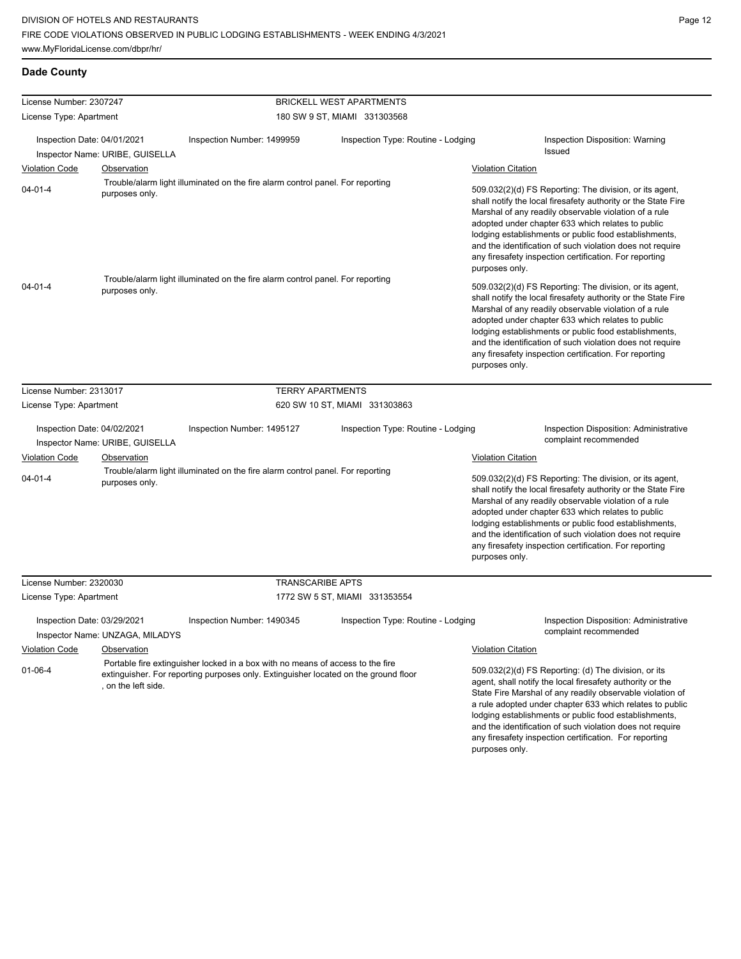## **Dade County**

| License Number: 2307247                              |                                                       |                                                                                                                                                                       | <b>BRICKELL WEST APARTMENTS</b>    |                           |                                                                                                                                                                                                                                                                                                                                                                                                                            |
|------------------------------------------------------|-------------------------------------------------------|-----------------------------------------------------------------------------------------------------------------------------------------------------------------------|------------------------------------|---------------------------|----------------------------------------------------------------------------------------------------------------------------------------------------------------------------------------------------------------------------------------------------------------------------------------------------------------------------------------------------------------------------------------------------------------------------|
| License Type: Apartment                              |                                                       | 180 SW 9 ST, MIAMI 331303568                                                                                                                                          |                                    |                           |                                                                                                                                                                                                                                                                                                                                                                                                                            |
| Inspection Date: 04/01/2021                          |                                                       | Inspection Number: 1499959                                                                                                                                            | Inspection Type: Routine - Lodging |                           | Inspection Disposition: Warning<br>Issued                                                                                                                                                                                                                                                                                                                                                                                  |
| <b>Violation Code</b>                                | Inspector Name: URIBE, GUISELLA<br>Observation        |                                                                                                                                                                       |                                    | <b>Violation Citation</b> |                                                                                                                                                                                                                                                                                                                                                                                                                            |
| $04 - 01 - 4$                                        | purposes only.                                        | Trouble/alarm light illuminated on the fire alarm control panel. For reporting                                                                                        |                                    | purposes only.            | 509.032(2)(d) FS Reporting: The division, or its agent,<br>shall notify the local firesafety authority or the State Fire<br>Marshal of any readily observable violation of a rule<br>adopted under chapter 633 which relates to public<br>lodging establishments or public food establishments,<br>and the identification of such violation does not require<br>any firesafety inspection certification. For reporting     |
| $04 - 01 - 4$                                        | purposes only.                                        | Trouble/alarm light illuminated on the fire alarm control panel. For reporting                                                                                        |                                    | purposes only.            | 509.032(2)(d) FS Reporting: The division, or its agent,<br>shall notify the local firesafety authority or the State Fire<br>Marshal of any readily observable violation of a rule<br>adopted under chapter 633 which relates to public<br>lodging establishments or public food establishments,<br>and the identification of such violation does not require<br>any firesafety inspection certification. For reporting     |
| License Number: 2313017                              |                                                       | <b>TERRY APARTMENTS</b>                                                                                                                                               |                                    |                           |                                                                                                                                                                                                                                                                                                                                                                                                                            |
| License Type: Apartment                              |                                                       |                                                                                                                                                                       | 620 SW 10 ST, MIAMI 331303863      |                           |                                                                                                                                                                                                                                                                                                                                                                                                                            |
| Inspection Date: 04/02/2021                          | Inspector Name: URIBE, GUISELLA                       | Inspection Number: 1495127                                                                                                                                            | Inspection Type: Routine - Lodging |                           | <b>Inspection Disposition: Administrative</b><br>complaint recommended                                                                                                                                                                                                                                                                                                                                                     |
| <b>Violation Code</b>                                | <b>Observation</b>                                    |                                                                                                                                                                       |                                    | <b>Violation Citation</b> |                                                                                                                                                                                                                                                                                                                                                                                                                            |
| $04 - 01 - 4$                                        | purposes only.                                        | Trouble/alarm light illuminated on the fire alarm control panel. For reporting                                                                                        |                                    | purposes only.            | 509.032(2)(d) FS Reporting: The division, or its agent,<br>shall notify the local firesafety authority or the State Fire<br>Marshal of any readily observable violation of a rule<br>adopted under chapter 633 which relates to public<br>lodging establishments or public food establishments,<br>and the identification of such violation does not require<br>any firesafety inspection certification. For reporting     |
| License Number: 2320030                              |                                                       | <b>TRANSCARIBE APTS</b>                                                                                                                                               |                                    |                           |                                                                                                                                                                                                                                                                                                                                                                                                                            |
| License Type: Apartment                              |                                                       |                                                                                                                                                                       | 1772 SW 5 ST, MIAMI 331353554      |                           |                                                                                                                                                                                                                                                                                                                                                                                                                            |
| Inspection Date: 03/29/2021<br><b>Violation Code</b> | Inspector Name: UNZAGA, MILADYS<br><b>Observation</b> | Inspection Number: 1490345                                                                                                                                            | Inspection Type: Routine - Lodging | <b>Violation Citation</b> | <b>Inspection Disposition: Administrative</b><br>complaint recommended                                                                                                                                                                                                                                                                                                                                                     |
| $01 - 06 - 4$                                        | , on the left side.                                   | Portable fire extinguisher locked in a box with no means of access to the fire<br>extinguisher. For reporting purposes only. Extinguisher located on the ground floor |                                    | purposes only.            | 509.032(2)(d) FS Reporting: (d) The division, or its<br>agent, shall notify the local firesafety authority or the<br>State Fire Marshal of any readily observable violation of<br>a rule adopted under chapter 633 which relates to public<br>lodging establishments or public food establishments,<br>and the identification of such violation does not require<br>any firesafety inspection certification. For reporting |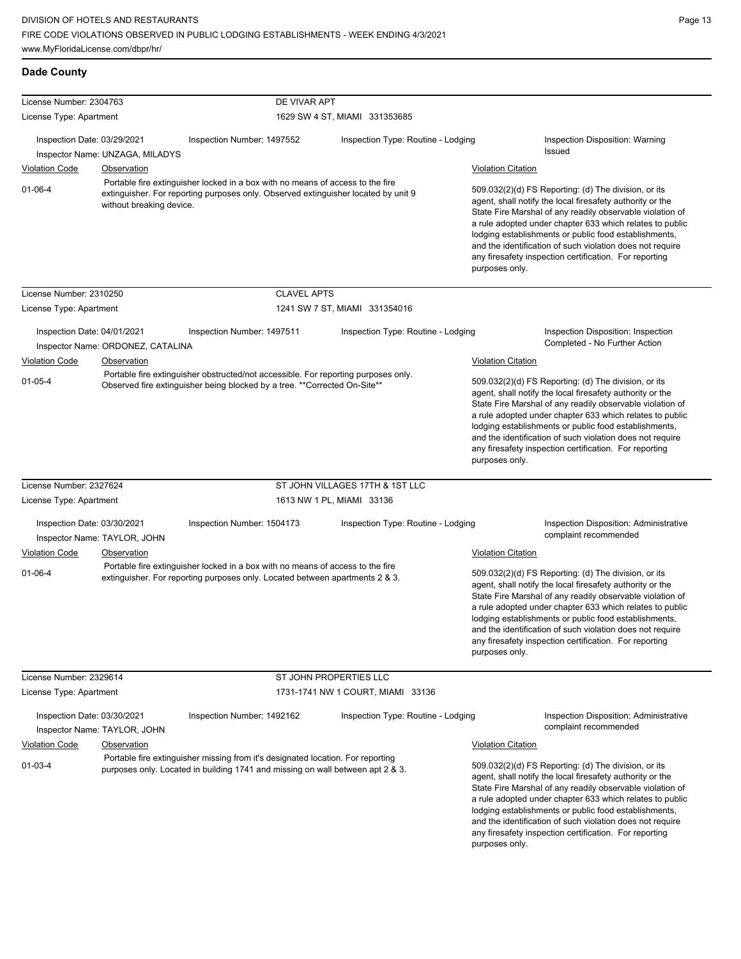| <b>Dade County</b>                        |                                   |                                                                                                                                                                      |                                    |                                                                                                                                                                                                                                                                                                                                                                                                                                              |                                                                                                                                                                                                                                                                                                                                                                                                                            |
|-------------------------------------------|-----------------------------------|----------------------------------------------------------------------------------------------------------------------------------------------------------------------|------------------------------------|----------------------------------------------------------------------------------------------------------------------------------------------------------------------------------------------------------------------------------------------------------------------------------------------------------------------------------------------------------------------------------------------------------------------------------------------|----------------------------------------------------------------------------------------------------------------------------------------------------------------------------------------------------------------------------------------------------------------------------------------------------------------------------------------------------------------------------------------------------------------------------|
| License Number: 2304763                   |                                   | DE VIVAR APT                                                                                                                                                         |                                    |                                                                                                                                                                                                                                                                                                                                                                                                                                              |                                                                                                                                                                                                                                                                                                                                                                                                                            |
| License Type: Apartment                   |                                   |                                                                                                                                                                      | 1629 SW 4 ST, MIAMI 331353685      |                                                                                                                                                                                                                                                                                                                                                                                                                                              |                                                                                                                                                                                                                                                                                                                                                                                                                            |
| Inspection Date: 03/29/2021               |                                   | Inspection Number: 1497552                                                                                                                                           |                                    |                                                                                                                                                                                                                                                                                                                                                                                                                                              |                                                                                                                                                                                                                                                                                                                                                                                                                            |
|                                           | Inspector Name: UNZAGA, MILADYS   |                                                                                                                                                                      | Inspection Type: Routine - Lodging |                                                                                                                                                                                                                                                                                                                                                                                                                                              | Inspection Disposition: Warning<br><b>Issued</b>                                                                                                                                                                                                                                                                                                                                                                           |
| <b>Violation Code</b>                     | <b>Observation</b>                |                                                                                                                                                                      |                                    | <b>Violation Citation</b>                                                                                                                                                                                                                                                                                                                                                                                                                    |                                                                                                                                                                                                                                                                                                                                                                                                                            |
| $01 - 06 - 4$<br>without breaking device. |                                   | Portable fire extinguisher locked in a box with no means of access to the fire<br>extinguisher. For reporting purposes only. Observed extinguisher located by unit 9 |                                    | 509.032(2)(d) FS Reporting: (d) The division, or its<br>agent, shall notify the local firesafety authority or the<br>State Fire Marshal of any readily observable violation of<br>a rule adopted under chapter 633 which relates to public<br>lodging establishments or public food establishments,<br>and the identification of such violation does not require<br>any firesafety inspection certification. For reporting<br>purposes only. |                                                                                                                                                                                                                                                                                                                                                                                                                            |
| License Number: 2310250                   |                                   | <b>CLAVEL APTS</b>                                                                                                                                                   |                                    |                                                                                                                                                                                                                                                                                                                                                                                                                                              |                                                                                                                                                                                                                                                                                                                                                                                                                            |
| License Type: Apartment                   |                                   |                                                                                                                                                                      | 1241 SW 7 ST, MIAMI 331354016      |                                                                                                                                                                                                                                                                                                                                                                                                                                              |                                                                                                                                                                                                                                                                                                                                                                                                                            |
| Inspection Date: 04/01/2021               | Inspector Name: ORDONEZ, CATALINA | Inspection Number: 1497511                                                                                                                                           | Inspection Type: Routine - Lodging |                                                                                                                                                                                                                                                                                                                                                                                                                                              | Inspection Disposition: Inspection<br>Completed - No Further Action                                                                                                                                                                                                                                                                                                                                                        |
| <b>Violation Code</b>                     | Observation                       |                                                                                                                                                                      |                                    | <b>Violation Citation</b>                                                                                                                                                                                                                                                                                                                                                                                                                    |                                                                                                                                                                                                                                                                                                                                                                                                                            |
| $01 - 05 - 4$                             |                                   | Portable fire extinguisher obstructed/not accessible. For reporting purposes only.<br>Observed fire extinguisher being blocked by a tree. **Corrected On-Site**      |                                    | purposes only.                                                                                                                                                                                                                                                                                                                                                                                                                               | 509.032(2)(d) FS Reporting: (d) The division, or its<br>agent, shall notify the local firesafety authority or the<br>State Fire Marshal of any readily observable violation of<br>a rule adopted under chapter 633 which relates to public<br>lodging establishments or public food establishments,<br>and the identification of such violation does not require<br>any firesafety inspection certification. For reporting |
| License Number: 2327624                   |                                   |                                                                                                                                                                      | ST JOHN VILLAGES 17TH & 1ST LLC    |                                                                                                                                                                                                                                                                                                                                                                                                                                              |                                                                                                                                                                                                                                                                                                                                                                                                                            |
| License Type: Apartment                   |                                   |                                                                                                                                                                      | 1613 NW 1 PL, MIAMI 33136          |                                                                                                                                                                                                                                                                                                                                                                                                                                              |                                                                                                                                                                                                                                                                                                                                                                                                                            |
| Inspection Date: 03/30/2021               | Inspector Name: TAYLOR, JOHN      | Inspection Number: 1504173                                                                                                                                           | Inspection Type: Routine - Lodging |                                                                                                                                                                                                                                                                                                                                                                                                                                              | Inspection Disposition: Administrative<br>complaint recommended                                                                                                                                                                                                                                                                                                                                                            |
| <b>Violation Code</b>                     | Observation                       |                                                                                                                                                                      |                                    | <b>Violation Citation</b>                                                                                                                                                                                                                                                                                                                                                                                                                    |                                                                                                                                                                                                                                                                                                                                                                                                                            |
| $01 - 06 - 4$                             |                                   | Portable fire extinguisher locked in a box with no means of access to the fire<br>extinguisher. For reporting purposes only. Located between apartments 2 & 3.       |                                    | 509.032(2)(d) FS Reporting: (d) The division, or its<br>agent, shall notify the local firesafety authority or the<br>State Fire Marshal of any readily observable violation of<br>a rule adopted under chapter 633 which relates to public<br>lodging establishments or public food establishments,<br>and the identification of such violation does not require<br>any firesafety inspection certification. For reporting<br>purposes only. |                                                                                                                                                                                                                                                                                                                                                                                                                            |
| License Number: 2329614                   |                                   |                                                                                                                                                                      | ST JOHN PROPERTIES LLC             |                                                                                                                                                                                                                                                                                                                                                                                                                                              |                                                                                                                                                                                                                                                                                                                                                                                                                            |
| License Type: Apartment                   |                                   |                                                                                                                                                                      | 1731-1741 NW 1 COURT, MIAMI 33136  |                                                                                                                                                                                                                                                                                                                                                                                                                                              |                                                                                                                                                                                                                                                                                                                                                                                                                            |
| Inspection Date: 03/30/2021               | Inspector Name: TAYLOR, JOHN      | Inspection Number: 1492162                                                                                                                                           | Inspection Type: Routine - Lodging |                                                                                                                                                                                                                                                                                                                                                                                                                                              | Inspection Disposition: Administrative<br>complaint recommended                                                                                                                                                                                                                                                                                                                                                            |
| <b>Violation Code</b>                     | Observation                       |                                                                                                                                                                      |                                    | <b>Violation Citation</b>                                                                                                                                                                                                                                                                                                                                                                                                                    |                                                                                                                                                                                                                                                                                                                                                                                                                            |
| $01 - 03 - 4$                             |                                   | Portable fire extinguisher missing from it's designated location. For reporting<br>purposes only. Located in building 1741 and missing on wall between apt 2 & 3.    |                                    |                                                                                                                                                                                                                                                                                                                                                                                                                                              | 509.032(2)(d) FS Reporting: (d) The division, or its<br>agent, shall notify the local firesafety authority or the<br>State Fire Marshal of any readily observable violation of<br>a rule adopted under chapter 633 which relates to public<br>lodging establishments or public food establishments,<br>and the identification of such violation does not require                                                           |

any firesafety inspection certification. For reporting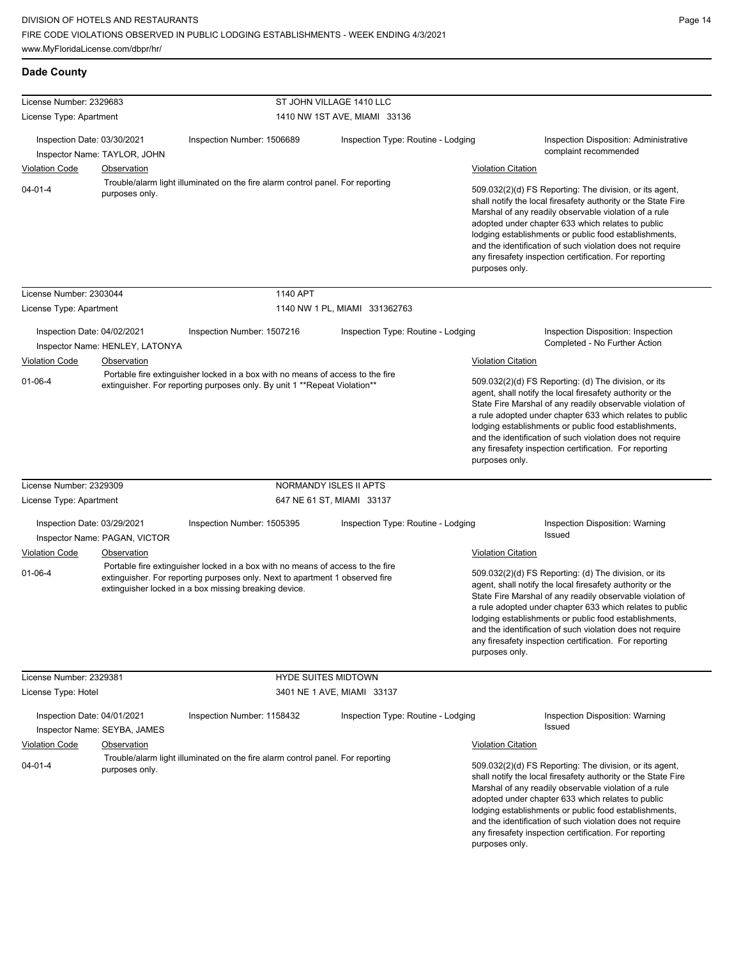| <b>Dade County</b>                                                                                                                                                                              |                                 |                                                                                                                                                                                                                                                                                                                                                                                                                                          |                                    |                           |                                                                                                                                                                                                                                                                                                                                                                                                                            |
|-------------------------------------------------------------------------------------------------------------------------------------------------------------------------------------------------|---------------------------------|------------------------------------------------------------------------------------------------------------------------------------------------------------------------------------------------------------------------------------------------------------------------------------------------------------------------------------------------------------------------------------------------------------------------------------------|------------------------------------|---------------------------|----------------------------------------------------------------------------------------------------------------------------------------------------------------------------------------------------------------------------------------------------------------------------------------------------------------------------------------------------------------------------------------------------------------------------|
| License Number: 2329683                                                                                                                                                                         |                                 |                                                                                                                                                                                                                                                                                                                                                                                                                                          | ST JOHN VILLAGE 1410 LLC           |                           |                                                                                                                                                                                                                                                                                                                                                                                                                            |
| License Type: Apartment                                                                                                                                                                         |                                 |                                                                                                                                                                                                                                                                                                                                                                                                                                          | 1410 NW 1ST AVE, MIAMI 33136       |                           |                                                                                                                                                                                                                                                                                                                                                                                                                            |
| Inspection Date: 03/30/2021                                                                                                                                                                     | Inspector Name: TAYLOR, JOHN    | Inspection Number: 1506689                                                                                                                                                                                                                                                                                                                                                                                                               | Inspection Type: Routine - Lodging |                           | <b>Inspection Disposition: Administrative</b><br>complaint recommended                                                                                                                                                                                                                                                                                                                                                     |
| <b>Violation Code</b>                                                                                                                                                                           | <b>Observation</b>              |                                                                                                                                                                                                                                                                                                                                                                                                                                          |                                    | <b>Violation Citation</b> |                                                                                                                                                                                                                                                                                                                                                                                                                            |
| Trouble/alarm light illuminated on the fire alarm control panel. For reporting<br>$04 - 01 - 4$<br>purposes only.                                                                               |                                 | 509.032(2)(d) FS Reporting: The division, or its agent,<br>shall notify the local firesafety authority or the State Fire<br>Marshal of any readily observable violation of a rule<br>adopted under chapter 633 which relates to public<br>lodging establishments or public food establishments,<br>and the identification of such violation does not require<br>any firesafety inspection certification. For reporting<br>purposes only. |                                    |                           |                                                                                                                                                                                                                                                                                                                                                                                                                            |
| License Number: 2303044                                                                                                                                                                         |                                 | 1140 APT                                                                                                                                                                                                                                                                                                                                                                                                                                 |                                    |                           |                                                                                                                                                                                                                                                                                                                                                                                                                            |
| License Type: Apartment                                                                                                                                                                         |                                 |                                                                                                                                                                                                                                                                                                                                                                                                                                          | 1140 NW 1 PL, MIAMI 331362763      |                           |                                                                                                                                                                                                                                                                                                                                                                                                                            |
|                                                                                                                                                                                                 |                                 |                                                                                                                                                                                                                                                                                                                                                                                                                                          |                                    |                           |                                                                                                                                                                                                                                                                                                                                                                                                                            |
| Inspection Date: 04/02/2021                                                                                                                                                                     |                                 | Inspection Number: 1507216                                                                                                                                                                                                                                                                                                                                                                                                               | Inspection Type: Routine - Lodging |                           | Inspection Disposition: Inspection                                                                                                                                                                                                                                                                                                                                                                                         |
|                                                                                                                                                                                                 | Inspector Name: HENLEY, LATONYA |                                                                                                                                                                                                                                                                                                                                                                                                                                          |                                    |                           | Completed - No Further Action                                                                                                                                                                                                                                                                                                                                                                                              |
| <b>Violation Code</b>                                                                                                                                                                           | Observation                     |                                                                                                                                                                                                                                                                                                                                                                                                                                          |                                    | <b>Violation Citation</b> |                                                                                                                                                                                                                                                                                                                                                                                                                            |
| Portable fire extinguisher locked in a box with no means of access to the fire<br>$01 - 06 - 4$<br>extinguisher. For reporting purposes only. By unit 1 ** Repeat Violation**<br>purposes only. |                                 | 509.032(2)(d) FS Reporting: (d) The division, or its<br>agent, shall notify the local firesafety authority or the<br>State Fire Marshal of any readily observable violation of<br>a rule adopted under chapter 633 which relates to public<br>lodging establishments or public food establishments,<br>and the identification of such violation does not require<br>any firesafety inspection certification. For reporting               |                                    |                           |                                                                                                                                                                                                                                                                                                                                                                                                                            |
| License Number: 2329309                                                                                                                                                                         |                                 |                                                                                                                                                                                                                                                                                                                                                                                                                                          | NORMANDY ISLES II APTS             |                           |                                                                                                                                                                                                                                                                                                                                                                                                                            |
| License Type: Apartment                                                                                                                                                                         |                                 |                                                                                                                                                                                                                                                                                                                                                                                                                                          | 647 NE 61 ST, MIAMI 33137          |                           |                                                                                                                                                                                                                                                                                                                                                                                                                            |
| Inspection Date: 03/29/2021                                                                                                                                                                     | Inspector Name: PAGAN, VICTOR   | Inspection Number: 1505395                                                                                                                                                                                                                                                                                                                                                                                                               | Inspection Type: Routine - Lodging |                           | Inspection Disposition: Warning<br>Issued                                                                                                                                                                                                                                                                                                                                                                                  |
| <b>Violation Code</b>                                                                                                                                                                           | Observation                     |                                                                                                                                                                                                                                                                                                                                                                                                                                          |                                    | <b>Violation Citation</b> |                                                                                                                                                                                                                                                                                                                                                                                                                            |
| $01 - 06 - 4$                                                                                                                                                                                   |                                 | Portable fire extinguisher locked in a box with no means of access to the fire<br>extinguisher. For reporting purposes only. Next to apartment 1 observed fire<br>extinguisher locked in a box missing breaking device.                                                                                                                                                                                                                  |                                    | purposes only.            | 509.032(2)(d) FS Reporting: (d) The division, or its<br>agent, shall notify the local firesafety authority or the<br>State Fire Marshal of any readily observable violation of<br>a rule adopted under chapter 633 which relates to public<br>lodging establishments or public food establishments,<br>and the identification of such violation does not require<br>any firesafety inspection certification. For reporting |
| License Number: 2329381                                                                                                                                                                         |                                 | <b>HYDE SUITES MIDTOWN</b>                                                                                                                                                                                                                                                                                                                                                                                                               |                                    |                           |                                                                                                                                                                                                                                                                                                                                                                                                                            |
| License Type: Hotel                                                                                                                                                                             |                                 |                                                                                                                                                                                                                                                                                                                                                                                                                                          | 3401 NE 1 AVE, MIAMI 33137         |                           |                                                                                                                                                                                                                                                                                                                                                                                                                            |
| Inspection Date: 04/01/2021                                                                                                                                                                     | Inspector Name: SEYBA, JAMES    | Inspection Number: 1158432                                                                                                                                                                                                                                                                                                                                                                                                               | Inspection Type: Routine - Lodging |                           | <b>Inspection Disposition: Warning</b><br>Issued                                                                                                                                                                                                                                                                                                                                                                           |
| <b>Violation Code</b>                                                                                                                                                                           | <b>Observation</b>              |                                                                                                                                                                                                                                                                                                                                                                                                                                          |                                    | <b>Violation Citation</b> |                                                                                                                                                                                                                                                                                                                                                                                                                            |
| $04 - 01 - 4$                                                                                                                                                                                   | purposes only.                  | Trouble/alarm light illuminated on the fire alarm control panel. For reporting                                                                                                                                                                                                                                                                                                                                                           |                                    | purposes only.            | 509.032(2)(d) FS Reporting: The division, or its agent,<br>shall notify the local firesafety authority or the State Fire<br>Marshal of any readily observable violation of a rule<br>adopted under chapter 633 which relates to public<br>lodging establishments or public food establishments,<br>and the identification of such violation does not require<br>any firesafety inspection certification. For reporting     |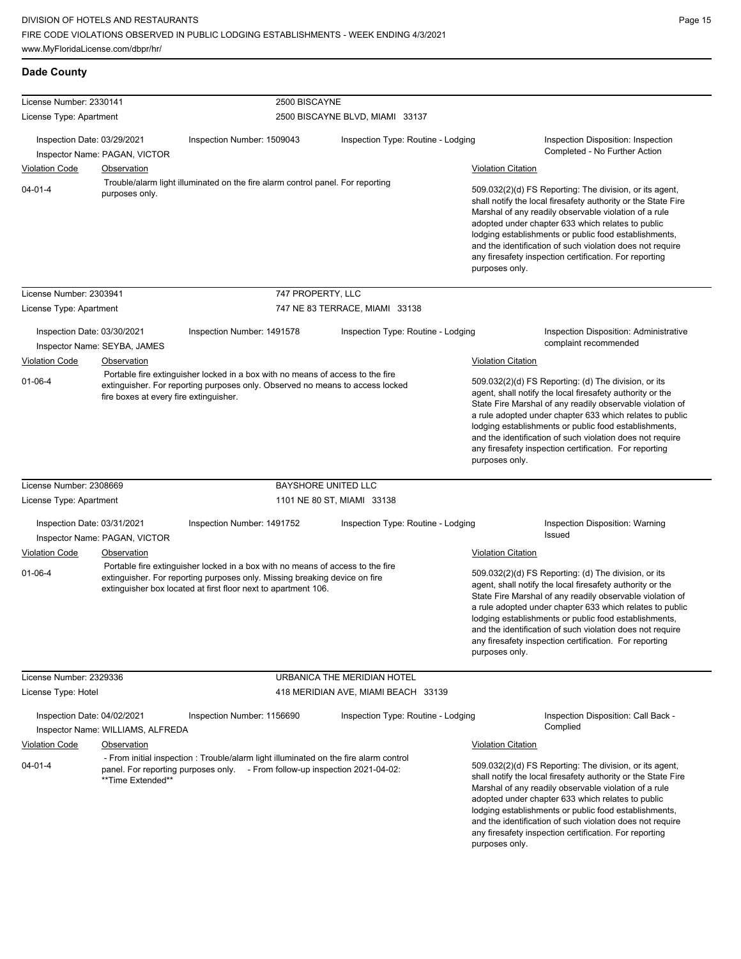**Dade County**

| License Number: 2330141                                                                                           |                                   |                                                                                                                                                                                                                                |                                     |                           |                                                                                                                                                                                                                                                                                                                                                                                                                                          |  |
|-------------------------------------------------------------------------------------------------------------------|-----------------------------------|--------------------------------------------------------------------------------------------------------------------------------------------------------------------------------------------------------------------------------|-------------------------------------|---------------------------|------------------------------------------------------------------------------------------------------------------------------------------------------------------------------------------------------------------------------------------------------------------------------------------------------------------------------------------------------------------------------------------------------------------------------------------|--|
| License Type: Apartment                                                                                           |                                   | 2500 BISCAYNE                                                                                                                                                                                                                  | 2500 BISCAYNE BLVD, MIAMI 33137     |                           |                                                                                                                                                                                                                                                                                                                                                                                                                                          |  |
|                                                                                                                   |                                   |                                                                                                                                                                                                                                |                                     |                           |                                                                                                                                                                                                                                                                                                                                                                                                                                          |  |
| Inspection Date: 03/29/2021                                                                                       |                                   | Inspection Number: 1509043                                                                                                                                                                                                     | Inspection Type: Routine - Lodging  |                           | Inspection Disposition: Inspection<br>Completed - No Further Action                                                                                                                                                                                                                                                                                                                                                                      |  |
|                                                                                                                   | Inspector Name: PAGAN, VICTOR     |                                                                                                                                                                                                                                |                                     |                           |                                                                                                                                                                                                                                                                                                                                                                                                                                          |  |
| <b>Violation Code</b>                                                                                             | <b>Observation</b>                |                                                                                                                                                                                                                                |                                     | <b>Violation Citation</b> |                                                                                                                                                                                                                                                                                                                                                                                                                                          |  |
| Trouble/alarm light illuminated on the fire alarm control panel. For reporting<br>$04 - 01 - 4$<br>purposes only. |                                   |                                                                                                                                                                                                                                |                                     |                           | 509.032(2)(d) FS Reporting: The division, or its agent,<br>shall notify the local firesafety authority or the State Fire<br>Marshal of any readily observable violation of a rule<br>adopted under chapter 633 which relates to public<br>lodging establishments or public food establishments,<br>and the identification of such violation does not require<br>any firesafety inspection certification. For reporting<br>purposes only. |  |
| License Number: 2303941                                                                                           |                                   | 747 PROPERTY, LLC                                                                                                                                                                                                              |                                     |                           |                                                                                                                                                                                                                                                                                                                                                                                                                                          |  |
| License Type: Apartment                                                                                           |                                   |                                                                                                                                                                                                                                | 747 NE 83 TERRACE, MIAMI 33138      |                           |                                                                                                                                                                                                                                                                                                                                                                                                                                          |  |
| Inspection Date: 03/30/2021                                                                                       | Inspector Name: SEYBA, JAMES      | Inspection Number: 1491578                                                                                                                                                                                                     | Inspection Type: Routine - Lodging  |                           | Inspection Disposition: Administrative<br>complaint recommended                                                                                                                                                                                                                                                                                                                                                                          |  |
| Violation Code                                                                                                    | Observation                       |                                                                                                                                                                                                                                |                                     | <b>Violation Citation</b> |                                                                                                                                                                                                                                                                                                                                                                                                                                          |  |
|                                                                                                                   |                                   | Portable fire extinguisher locked in a box with no means of access to the fire                                                                                                                                                 |                                     |                           | 509.032(2)(d) FS Reporting: (d) The division, or its                                                                                                                                                                                                                                                                                                                                                                                     |  |
| $01 - 06 - 4$<br>fire boxes at every fire extinguisher.                                                           |                                   | extinguisher. For reporting purposes only. Observed no means to access locked                                                                                                                                                  |                                     |                           | agent, shall notify the local firesafety authority or the<br>State Fire Marshal of any readily observable violation of<br>a rule adopted under chapter 633 which relates to public<br>lodging establishments or public food establishments,<br>and the identification of such violation does not require<br>any firesafety inspection certification. For reporting<br>purposes only.                                                     |  |
| License Number: 2308669                                                                                           |                                   |                                                                                                                                                                                                                                | BAYSHORE UNITED LLC                 |                           |                                                                                                                                                                                                                                                                                                                                                                                                                                          |  |
| License Type: Apartment                                                                                           |                                   |                                                                                                                                                                                                                                | 1101 NE 80 ST, MIAMI 33138          |                           |                                                                                                                                                                                                                                                                                                                                                                                                                                          |  |
| Inspection Date: 03/31/2021                                                                                       | Inspector Name: PAGAN, VICTOR     | Inspection Number: 1491752                                                                                                                                                                                                     | Inspection Type: Routine - Lodging  |                           | Inspection Disposition: Warning<br>Issued                                                                                                                                                                                                                                                                                                                                                                                                |  |
| Violation Code                                                                                                    | Observation                       |                                                                                                                                                                                                                                |                                     | <b>Violation Citation</b> |                                                                                                                                                                                                                                                                                                                                                                                                                                          |  |
| $01 - 06 - 4$                                                                                                     |                                   | Portable fire extinguisher locked in a box with no means of access to the fire<br>extinguisher. For reporting purposes only. Missing breaking device on fire<br>extinguisher box located at first floor next to apartment 106. |                                     | purposes only.            | 509.032(2)(d) FS Reporting: (d) The division, or its<br>agent, shall notify the local firesafety authority or the<br>State Fire Marshal of any readily observable violation of<br>a rule adopted under chapter 633 which relates to public<br>lodging establishments or public food establishments,<br>and the identification of such violation does not require<br>any firesafety inspection certification. For reporting               |  |
| License Number: 2329336                                                                                           |                                   |                                                                                                                                                                                                                                | URBANICA THE MERIDIAN HOTEL         |                           |                                                                                                                                                                                                                                                                                                                                                                                                                                          |  |
| License Type: Hotel                                                                                               |                                   |                                                                                                                                                                                                                                | 418 MERIDIAN AVE, MIAMI BEACH 33139 |                           |                                                                                                                                                                                                                                                                                                                                                                                                                                          |  |
| Inspection Date: 04/02/2021                                                                                       | Inspector Name: WILLIAMS, ALFREDA | Inspection Number: 1156690                                                                                                                                                                                                     | Inspection Type: Routine - Lodging  |                           | Inspection Disposition: Call Back -<br>Complied                                                                                                                                                                                                                                                                                                                                                                                          |  |
| <b>Violation Code</b>                                                                                             | Observation                       |                                                                                                                                                                                                                                |                                     | <b>Violation Citation</b> |                                                                                                                                                                                                                                                                                                                                                                                                                                          |  |
| 04-01-4                                                                                                           | **Time Extended**                 | - From initial inspection: Trouble/alarm light illuminated on the fire alarm control<br>panel. For reporting purposes only. - From follow-up inspection 2021-04-02:                                                            |                                     | purposes only.            | 509.032(2)(d) FS Reporting: The division, or its agent,<br>shall notify the local firesafety authority or the State Fire<br>Marshal of any readily observable violation of a rule<br>adopted under chapter 633 which relates to public<br>lodging establishments or public food establishments,<br>and the identification of such violation does not require<br>any firesafety inspection certification. For reporting                   |  |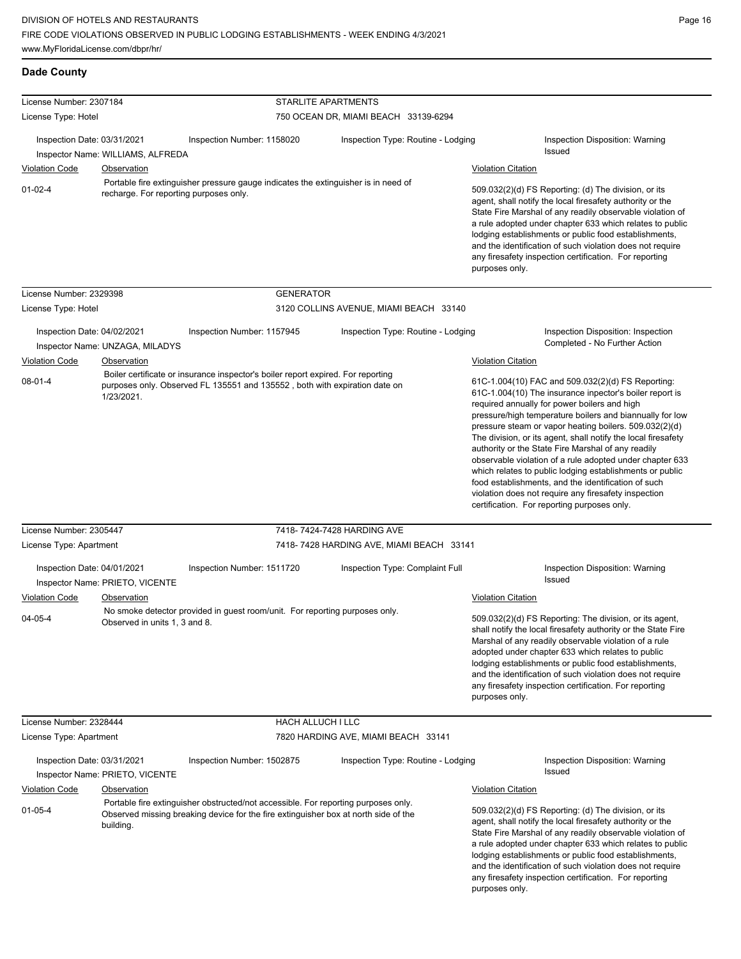| <b>Dade County</b>                                   |                                                         |                                                                                                                                                                           |                                                                        |                                                                                                                                                                                                                                                                                                                                                                                                                                                                                                                                                                                                                                                                                                                              |                                                                                                                                                                                                                                                                                                                                                                                                                            |  |
|------------------------------------------------------|---------------------------------------------------------|---------------------------------------------------------------------------------------------------------------------------------------------------------------------------|------------------------------------------------------------------------|------------------------------------------------------------------------------------------------------------------------------------------------------------------------------------------------------------------------------------------------------------------------------------------------------------------------------------------------------------------------------------------------------------------------------------------------------------------------------------------------------------------------------------------------------------------------------------------------------------------------------------------------------------------------------------------------------------------------------|----------------------------------------------------------------------------------------------------------------------------------------------------------------------------------------------------------------------------------------------------------------------------------------------------------------------------------------------------------------------------------------------------------------------------|--|
| License Number: 2307184                              |                                                         |                                                                                                                                                                           | STARLITE APARTMENTS                                                    |                                                                                                                                                                                                                                                                                                                                                                                                                                                                                                                                                                                                                                                                                                                              |                                                                                                                                                                                                                                                                                                                                                                                                                            |  |
| License Type: Hotel                                  |                                                         |                                                                                                                                                                           | 750 OCEAN DR, MIAMI BEACH 33139-6294                                   |                                                                                                                                                                                                                                                                                                                                                                                                                                                                                                                                                                                                                                                                                                                              |                                                                                                                                                                                                                                                                                                                                                                                                                            |  |
| Inspection Date: 03/31/2021<br><b>Violation Code</b> | Inspector Name: WILLIAMS, ALFREDA<br><b>Observation</b> | Inspection Number: 1158020                                                                                                                                                | Inspection Type: Routine - Lodging                                     | <b>Violation Citation</b>                                                                                                                                                                                                                                                                                                                                                                                                                                                                                                                                                                                                                                                                                                    | Inspection Disposition: Warning<br><b>Issued</b>                                                                                                                                                                                                                                                                                                                                                                           |  |
| $01 - 02 - 4$                                        | recharge. For reporting purposes only.                  | Portable fire extinguisher pressure gauge indicates the extinguisher is in need of                                                                                        |                                                                        | 509.032(2)(d) FS Reporting: (d) The division, or its<br>agent, shall notify the local firesafety authority or the<br>State Fire Marshal of any readily observable violation of<br>a rule adopted under chapter 633 which relates to public<br>lodging establishments or public food establishments,<br>and the identification of such violation does not require<br>any firesafety inspection certification. For reporting<br>purposes only.                                                                                                                                                                                                                                                                                 |                                                                                                                                                                                                                                                                                                                                                                                                                            |  |
| License Number: 2329398                              |                                                         | <b>GENERATOR</b>                                                                                                                                                          |                                                                        |                                                                                                                                                                                                                                                                                                                                                                                                                                                                                                                                                                                                                                                                                                                              |                                                                                                                                                                                                                                                                                                                                                                                                                            |  |
| License Type: Hotel                                  |                                                         |                                                                                                                                                                           | 3120 COLLINS AVENUE, MIAMI BEACH 33140                                 |                                                                                                                                                                                                                                                                                                                                                                                                                                                                                                                                                                                                                                                                                                                              |                                                                                                                                                                                                                                                                                                                                                                                                                            |  |
| Inspection Date: 04/02/2021<br><b>Violation Code</b> | Inspector Name: UNZAGA, MILADYS<br>Observation          | Inspection Number: 1157945                                                                                                                                                | Inspection Type: Routine - Lodging                                     |                                                                                                                                                                                                                                                                                                                                                                                                                                                                                                                                                                                                                                                                                                                              | Inspection Disposition: Inspection<br>Completed - No Further Action                                                                                                                                                                                                                                                                                                                                                        |  |
| $08 - 01 - 4$                                        | 1/23/2021.                                              | Boiler certificate or insurance inspector's boiler report expired. For reporting<br>purposes only. Observed FL 135551 and 135552, both with expiration date on            |                                                                        | <b>Violation Citation</b><br>61C-1.004(10) FAC and 509.032(2)(d) FS Reporting:<br>61C-1.004(10) The insurance inpector's boiler report is<br>required annually for power boilers and high<br>pressure/high temperature boilers and biannually for low<br>pressure steam or vapor heating boilers. 509.032(2)(d)<br>The division, or its agent, shall notify the local firesafety<br>authority or the State Fire Marshal of any readily<br>observable violation of a rule adopted under chapter 633<br>which relates to public lodging establishments or public<br>food establishments, and the identification of such<br>violation does not require any firesafety inspection<br>certification. For reporting purposes only. |                                                                                                                                                                                                                                                                                                                                                                                                                            |  |
| License Number: 2305447<br>License Type: Apartment   |                                                         |                                                                                                                                                                           | 7418-7424-7428 HARDING AVE<br>7418-7428 HARDING AVE, MIAMI BEACH 33141 |                                                                                                                                                                                                                                                                                                                                                                                                                                                                                                                                                                                                                                                                                                                              |                                                                                                                                                                                                                                                                                                                                                                                                                            |  |
| Inspection Date: 04/01/2021                          | Inspector Name: PRIETO, VICENTE                         | Inspection Number: 1511720                                                                                                                                                | Inspection Type: Complaint Full                                        |                                                                                                                                                                                                                                                                                                                                                                                                                                                                                                                                                                                                                                                                                                                              | Inspection Disposition: Warning<br><b>Issued</b>                                                                                                                                                                                                                                                                                                                                                                           |  |
| <b>Violation Code</b><br>$04 - 05 - 4$               | <b>Observation</b><br>Observed in units 1, 3 and 8.     | No smoke detector provided in guest room/unit. For reporting purposes only.                                                                                               |                                                                        | <b>Violation Citation</b><br>509.032(2)(d) FS Reporting: The division, or its agent,<br>shall notify the local firesafety authority or the State Fire<br>Marshal of any readily observable violation of a rule<br>adopted under chapter 633 which relates to public<br>lodging establishments or public food establishments,<br>and the identification of such violation does not require<br>any firesafety inspection certification. For reporting<br>purposes only.                                                                                                                                                                                                                                                        |                                                                                                                                                                                                                                                                                                                                                                                                                            |  |
| License Number: 2328444                              |                                                         | HACH ALLUCH I LLC                                                                                                                                                         |                                                                        |                                                                                                                                                                                                                                                                                                                                                                                                                                                                                                                                                                                                                                                                                                                              |                                                                                                                                                                                                                                                                                                                                                                                                                            |  |
| License Type: Apartment                              |                                                         |                                                                                                                                                                           | 7820 HARDING AVE, MIAMI BEACH 33141                                    |                                                                                                                                                                                                                                                                                                                                                                                                                                                                                                                                                                                                                                                                                                                              |                                                                                                                                                                                                                                                                                                                                                                                                                            |  |
| Inspection Date: 03/31/2021                          | Inspector Name: PRIETO, VICENTE                         | Inspection Number: 1502875                                                                                                                                                | Inspection Type: Routine - Lodging                                     |                                                                                                                                                                                                                                                                                                                                                                                                                                                                                                                                                                                                                                                                                                                              | Inspection Disposition: Warning<br>Issued                                                                                                                                                                                                                                                                                                                                                                                  |  |
| <b>Violation Code</b>                                | Observation                                             |                                                                                                                                                                           |                                                                        | <b>Violation Citation</b>                                                                                                                                                                                                                                                                                                                                                                                                                                                                                                                                                                                                                                                                                                    |                                                                                                                                                                                                                                                                                                                                                                                                                            |  |
| $01 - 05 - 4$                                        | building.                                               | Portable fire extinguisher obstructed/not accessible. For reporting purposes only.<br>Observed missing breaking device for the fire extinguisher box at north side of the |                                                                        | purposes only.                                                                                                                                                                                                                                                                                                                                                                                                                                                                                                                                                                                                                                                                                                               | 509.032(2)(d) FS Reporting: (d) The division, or its<br>agent, shall notify the local firesafety authority or the<br>State Fire Marshal of any readily observable violation of<br>a rule adopted under chapter 633 which relates to public<br>lodging establishments or public food establishments,<br>and the identification of such violation does not require<br>any firesafety inspection certification. For reporting |  |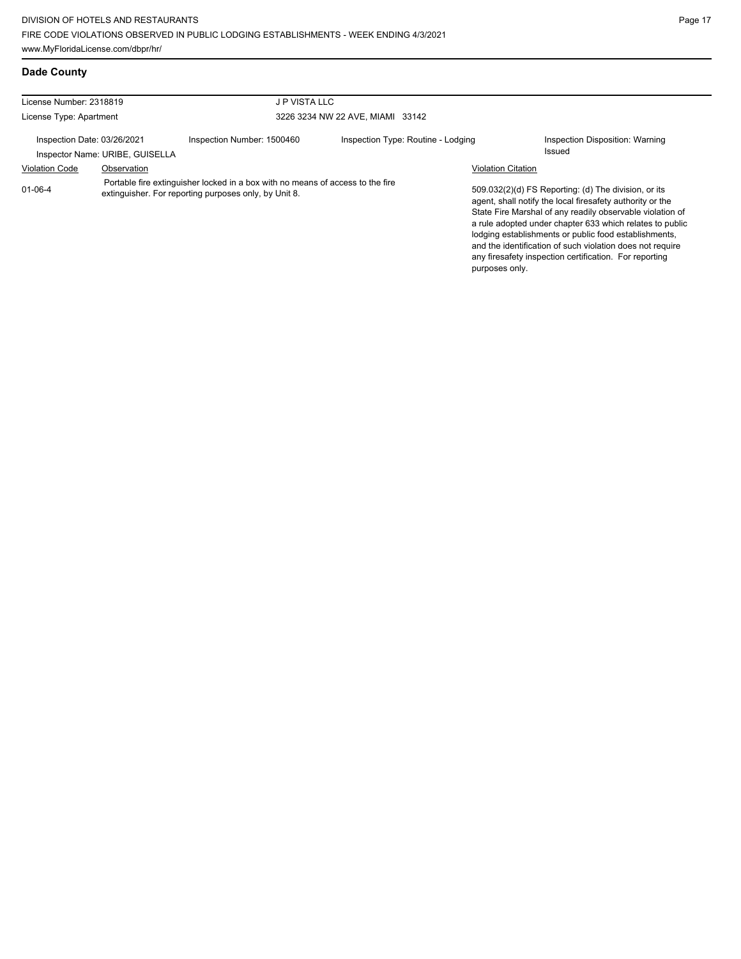and the identification of such violation does not require any firesafety inspection certification. For reporting

| Dade County                                                    |             |                                                                                                                                         |                                    |                           |                                                                                                                                                                                                                                                                                                     |
|----------------------------------------------------------------|-------------|-----------------------------------------------------------------------------------------------------------------------------------------|------------------------------------|---------------------------|-----------------------------------------------------------------------------------------------------------------------------------------------------------------------------------------------------------------------------------------------------------------------------------------------------|
| License Number: 2318819<br>J P VISTA LLC                       |             |                                                                                                                                         |                                    |                           |                                                                                                                                                                                                                                                                                                     |
| License Type: Apartment                                        |             |                                                                                                                                         | 3226 3234 NW 22 AVE, MIAMI 33142   |                           |                                                                                                                                                                                                                                                                                                     |
| Inspection Date: 03/26/2021<br>Inspector Name: URIBE, GUISELLA |             | Inspection Number: 1500460                                                                                                              | Inspection Type: Routine - Lodging |                           | Inspection Disposition: Warning<br>Issued                                                                                                                                                                                                                                                           |
| <b>Violation Code</b>                                          | Observation |                                                                                                                                         |                                    | <b>Violation Citation</b> |                                                                                                                                                                                                                                                                                                     |
| $01 - 06 - 4$                                                  |             | Portable fire extinguisher locked in a box with no means of access to the fire<br>extinguisher. For reporting purposes only, by Unit 8. |                                    |                           | 509.032(2)(d) FS Reporting: (d) The division, or its<br>agent, shall notify the local firesafety authority or the<br>State Fire Marshal of any readily observable violation of<br>a rule adopted under chapter 633 which relates to public<br>lodging establishments or public food establishments, |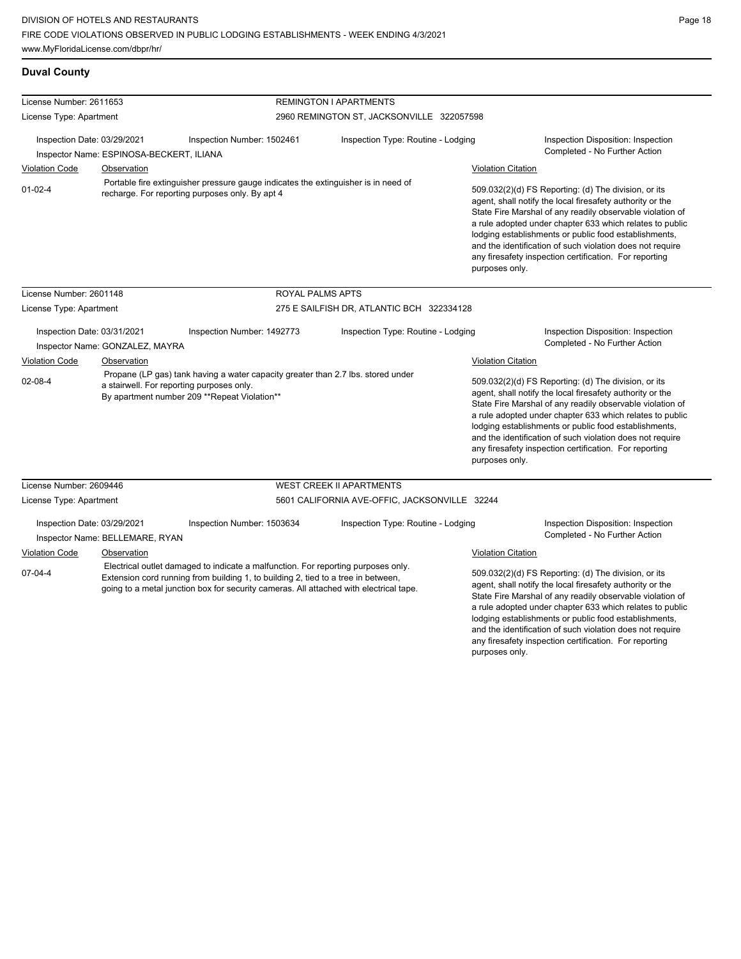## **Duval County**

| License Number: 2611653                                                                                                                                |                                          |                                                                                                                                                                                                                                                                  | <b>REMINGTON I APARTMENTS</b>             |                                                                                                                                                                                                                                                                                                                                                                                                                                              |                                                                                                                                                                                                                                                                                                                                                                  |  |
|--------------------------------------------------------------------------------------------------------------------------------------------------------|------------------------------------------|------------------------------------------------------------------------------------------------------------------------------------------------------------------------------------------------------------------------------------------------------------------|-------------------------------------------|----------------------------------------------------------------------------------------------------------------------------------------------------------------------------------------------------------------------------------------------------------------------------------------------------------------------------------------------------------------------------------------------------------------------------------------------|------------------------------------------------------------------------------------------------------------------------------------------------------------------------------------------------------------------------------------------------------------------------------------------------------------------------------------------------------------------|--|
|                                                                                                                                                        |                                          |                                                                                                                                                                                                                                                                  | 2960 REMINGTON ST, JACKSONVILLE 322057598 |                                                                                                                                                                                                                                                                                                                                                                                                                                              |                                                                                                                                                                                                                                                                                                                                                                  |  |
| License Type: Apartment                                                                                                                                |                                          |                                                                                                                                                                                                                                                                  |                                           |                                                                                                                                                                                                                                                                                                                                                                                                                                              |                                                                                                                                                                                                                                                                                                                                                                  |  |
|                                                                                                                                                        | Inspection Date: 03/29/2021              | Inspection Number: 1502461                                                                                                                                                                                                                                       | Inspection Type: Routine - Lodging        |                                                                                                                                                                                                                                                                                                                                                                                                                                              | Inspection Disposition: Inspection                                                                                                                                                                                                                                                                                                                               |  |
|                                                                                                                                                        | Inspector Name: ESPINOSA-BECKERT, ILIANA |                                                                                                                                                                                                                                                                  |                                           |                                                                                                                                                                                                                                                                                                                                                                                                                                              | Completed - No Further Action                                                                                                                                                                                                                                                                                                                                    |  |
| <b>Violation Code</b>                                                                                                                                  | Observation                              |                                                                                                                                                                                                                                                                  |                                           | <b>Violation Citation</b>                                                                                                                                                                                                                                                                                                                                                                                                                    |                                                                                                                                                                                                                                                                                                                                                                  |  |
| Portable fire extinguisher pressure gauge indicates the extinguisher is in need of<br>$01 - 02 - 4$<br>recharge. For reporting purposes only. By apt 4 |                                          |                                                                                                                                                                                                                                                                  |                                           | 509.032(2)(d) FS Reporting: (d) The division, or its<br>agent, shall notify the local firesafety authority or the<br>State Fire Marshal of any readily observable violation of<br>a rule adopted under chapter 633 which relates to public<br>lodging establishments or public food establishments,<br>and the identification of such violation does not require<br>any firesafety inspection certification. For reporting<br>purposes only. |                                                                                                                                                                                                                                                                                                                                                                  |  |
| License Number: 2601148                                                                                                                                |                                          | ROYAL PALMS APTS                                                                                                                                                                                                                                                 |                                           |                                                                                                                                                                                                                                                                                                                                                                                                                                              |                                                                                                                                                                                                                                                                                                                                                                  |  |
| License Type: Apartment                                                                                                                                |                                          |                                                                                                                                                                                                                                                                  | 275 E SAILFISH DR, ATLANTIC BCH 322334128 |                                                                                                                                                                                                                                                                                                                                                                                                                                              |                                                                                                                                                                                                                                                                                                                                                                  |  |
| Inspection Date: 03/31/2021<br>Inspector Name: GONZALEZ, MAYRA                                                                                         |                                          | Inspection Number: 1492773                                                                                                                                                                                                                                       | Inspection Type: Routine - Lodging        |                                                                                                                                                                                                                                                                                                                                                                                                                                              | Inspection Disposition: Inspection<br>Completed - No Further Action                                                                                                                                                                                                                                                                                              |  |
| <b>Violation Code</b><br>Observation                                                                                                                   |                                          |                                                                                                                                                                                                                                                                  |                                           | <b>Violation Citation</b>                                                                                                                                                                                                                                                                                                                                                                                                                    |                                                                                                                                                                                                                                                                                                                                                                  |  |
| $02 - 08 - 4$                                                                                                                                          |                                          | Propane (LP gas) tank having a water capacity greater than 2.7 lbs. stored under<br>a stairwell. For reporting purposes only.<br>By apartment number 209 **Repeat Violation**                                                                                    |                                           | 509.032(2)(d) FS Reporting: (d) The division, or its<br>agent, shall notify the local firesafety authority or the<br>State Fire Marshal of any readily observable violation of<br>a rule adopted under chapter 633 which relates to public<br>lodging establishments or public food establishments,<br>and the identification of such violation does not require<br>any firesafety inspection certification. For reporting<br>purposes only. |                                                                                                                                                                                                                                                                                                                                                                  |  |
| License Number: 2609446                                                                                                                                |                                          |                                                                                                                                                                                                                                                                  | <b>WEST CREEK II APARTMENTS</b>           |                                                                                                                                                                                                                                                                                                                                                                                                                                              |                                                                                                                                                                                                                                                                                                                                                                  |  |
| License Type: Apartment                                                                                                                                |                                          | 5601 CALIFORNIA AVE-OFFIC, JACKSONVILLE 32244                                                                                                                                                                                                                    |                                           |                                                                                                                                                                                                                                                                                                                                                                                                                                              |                                                                                                                                                                                                                                                                                                                                                                  |  |
| Inspection Date: 03/29/2021<br>Inspector Name: BELLEMARE, RYAN                                                                                         |                                          | Inspection Type: Routine - Lodging<br>Inspection Number: 1503634                                                                                                                                                                                                 |                                           |                                                                                                                                                                                                                                                                                                                                                                                                                                              | Inspection Disposition: Inspection<br>Completed - No Further Action                                                                                                                                                                                                                                                                                              |  |
|                                                                                                                                                        |                                          |                                                                                                                                                                                                                                                                  |                                           | <b>Violation Citation</b>                                                                                                                                                                                                                                                                                                                                                                                                                    |                                                                                                                                                                                                                                                                                                                                                                  |  |
| <b>Violation Code</b><br>Observation<br>$07 - 04 - 4$                                                                                                  |                                          | Electrical outlet damaged to indicate a malfunction. For reporting purposes only.<br>Extension cord running from building 1, to building 2, tied to a tree in between,<br>going to a metal junction box for security cameras. All attached with electrical tape. |                                           |                                                                                                                                                                                                                                                                                                                                                                                                                                              | 509.032(2)(d) FS Reporting: (d) The division, or its<br>agent, shall notify the local firesafety authority or the<br>State Fire Marshal of any readily observable violation of<br>a rule adopted under chapter 633 which relates to public<br>lodging establishments or public food establishments,<br>and the identification of such violation does not require |  |

any firesafety inspection certification. For reporting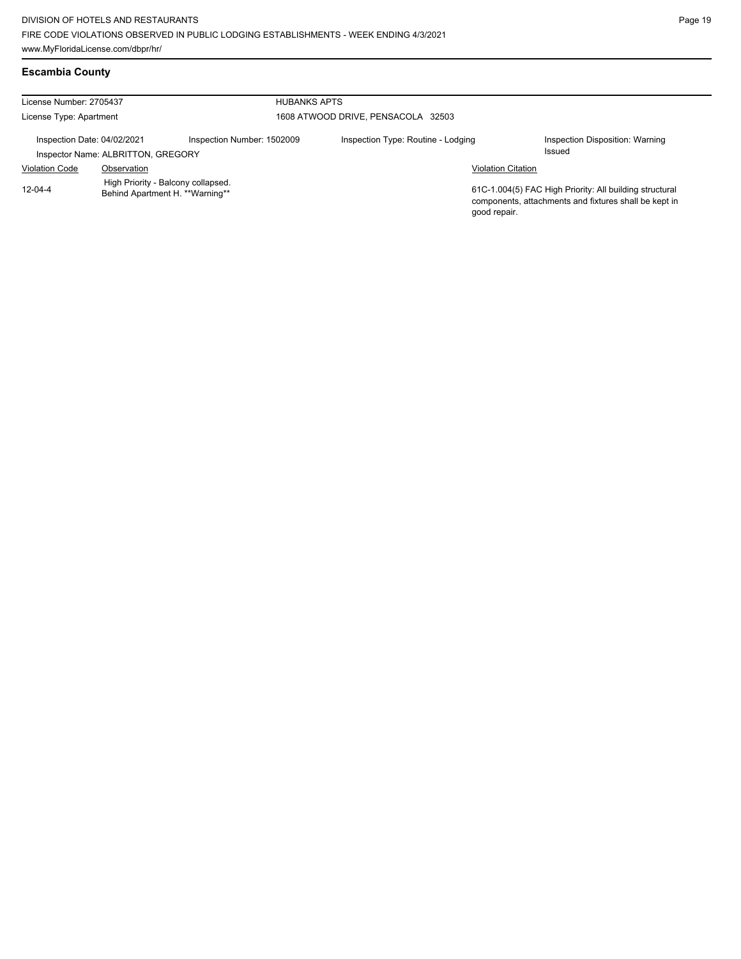# **Escambia County**

| License Number: 2705437                                           |                                                                       |                            | <b>HUBANKS APTS</b>                |                                                                                                                  |  |  |  |
|-------------------------------------------------------------------|-----------------------------------------------------------------------|----------------------------|------------------------------------|------------------------------------------------------------------------------------------------------------------|--|--|--|
| License Type: Apartment                                           |                                                                       |                            | 1608 ATWOOD DRIVE, PENSACOLA 32503 |                                                                                                                  |  |  |  |
| Inspection Date: 04/02/2021<br>Inspector Name: ALBRITTON, GREGORY |                                                                       | Inspection Number: 1502009 | Inspection Type: Routine - Lodging | Inspection Disposition: Warning<br>Issued                                                                        |  |  |  |
| <b>Violation Code</b>                                             | Observation                                                           |                            | <b>Violation Citation</b>          |                                                                                                                  |  |  |  |
| $12 - 04 - 4$                                                     | High Priority - Balcony collapsed.<br>Behind Apartment H. **Warning** |                            | good repair.                       | 61C-1.004(5) FAC High Priority: All building structural<br>components, attachments and fixtures shall be kept in |  |  |  |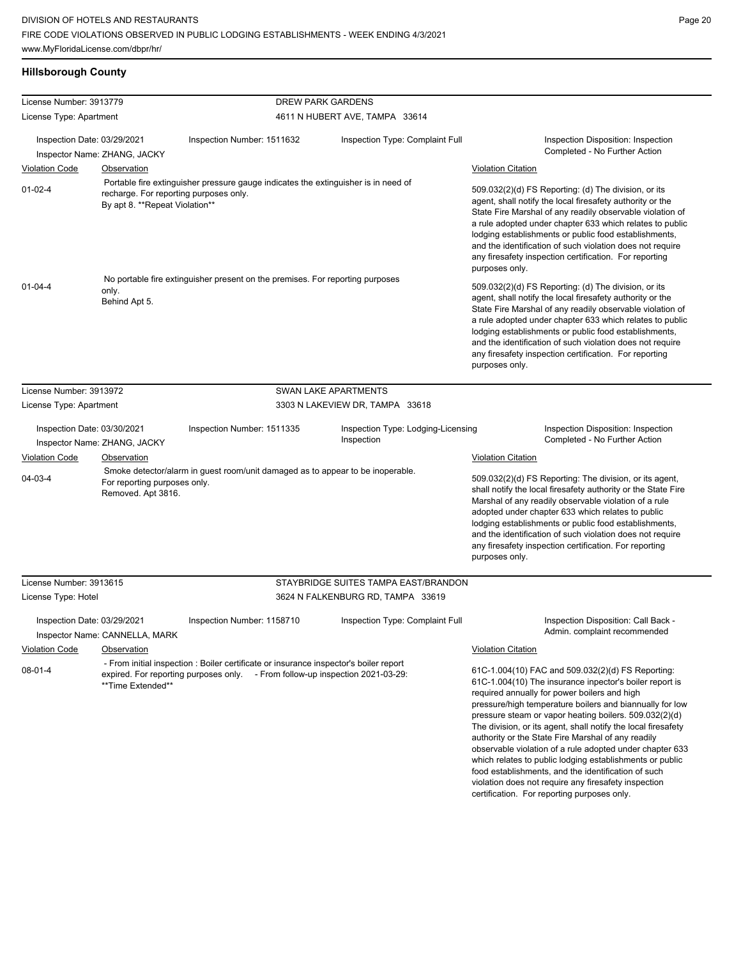# **Hillsborough County**

| License Number: 3913779                                                               |                                                                                                                                      |                                                                                                                                                                        | <b>DREW PARK GARDENS</b>                                                                                                                                                                                                                                                                                                                                                                                                                                                                                                                                                                                                                                                                        |                                                                                                                                                                                                                                                                                                                                                                                                                                              |  |
|---------------------------------------------------------------------------------------|--------------------------------------------------------------------------------------------------------------------------------------|------------------------------------------------------------------------------------------------------------------------------------------------------------------------|-------------------------------------------------------------------------------------------------------------------------------------------------------------------------------------------------------------------------------------------------------------------------------------------------------------------------------------------------------------------------------------------------------------------------------------------------------------------------------------------------------------------------------------------------------------------------------------------------------------------------------------------------------------------------------------------------|----------------------------------------------------------------------------------------------------------------------------------------------------------------------------------------------------------------------------------------------------------------------------------------------------------------------------------------------------------------------------------------------------------------------------------------------|--|
| License Type: Apartment                                                               |                                                                                                                                      |                                                                                                                                                                        | 4611 N HUBERT AVE, TAMPA 33614                                                                                                                                                                                                                                                                                                                                                                                                                                                                                                                                                                                                                                                                  |                                                                                                                                                                                                                                                                                                                                                                                                                                              |  |
|                                                                                       |                                                                                                                                      |                                                                                                                                                                        |                                                                                                                                                                                                                                                                                                                                                                                                                                                                                                                                                                                                                                                                                                 |                                                                                                                                                                                                                                                                                                                                                                                                                                              |  |
| Inspection Date: 03/29/2021                                                           |                                                                                                                                      | Inspection Number: 1511632                                                                                                                                             | Inspection Type: Complaint Full                                                                                                                                                                                                                                                                                                                                                                                                                                                                                                                                                                                                                                                                 | Inspection Disposition: Inspection<br>Completed - No Further Action                                                                                                                                                                                                                                                                                                                                                                          |  |
|                                                                                       | Inspector Name: ZHANG, JACKY                                                                                                         |                                                                                                                                                                        |                                                                                                                                                                                                                                                                                                                                                                                                                                                                                                                                                                                                                                                                                                 |                                                                                                                                                                                                                                                                                                                                                                                                                                              |  |
| <b>Violation Code</b>                                                                 | Observation                                                                                                                          |                                                                                                                                                                        |                                                                                                                                                                                                                                                                                                                                                                                                                                                                                                                                                                                                                                                                                                 | <b>Violation Citation</b>                                                                                                                                                                                                                                                                                                                                                                                                                    |  |
| $01-02-4$<br>recharge. For reporting purposes only.<br>By apt 8. **Repeat Violation** |                                                                                                                                      | Portable fire extinguisher pressure gauge indicates the extinguisher is in need of                                                                                     |                                                                                                                                                                                                                                                                                                                                                                                                                                                                                                                                                                                                                                                                                                 | 509.032(2)(d) FS Reporting: (d) The division, or its<br>agent, shall notify the local firesafety authority or the<br>State Fire Marshal of any readily observable violation of<br>a rule adopted under chapter 633 which relates to public<br>lodging establishments or public food establishments,<br>and the identification of such violation does not require<br>any firesafety inspection certification. For reporting<br>purposes only. |  |
| $01 - 04 - 4$                                                                         | No portable fire extinguisher present on the premises. For reporting purposes<br>only.<br>Behind Apt 5.                              |                                                                                                                                                                        | 509.032(2)(d) FS Reporting: (d) The division, or its<br>agent, shall notify the local firesafety authority or the<br>State Fire Marshal of any readily observable violation of<br>a rule adopted under chapter 633 which relates to public<br>lodging establishments or public food establishments,<br>and the identification of such violation does not require<br>any firesafety inspection certification. For reporting<br>purposes only.                                                                                                                                                                                                                                                    |                                                                                                                                                                                                                                                                                                                                                                                                                                              |  |
| License Number: 3913972                                                               |                                                                                                                                      |                                                                                                                                                                        | <b>SWAN LAKE APARTMENTS</b>                                                                                                                                                                                                                                                                                                                                                                                                                                                                                                                                                                                                                                                                     |                                                                                                                                                                                                                                                                                                                                                                                                                                              |  |
| License Type: Apartment                                                               |                                                                                                                                      | 3303 N LAKEVIEW DR, TAMPA 33618                                                                                                                                        |                                                                                                                                                                                                                                                                                                                                                                                                                                                                                                                                                                                                                                                                                                 |                                                                                                                                                                                                                                                                                                                                                                                                                                              |  |
| Inspection Date: 03/30/2021<br>Inspector Name: ZHANG, JACKY                           |                                                                                                                                      | Inspection Type: Lodging-Licensing<br>Inspection Number: 1511335<br>Inspection                                                                                         |                                                                                                                                                                                                                                                                                                                                                                                                                                                                                                                                                                                                                                                                                                 | Inspection Disposition: Inspection<br>Completed - No Further Action                                                                                                                                                                                                                                                                                                                                                                          |  |
| <b>Violation Code</b><br><b>Observation</b>                                           |                                                                                                                                      |                                                                                                                                                                        |                                                                                                                                                                                                                                                                                                                                                                                                                                                                                                                                                                                                                                                                                                 | <b>Violation Citation</b>                                                                                                                                                                                                                                                                                                                                                                                                                    |  |
| 04-03-4                                                                               | Smoke detector/alarm in guest room/unit damaged as to appear to be inoperable.<br>For reporting purposes only.<br>Removed. Apt 3816. |                                                                                                                                                                        |                                                                                                                                                                                                                                                                                                                                                                                                                                                                                                                                                                                                                                                                                                 | 509.032(2)(d) FS Reporting: The division, or its agent,<br>shall notify the local firesafety authority or the State Fire<br>Marshal of any readily observable violation of a rule<br>adopted under chapter 633 which relates to public<br>lodging establishments or public food establishments,<br>and the identification of such violation does not require<br>any firesafety inspection certification. For reporting<br>purposes only.     |  |
| License Number: 3913615                                                               |                                                                                                                                      |                                                                                                                                                                        | STAYBRIDGE SUITES TAMPA EAST/BRANDON                                                                                                                                                                                                                                                                                                                                                                                                                                                                                                                                                                                                                                                            |                                                                                                                                                                                                                                                                                                                                                                                                                                              |  |
| License Type: Hotel                                                                   |                                                                                                                                      | 3624 N FALKENBURG RD, TAMPA 33619                                                                                                                                      |                                                                                                                                                                                                                                                                                                                                                                                                                                                                                                                                                                                                                                                                                                 |                                                                                                                                                                                                                                                                                                                                                                                                                                              |  |
| Inspection Date: 03/29/2021                                                           | Inspector Name: CANNELLA, MARK                                                                                                       | Inspection Number: 1158710                                                                                                                                             | Inspection Type: Complaint Full                                                                                                                                                                                                                                                                                                                                                                                                                                                                                                                                                                                                                                                                 | Inspection Disposition: Call Back -<br>Admin. complaint recommended                                                                                                                                                                                                                                                                                                                                                                          |  |
| <b>Violation Code</b>                                                                 | Observation                                                                                                                          |                                                                                                                                                                        |                                                                                                                                                                                                                                                                                                                                                                                                                                                                                                                                                                                                                                                                                                 | <b>Violation Citation</b>                                                                                                                                                                                                                                                                                                                                                                                                                    |  |
| $08 - 01 - 4$                                                                         | **Time Extended**                                                                                                                    | - From initial inspection : Boiler certificate or insurance inspector's boiler report<br>expired. For reporting purposes only. - From follow-up inspection 2021-03-29: | 61C-1.004(10) FAC and 509.032(2)(d) FS Reporting:<br>61C-1.004(10) The insurance inpector's boiler report is<br>required annually for power boilers and high<br>pressure/high temperature boilers and biannually for low<br>pressure steam or vapor heating boilers. 509.032(2)(d)<br>The division, or its agent, shall notify the local firesafety<br>authority or the State Fire Marshal of any readily<br>observable violation of a rule adopted under chapter 633<br>which relates to public lodging establishments or public<br>food establishments, and the identification of such<br>violation does not require any firesafety inspection<br>certification. For reporting purposes only. |                                                                                                                                                                                                                                                                                                                                                                                                                                              |  |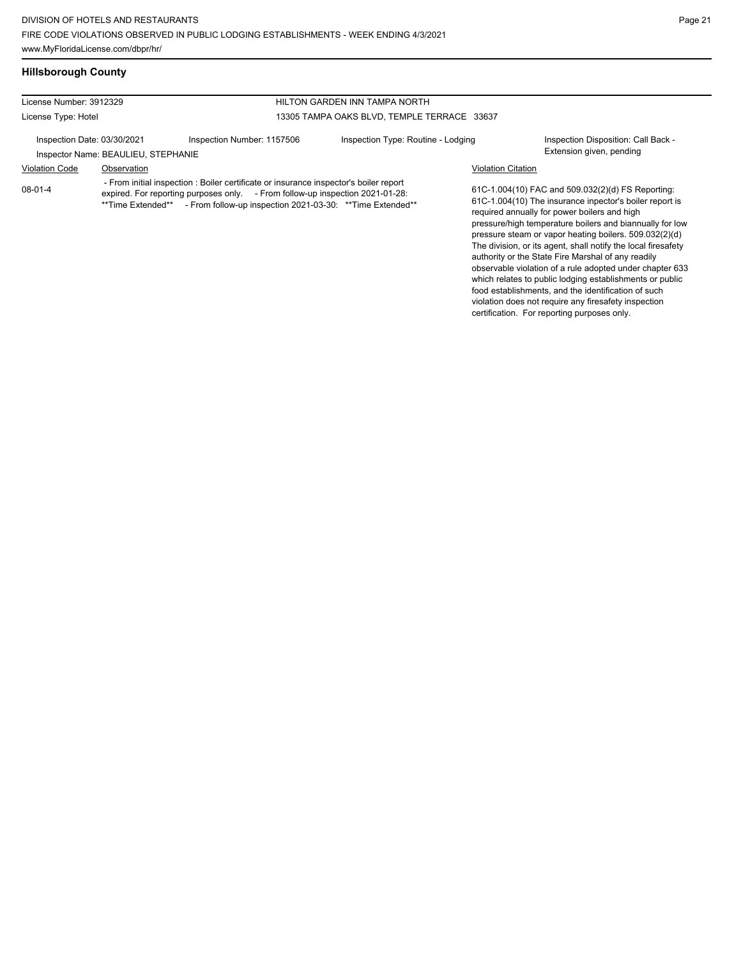which relates to public lodging establishments or public food establishments, and the identification of such violation does not require any firesafety inspection certification. For reporting purposes only.

## **Hillsborough County**

#### License Number: 3912329 License Type: Hotel HILTON GARDEN INN TAMPA NORTH 13305 TAMPA OAKS BLVD, TEMPLE TERRACE 33637 Inspection Date: 03/30/2021 Inspection Number: 1157506 Inspection Type: Routine - Lodging Inspection Disposition: Call Back -Inspector Name: BEAULIEU, STEPHANIE Violation Code Observation Violation Citation 61C-1.004(10) FAC and 509.032(2)(d) FS Reporting: 61C-1.004(10) The insurance inpector's boiler report is required annually for power boilers and high pressure/high temperature boilers and biannually for low pressure steam or vapor heating boilers. 509.032(2)(d) The division, or its agent, shall notify the local firesafety authority or the State Fire Marshal of any readily observable violation of a rule adopted under chapter 633 08-01-4 - From initial inspection : Boiler certificate or insurance inspector's boiler report expired. For reporting purposes only. - From follow-up inspection 2021-01-28: \*\*Time Extended\*\* - From follow-up inspection 2021-03-30: \*\*Time Extended\*\*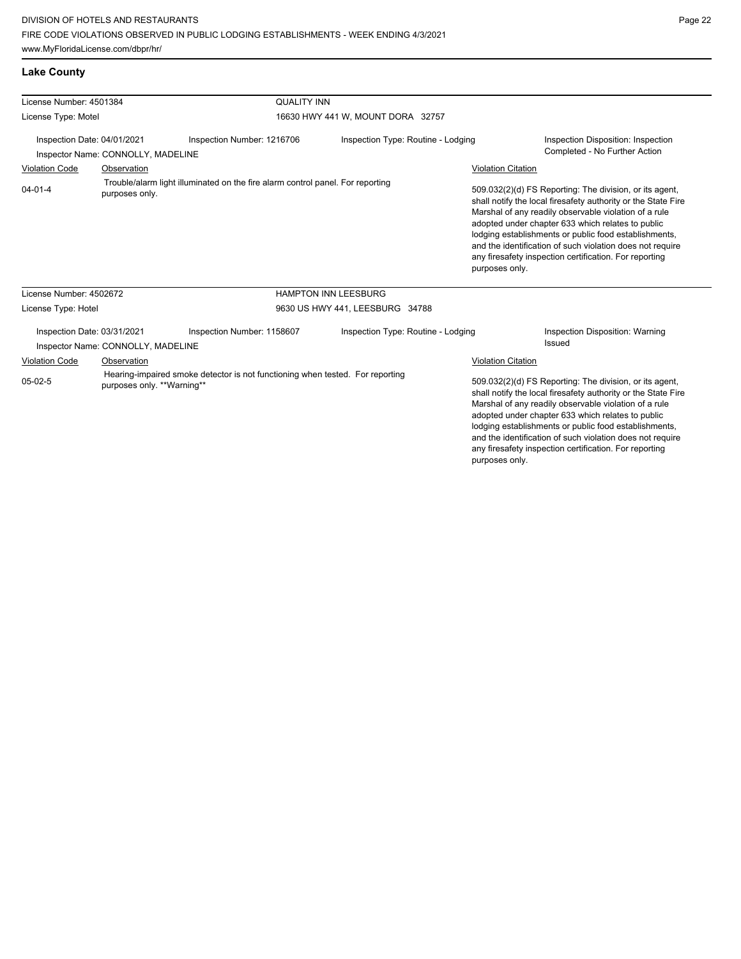| <b>Lake County</b>                                                                                        |                                                                   |                                                                                |                                    |                                                                                                                                                                                                                                                                                                                                                                                                                                          |
|-----------------------------------------------------------------------------------------------------------|-------------------------------------------------------------------|--------------------------------------------------------------------------------|------------------------------------|------------------------------------------------------------------------------------------------------------------------------------------------------------------------------------------------------------------------------------------------------------------------------------------------------------------------------------------------------------------------------------------------------------------------------------------|
| License Number: 4501384                                                                                   |                                                                   | <b>QUALITY INN</b>                                                             |                                    |                                                                                                                                                                                                                                                                                                                                                                                                                                          |
| License Type: Motel                                                                                       |                                                                   |                                                                                | 16630 HWY 441 W, MOUNT DORA 32757  |                                                                                                                                                                                                                                                                                                                                                                                                                                          |
| Inspection Date: 04/01/2021<br>Inspector Name: CONNOLLY, MADELINE<br><b>Violation Code</b><br>Observation |                                                                   | Inspection Number: 1216706                                                     | Inspection Type: Routine - Lodging | Inspection Disposition: Inspection<br>Completed - No Further Action<br><b>Violation Citation</b>                                                                                                                                                                                                                                                                                                                                         |
| $04 - 01 - 4$                                                                                             | purposes only.                                                    | Trouble/alarm light illuminated on the fire alarm control panel. For reporting |                                    | 509.032(2)(d) FS Reporting: The division, or its agent,<br>shall notify the local firesafety authority or the State Fire<br>Marshal of any readily observable violation of a rule<br>adopted under chapter 633 which relates to public<br>lodging establishments or public food establishments,<br>and the identification of such violation does not require<br>any firesafety inspection certification. For reporting<br>purposes only. |
| License Number: 4502672                                                                                   |                                                                   |                                                                                | <b>HAMPTON INN LEESBURG</b>        |                                                                                                                                                                                                                                                                                                                                                                                                                                          |
| License Type: Hotel                                                                                       |                                                                   |                                                                                | 9630 US HWY 441, LEESBURG 34788    |                                                                                                                                                                                                                                                                                                                                                                                                                                          |
|                                                                                                           | Inspection Date: 03/31/2021<br>Inspector Name: CONNOLLY, MADELINE | Inspection Number: 1158607                                                     | Inspection Type: Routine - Lodging | Inspection Disposition: Warning<br>Issued                                                                                                                                                                                                                                                                                                                                                                                                |
| <b>Violation Code</b>                                                                                     | Observation                                                       |                                                                                |                                    | <b>Violation Citation</b>                                                                                                                                                                                                                                                                                                                                                                                                                |
| $05-02-5$                                                                                                 | purposes only. **Warning**                                        | Hearing-impaired smoke detector is not functioning when tested. For reporting  |                                    | 509.032(2)(d) FS Reporting: The division, or its agent,<br>shall notify the local firesafety authority or the State Fire<br>Marshal of any readily observable violation of a rule<br>adopted under chapter 633 which relates to public<br>lodging establishments or public food establishments,<br>and the identification of such violation does not require<br>any firesafety inspection certification. For reporting                   |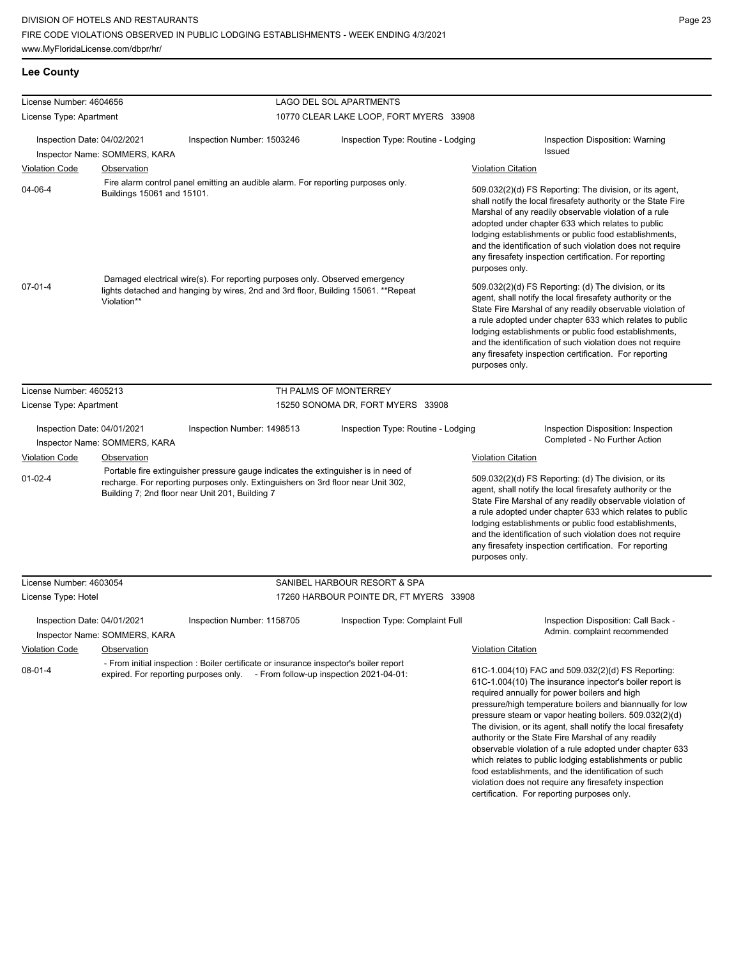## **Lee County**

| License Number: 4604656                                                                                                   |                                                     |                                                                                                                                                                                                                                                         | LAGO DEL SOL APARTMENTS                 |                                                                                                                                                                                                                                                                                                                                                                                                                                                                                                                                                                                                                                                                                                                                                                                                     |
|---------------------------------------------------------------------------------------------------------------------------|-----------------------------------------------------|---------------------------------------------------------------------------------------------------------------------------------------------------------------------------------------------------------------------------------------------------------|-----------------------------------------|-----------------------------------------------------------------------------------------------------------------------------------------------------------------------------------------------------------------------------------------------------------------------------------------------------------------------------------------------------------------------------------------------------------------------------------------------------------------------------------------------------------------------------------------------------------------------------------------------------------------------------------------------------------------------------------------------------------------------------------------------------------------------------------------------------|
| License Type: Apartment                                                                                                   |                                                     |                                                                                                                                                                                                                                                         | 10770 CLEAR LAKE LOOP, FORT MYERS 33908 |                                                                                                                                                                                                                                                                                                                                                                                                                                                                                                                                                                                                                                                                                                                                                                                                     |
|                                                                                                                           |                                                     |                                                                                                                                                                                                                                                         |                                         |                                                                                                                                                                                                                                                                                                                                                                                                                                                                                                                                                                                                                                                                                                                                                                                                     |
| Inspection Date: 04/02/2021                                                                                               |                                                     | Inspection Number: 1503246                                                                                                                                                                                                                              | Inspection Type: Routine - Lodging      | Inspection Disposition: Warning<br>Issued                                                                                                                                                                                                                                                                                                                                                                                                                                                                                                                                                                                                                                                                                                                                                           |
|                                                                                                                           | Inspector Name: SOMMERS, KARA                       |                                                                                                                                                                                                                                                         |                                         |                                                                                                                                                                                                                                                                                                                                                                                                                                                                                                                                                                                                                                                                                                                                                                                                     |
| <b>Violation Code</b>                                                                                                     | Observation                                         |                                                                                                                                                                                                                                                         |                                         | <b>Violation Citation</b>                                                                                                                                                                                                                                                                                                                                                                                                                                                                                                                                                                                                                                                                                                                                                                           |
| Fire alarm control panel emitting an audible alarm. For reporting purposes only.<br>04-06-4<br>Buildings 15061 and 15101. |                                                     |                                                                                                                                                                                                                                                         |                                         | 509.032(2)(d) FS Reporting: The division, or its agent,<br>shall notify the local firesafety authority or the State Fire<br>Marshal of any readily observable violation of a rule<br>adopted under chapter 633 which relates to public<br>lodging establishments or public food establishments,<br>and the identification of such violation does not require<br>any firesafety inspection certification. For reporting<br>purposes only.                                                                                                                                                                                                                                                                                                                                                            |
| $07 - 01 - 4$                                                                                                             | Violation**                                         | Damaged electrical wire(s). For reporting purposes only. Observed emergency<br>lights detached and hanging by wires, 2nd and 3rd floor, Building 15061. **Repeat                                                                                        |                                         | 509.032(2)(d) FS Reporting: (d) The division, or its<br>agent, shall notify the local firesafety authority or the<br>State Fire Marshal of any readily observable violation of<br>a rule adopted under chapter 633 which relates to public<br>lodging establishments or public food establishments,<br>and the identification of such violation does not require<br>any firesafety inspection certification. For reporting<br>purposes only.                                                                                                                                                                                                                                                                                                                                                        |
| License Number: 4605213                                                                                                   |                                                     |                                                                                                                                                                                                                                                         | TH PALMS OF MONTERREY                   |                                                                                                                                                                                                                                                                                                                                                                                                                                                                                                                                                                                                                                                                                                                                                                                                     |
| License Type: Apartment                                                                                                   |                                                     |                                                                                                                                                                                                                                                         | 15250 SONOMA DR, FORT MYERS 33908       |                                                                                                                                                                                                                                                                                                                                                                                                                                                                                                                                                                                                                                                                                                                                                                                                     |
| Inspection Date: 04/01/2021<br><b>Violation Code</b><br>$01 - 02 - 4$                                                     | Inspector Name: SOMMERS, KARA<br><b>Observation</b> | Inspection Number: 1498513<br>Portable fire extinguisher pressure gauge indicates the extinguisher is in need of<br>recharge. For reporting purposes only. Extinguishers on 3rd floor near Unit 302,<br>Building 7; 2nd floor near Unit 201, Building 7 | Inspection Type: Routine - Lodging      | Inspection Disposition: Inspection<br>Completed - No Further Action<br><b>Violation Citation</b><br>509.032(2)(d) FS Reporting: (d) The division, or its<br>agent, shall notify the local firesafety authority or the<br>State Fire Marshal of any readily observable violation of<br>a rule adopted under chapter 633 which relates to public<br>lodging establishments or public food establishments,<br>and the identification of such violation does not require<br>any firesafety inspection certification. For reporting<br>purposes only.                                                                                                                                                                                                                                                    |
| License Number: 4603054                                                                                                   |                                                     |                                                                                                                                                                                                                                                         | SANIBEL HARBOUR RESORT & SPA            |                                                                                                                                                                                                                                                                                                                                                                                                                                                                                                                                                                                                                                                                                                                                                                                                     |
| License Type: Hotel                                                                                                       |                                                     |                                                                                                                                                                                                                                                         | 17260 HARBOUR POINTE DR, FT MYERS 33908 |                                                                                                                                                                                                                                                                                                                                                                                                                                                                                                                                                                                                                                                                                                                                                                                                     |
| Inspection Date: 04/01/2021<br><b>Violation Code</b><br>$08 - 01 - 4$                                                     | Inspector Name: SOMMERS, KARA<br>Observation        | Inspection Number: 1158705<br>- From initial inspection : Boiler certificate or insurance inspector's boiler report<br>expired. For reporting purposes only. - From follow-up inspection 2021-04-01:                                                    | Inspection Type: Complaint Full         | Inspection Disposition: Call Back -<br>Admin. complaint recommended<br><b>Violation Citation</b><br>61C-1.004(10) FAC and 509.032(2)(d) FS Reporting:<br>61C-1.004(10) The insurance inpector's boiler report is<br>required annually for power boilers and high<br>pressure/high temperature boilers and biannually for low<br>pressure steam or vapor heating boilers. 509.032(2)(d)<br>The division, or its agent, shall notify the local firesafety<br>authority or the State Fire Marshal of any readily<br>observable violation of a rule adopted under chapter 633<br>which relates to public lodging establishments or public<br>food establishments, and the identification of such<br>violation does not require any firesafety inspection<br>certification. For reporting purposes only. |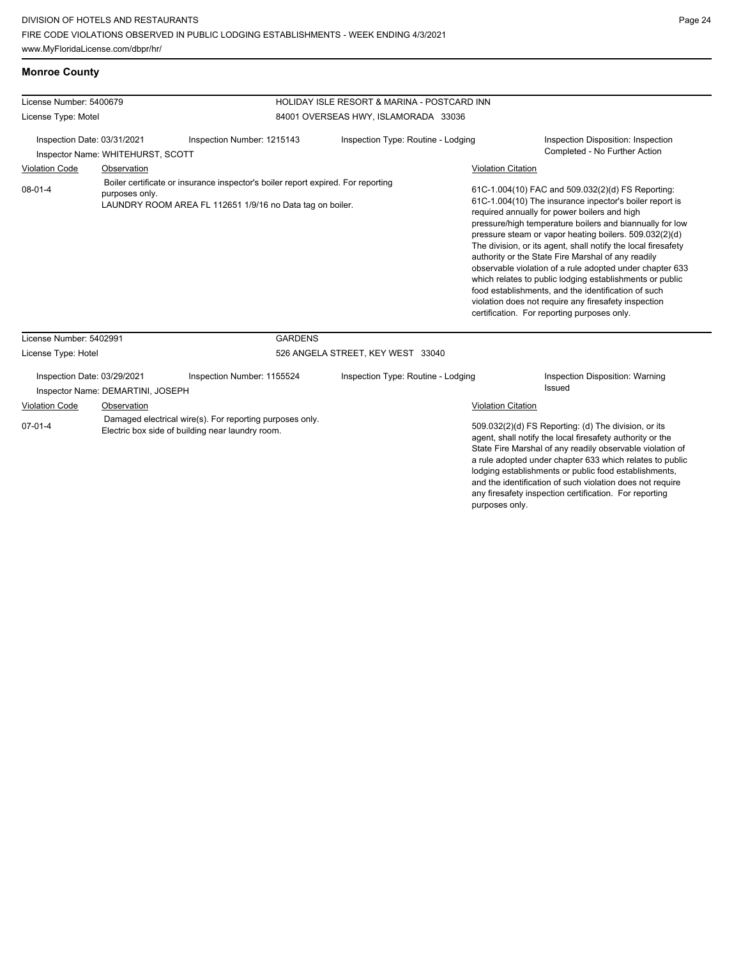| License Number: 5400679                                                                                                                                                      |                                                                  |                            | HOLIDAY ISLE RESORT & MARINA - POSTCARD INN |                                                                                                                                                                                                                                                                                                                                                                                                                                                                                                                                                                                                                                                                                                 |                                                                     |  |  |
|------------------------------------------------------------------------------------------------------------------------------------------------------------------------------|------------------------------------------------------------------|----------------------------|---------------------------------------------|-------------------------------------------------------------------------------------------------------------------------------------------------------------------------------------------------------------------------------------------------------------------------------------------------------------------------------------------------------------------------------------------------------------------------------------------------------------------------------------------------------------------------------------------------------------------------------------------------------------------------------------------------------------------------------------------------|---------------------------------------------------------------------|--|--|
| License Type: Motel                                                                                                                                                          |                                                                  |                            | 84001 OVERSEAS HWY, ISLAMORADA 33036        |                                                                                                                                                                                                                                                                                                                                                                                                                                                                                                                                                                                                                                                                                                 |                                                                     |  |  |
| Inspection Date: 03/31/2021<br>Inspector Name: WHITEHURST, SCOTT                                                                                                             |                                                                  | Inspection Number: 1215143 | Inspection Type: Routine - Lodging          |                                                                                                                                                                                                                                                                                                                                                                                                                                                                                                                                                                                                                                                                                                 | Inspection Disposition: Inspection<br>Completed - No Further Action |  |  |
| <b>Violation Code</b><br>Observation                                                                                                                                         |                                                                  |                            |                                             | <b>Violation Citation</b>                                                                                                                                                                                                                                                                                                                                                                                                                                                                                                                                                                                                                                                                       |                                                                     |  |  |
| Boiler certificate or insurance inspector's boiler report expired. For reporting<br>$08-01-4$<br>purposes only.<br>LAUNDRY ROOM AREA FL 112651 1/9/16 no Data tag on boiler. |                                                                  |                            |                                             | 61C-1.004(10) FAC and 509.032(2)(d) FS Reporting:<br>61C-1.004(10) The insurance inpector's boiler report is<br>required annually for power boilers and high<br>pressure/high temperature boilers and biannually for low<br>pressure steam or vapor heating boilers. 509.032(2)(d)<br>The division, or its agent, shall notify the local firesafety<br>authority or the State Fire Marshal of any readily<br>observable violation of a rule adopted under chapter 633<br>which relates to public lodging establishments or public<br>food establishments, and the identification of such<br>violation does not require any firesafety inspection<br>certification. For reporting purposes only. |                                                                     |  |  |
| License Number: 5402991                                                                                                                                                      |                                                                  | <b>GARDENS</b>             |                                             |                                                                                                                                                                                                                                                                                                                                                                                                                                                                                                                                                                                                                                                                                                 |                                                                     |  |  |
| License Type: Hotel                                                                                                                                                          |                                                                  |                            | 526 ANGELA STREET, KEY WEST 33040           |                                                                                                                                                                                                                                                                                                                                                                                                                                                                                                                                                                                                                                                                                                 |                                                                     |  |  |
|                                                                                                                                                                              | Inspection Date: 03/29/2021<br>Inspector Name: DEMARTINI, JOSEPH | Inspection Number: 1155524 | Inspection Type: Routine - Lodging          |                                                                                                                                                                                                                                                                                                                                                                                                                                                                                                                                                                                                                                                                                                 | Inspection Disposition: Warning<br><b>Issued</b>                    |  |  |
|                                                                                                                                                                              | Observation                                                      |                            |                                             | Violation Citation                                                                                                                                                                                                                                                                                                                                                                                                                                                                                                                                                                                                                                                                              |                                                                     |  |  |
| Violation Code<br>Damaged electrical wire(s). For reporting purposes only.<br>$07 - 01 - 4$<br>Electric box side of building near laundry room.                              |                                                                  |                            |                                             | 509.032(2)(d) FS Reporting: (d) The division, or its                                                                                                                                                                                                                                                                                                                                                                                                                                                                                                                                                                                                                                            |                                                                     |  |  |

509.032(2)(d) FS Reporting: (d) The division, or its agent, shall notify the local firesafety authority or the State Fire Marshal of any readily observable violation of a rule adopted under chapter 633 which relates to public lodging establishments or public food establishments, and the identification of such violation does not require any firesafety inspection certification. For reporting purposes only.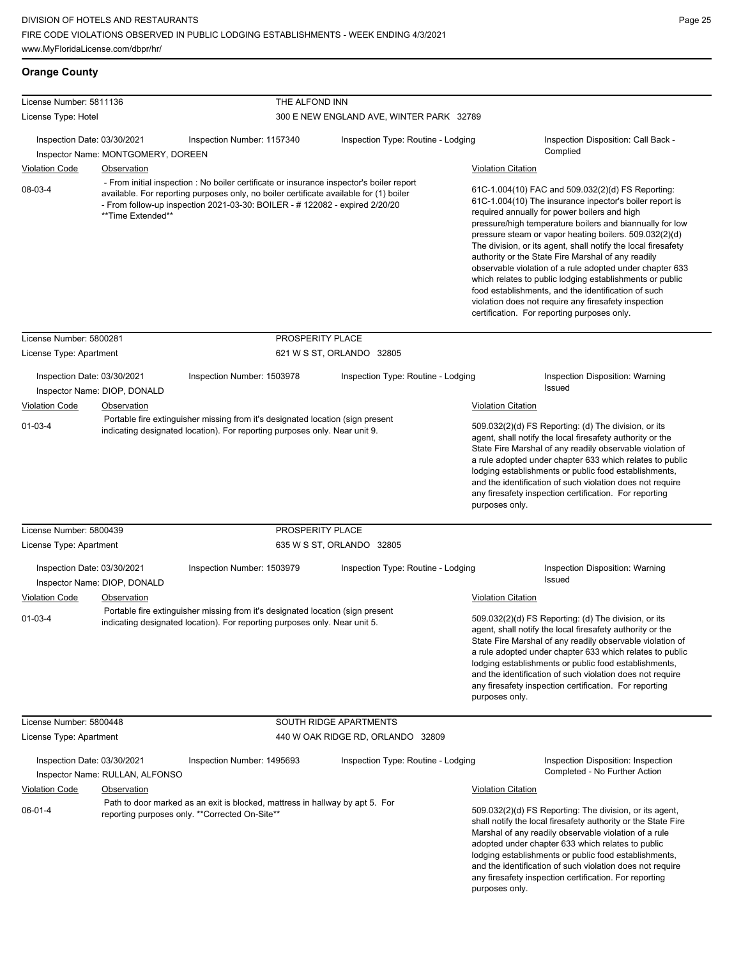**Orange County**

| License Number: 5811136 |                                                                   | THE ALFOND INN                                                                                                                                                                                                                                                    |                                          |                                                                                                                                                                                                                                                                                                                                                                                                                                              |                                                                                                                                                                                                                                                                                                                                                                                                                                                                                                                                                                                                                                                                                                 |
|-------------------------|-------------------------------------------------------------------|-------------------------------------------------------------------------------------------------------------------------------------------------------------------------------------------------------------------------------------------------------------------|------------------------------------------|----------------------------------------------------------------------------------------------------------------------------------------------------------------------------------------------------------------------------------------------------------------------------------------------------------------------------------------------------------------------------------------------------------------------------------------------|-------------------------------------------------------------------------------------------------------------------------------------------------------------------------------------------------------------------------------------------------------------------------------------------------------------------------------------------------------------------------------------------------------------------------------------------------------------------------------------------------------------------------------------------------------------------------------------------------------------------------------------------------------------------------------------------------|
| License Type: Hotel     |                                                                   |                                                                                                                                                                                                                                                                   | 300 E NEW ENGLAND AVE, WINTER PARK 32789 |                                                                                                                                                                                                                                                                                                                                                                                                                                              |                                                                                                                                                                                                                                                                                                                                                                                                                                                                                                                                                                                                                                                                                                 |
|                         | Inspection Date: 03/30/2021<br>Inspector Name: MONTGOMERY, DOREEN | Inspection Number: 1157340                                                                                                                                                                                                                                        | Inspection Type: Routine - Lodging       |                                                                                                                                                                                                                                                                                                                                                                                                                                              | Inspection Disposition: Call Back -<br>Complied                                                                                                                                                                                                                                                                                                                                                                                                                                                                                                                                                                                                                                                 |
| <b>Violation Code</b>   | <b>Observation</b>                                                |                                                                                                                                                                                                                                                                   |                                          | <b>Violation Citation</b>                                                                                                                                                                                                                                                                                                                                                                                                                    |                                                                                                                                                                                                                                                                                                                                                                                                                                                                                                                                                                                                                                                                                                 |
| 08-03-4                 | **Time Extended**                                                 | - From initial inspection : No boiler certificate or insurance inspector's boiler report<br>available. For reporting purposes only, no boiler certificate available for (1) boiler<br>- From follow-up inspection 2021-03-30: BOILER - # 122082 - expired 2/20/20 |                                          |                                                                                                                                                                                                                                                                                                                                                                                                                                              | 61C-1.004(10) FAC and 509.032(2)(d) FS Reporting:<br>61C-1.004(10) The insurance inpector's boiler report is<br>required annually for power boilers and high<br>pressure/high temperature boilers and biannually for low<br>pressure steam or vapor heating boilers. 509.032(2)(d)<br>The division, or its agent, shall notify the local firesafety<br>authority or the State Fire Marshal of any readily<br>observable violation of a rule adopted under chapter 633<br>which relates to public lodging establishments or public<br>food establishments, and the identification of such<br>violation does not require any firesafety inspection<br>certification. For reporting purposes only. |
| License Number: 5800281 |                                                                   | PROSPERITY PLACE                                                                                                                                                                                                                                                  |                                          |                                                                                                                                                                                                                                                                                                                                                                                                                                              |                                                                                                                                                                                                                                                                                                                                                                                                                                                                                                                                                                                                                                                                                                 |
| License Type: Apartment |                                                                   |                                                                                                                                                                                                                                                                   | 621 W S ST, ORLANDO 32805                |                                                                                                                                                                                                                                                                                                                                                                                                                                              |                                                                                                                                                                                                                                                                                                                                                                                                                                                                                                                                                                                                                                                                                                 |
|                         | Inspection Date: 03/30/2021<br>Inspector Name: DIOP, DONALD       | Inspection Number: 1503978                                                                                                                                                                                                                                        | Inspection Type: Routine - Lodging       |                                                                                                                                                                                                                                                                                                                                                                                                                                              | Inspection Disposition: Warning<br>Issued                                                                                                                                                                                                                                                                                                                                                                                                                                                                                                                                                                                                                                                       |
| <b>Violation Code</b>   | Observation                                                       |                                                                                                                                                                                                                                                                   |                                          | <b>Violation Citation</b>                                                                                                                                                                                                                                                                                                                                                                                                                    |                                                                                                                                                                                                                                                                                                                                                                                                                                                                                                                                                                                                                                                                                                 |
| $01 - 03 - 4$           |                                                                   | Portable fire extinguisher missing from it's designated location (sign present<br>indicating designated location). For reporting purposes only. Near unit 9.                                                                                                      |                                          | 509.032(2)(d) FS Reporting: (d) The division, or its<br>agent, shall notify the local firesafety authority or the<br>State Fire Marshal of any readily observable violation of<br>a rule adopted under chapter 633 which relates to public<br>lodging establishments or public food establishments,<br>and the identification of such violation does not require<br>any firesafety inspection certification. For reporting<br>purposes only. |                                                                                                                                                                                                                                                                                                                                                                                                                                                                                                                                                                                                                                                                                                 |
| License Number: 5800439 |                                                                   | PROSPERITY PLACE                                                                                                                                                                                                                                                  |                                          |                                                                                                                                                                                                                                                                                                                                                                                                                                              |                                                                                                                                                                                                                                                                                                                                                                                                                                                                                                                                                                                                                                                                                                 |
| License Type: Apartment |                                                                   |                                                                                                                                                                                                                                                                   | 635 W S ST, ORLANDO 32805                |                                                                                                                                                                                                                                                                                                                                                                                                                                              |                                                                                                                                                                                                                                                                                                                                                                                                                                                                                                                                                                                                                                                                                                 |
|                         | Inspection Date: 03/30/2021<br>Inspector Name: DIOP, DONALD       | Inspection Number: 1503979                                                                                                                                                                                                                                        | Inspection Type: Routine - Lodging       |                                                                                                                                                                                                                                                                                                                                                                                                                                              | Inspection Disposition: Warning<br>Issued                                                                                                                                                                                                                                                                                                                                                                                                                                                                                                                                                                                                                                                       |
| <b>Violation Code</b>   | Observation                                                       |                                                                                                                                                                                                                                                                   |                                          | <b>Violation Citation</b>                                                                                                                                                                                                                                                                                                                                                                                                                    |                                                                                                                                                                                                                                                                                                                                                                                                                                                                                                                                                                                                                                                                                                 |
| $01 - 03 - 4$           |                                                                   | Portable fire extinguisher missing from it's designated location (sign present<br>indicating designated location). For reporting purposes only. Near unit 5.                                                                                                      |                                          | 509.032(2)(d) FS Reporting: (d) The division, or its<br>agent, shall notify the local firesafety authority or the<br>State Fire Marshal of any readily observable violation of<br>a rule adopted under chapter 633 which relates to public<br>lodging establishments or public food establishments,<br>and the identification of such violation does not require<br>any firesafety inspection certification. For reporting<br>purposes only. |                                                                                                                                                                                                                                                                                                                                                                                                                                                                                                                                                                                                                                                                                                 |
| License Number: 5800448 |                                                                   |                                                                                                                                                                                                                                                                   | SOUTH RIDGE APARTMENTS                   |                                                                                                                                                                                                                                                                                                                                                                                                                                              |                                                                                                                                                                                                                                                                                                                                                                                                                                                                                                                                                                                                                                                                                                 |
| License Type: Apartment |                                                                   |                                                                                                                                                                                                                                                                   | 440 W OAK RIDGE RD, ORLANDO 32809        |                                                                                                                                                                                                                                                                                                                                                                                                                                              |                                                                                                                                                                                                                                                                                                                                                                                                                                                                                                                                                                                                                                                                                                 |
|                         | Inspection Date: 03/30/2021<br>Inspector Name: RULLAN, ALFONSO    | Inspection Number: 1495693                                                                                                                                                                                                                                        | Inspection Type: Routine - Lodging       |                                                                                                                                                                                                                                                                                                                                                                                                                                              | Inspection Disposition: Inspection<br>Completed - No Further Action                                                                                                                                                                                                                                                                                                                                                                                                                                                                                                                                                                                                                             |
| <b>Violation Code</b>   | Observation                                                       |                                                                                                                                                                                                                                                                   |                                          | <b>Violation Citation</b>                                                                                                                                                                                                                                                                                                                                                                                                                    |                                                                                                                                                                                                                                                                                                                                                                                                                                                                                                                                                                                                                                                                                                 |

06-01-4 Path to door marked as an exit is blocked, mattress in hallway by apt 5. For reporting purposes only. \*\*Corrected On-Site\*\*

509.032(2)(d) FS Reporting: The division, or its agent, shall notify the local firesafety authority or the State Fire Marshal of any readily observable violation of a rule adopted under chapter 633 which relates to public lodging establishments or public food establishments, and the identification of such violation does not require any firesafety inspection certification. For reporting purposes only.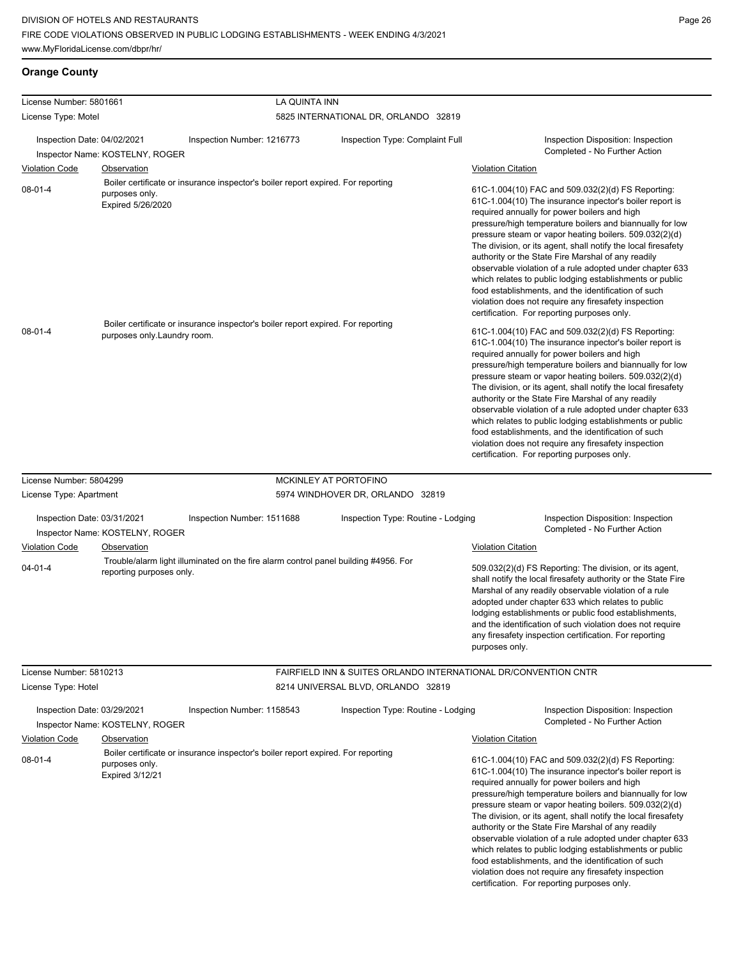# **Orange County**

| License Number: 5801661     |                                     |                                                                                     | LA QUINTA INN                                                              |  |                                                                                                                                                   |                                                                                                                                                                                                                                                                                                                                                                                                                                                                                                                                            |
|-----------------------------|-------------------------------------|-------------------------------------------------------------------------------------|----------------------------------------------------------------------------|--|---------------------------------------------------------------------------------------------------------------------------------------------------|--------------------------------------------------------------------------------------------------------------------------------------------------------------------------------------------------------------------------------------------------------------------------------------------------------------------------------------------------------------------------------------------------------------------------------------------------------------------------------------------------------------------------------------------|
| License Type: Motel         |                                     |                                                                                     | 5825 INTERNATIONAL DR, ORLANDO 32819                                       |  |                                                                                                                                                   |                                                                                                                                                                                                                                                                                                                                                                                                                                                                                                                                            |
| Inspection Date: 04/02/2021 | Inspector Name: KOSTELNY, ROGER     | Inspection Number: 1216773                                                          | Inspection Type: Complaint Full                                            |  |                                                                                                                                                   | Inspection Disposition: Inspection<br>Completed - No Further Action                                                                                                                                                                                                                                                                                                                                                                                                                                                                        |
| <b>Violation Code</b>       | Observation                         |                                                                                     |                                                                            |  | <b>Violation Citation</b>                                                                                                                         |                                                                                                                                                                                                                                                                                                                                                                                                                                                                                                                                            |
| $08 - 01 - 4$               | purposes only.<br>Expired 5/26/2020 | Boiler certificate or insurance inspector's boiler report expired. For reporting    |                                                                            |  | required annually for power boilers and high<br>authority or the State Fire Marshal of any readily<br>certification. For reporting purposes only. | 61C-1.004(10) FAC and 509.032(2)(d) FS Reporting:<br>61C-1.004(10) The insurance inpector's boiler report is<br>pressure/high temperature boilers and biannually for low<br>pressure steam or vapor heating boilers. 509.032(2)(d)<br>The division, or its agent, shall notify the local firesafety<br>observable violation of a rule adopted under chapter 633<br>which relates to public lodging establishments or public<br>food establishments, and the identification of such<br>violation does not require any firesafety inspection |
| $08 - 01 - 4$               | purposes only.Laundry room.         | Boiler certificate or insurance inspector's boiler report expired. For reporting    |                                                                            |  | required annually for power boilers and high<br>authority or the State Fire Marshal of any readily<br>certification. For reporting purposes only. | 61C-1.004(10) FAC and 509.032(2)(d) FS Reporting:<br>61C-1.004(10) The insurance inpector's boiler report is<br>pressure/high temperature boilers and biannually for low<br>pressure steam or vapor heating boilers. 509.032(2)(d)<br>The division, or its agent, shall notify the local firesafety<br>observable violation of a rule adopted under chapter 633<br>which relates to public lodging establishments or public<br>food establishments, and the identification of such<br>violation does not require any firesafety inspection |
| License Number: 5804299     |                                     |                                                                                     | MCKINLEY AT PORTOFINO                                                      |  |                                                                                                                                                   |                                                                                                                                                                                                                                                                                                                                                                                                                                                                                                                                            |
| License Type: Apartment     |                                     |                                                                                     | 5974 WINDHOVER DR, ORLANDO 32819                                           |  |                                                                                                                                                   |                                                                                                                                                                                                                                                                                                                                                                                                                                                                                                                                            |
| Inspection Date: 03/31/2021 | Inspector Name: KOSTELNY, ROGER     | Inspection Number: 1511688                                                          | Inspection Type: Routine - Lodging                                         |  |                                                                                                                                                   | Inspection Disposition: Inspection<br>Completed - No Further Action                                                                                                                                                                                                                                                                                                                                                                                                                                                                        |
| <b>Violation Code</b>       | Observation                         |                                                                                     |                                                                            |  | <b>Violation Citation</b>                                                                                                                         |                                                                                                                                                                                                                                                                                                                                                                                                                                                                                                                                            |
| $04 - 01 - 4$               | reporting purposes only.            | Trouble/alarm light illuminated on the fire alarm control panel building #4956. For |                                                                            |  | purposes only.                                                                                                                                    | 509.032(2)(d) FS Reporting: The division, or its agent,<br>shall notify the local firesafety authority or the State Fire<br>Marshal of any readily observable violation of a rule<br>adopted under chapter 633 which relates to public<br>lodging establishments or public food establishments,<br>and the identification of such violation does not require<br>any firesafety inspection certification. For reporting                                                                                                                     |
| License Number: 5810213     |                                     |                                                                                     | <b>FAIRFIELD INN &amp; SUITES ORLANDO INTERNATIONAL DR/CONVENTION CNTR</b> |  |                                                                                                                                                   |                                                                                                                                                                                                                                                                                                                                                                                                                                                                                                                                            |
| License Type: Hotel         |                                     |                                                                                     | 8214 UNIVERSAL BLVD, ORLANDO 32819                                         |  |                                                                                                                                                   |                                                                                                                                                                                                                                                                                                                                                                                                                                                                                                                                            |
| Inspection Date: 03/29/2021 | Inspector Name: KOSTELNY, ROGER     | Inspection Number: 1158543                                                          | Inspection Type: Routine - Lodging                                         |  |                                                                                                                                                   | Inspection Disposition: Inspection<br>Completed - No Further Action                                                                                                                                                                                                                                                                                                                                                                                                                                                                        |
| <b>Violation Code</b>       | Observation                         |                                                                                     |                                                                            |  | <b>Violation Citation</b>                                                                                                                         |                                                                                                                                                                                                                                                                                                                                                                                                                                                                                                                                            |
| $08 - 01 - 4$               | purposes only.<br>Expired 3/12/21   | Boiler certificate or insurance inspector's boiler report expired. For reporting    |                                                                            |  | required annually for power boilers and high<br>authority or the State Fire Marshal of any readily<br>certification. For reporting purposes only. | 61C-1.004(10) FAC and 509.032(2)(d) FS Reporting:<br>61C-1.004(10) The insurance inpector's boiler report is<br>pressure/high temperature boilers and biannually for low<br>pressure steam or vapor heating boilers. 509.032(2)(d)<br>The division, or its agent, shall notify the local firesafety<br>observable violation of a rule adopted under chapter 633<br>which relates to public lodging establishments or public<br>food establishments, and the identification of such<br>violation does not require any firesafety inspection |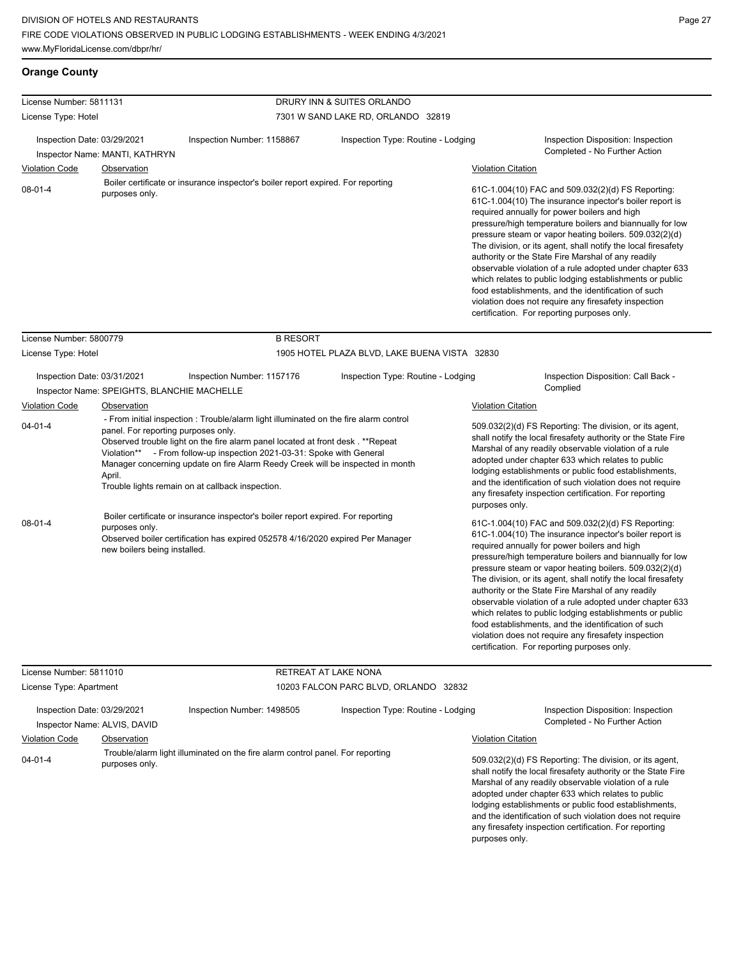**Orange County**

| License Number: 5811131                        |                                                                                                                                                                                                                                                                                                                                                                                                                                                                                                       |                                                                                                                                                                    | DRURY INN & SUITES ORLANDO                    |                                             |                                                                                                                                                                                                                                                                                                                                                                                                                                                                                                                                                                                                                                                                                                 |
|------------------------------------------------|-------------------------------------------------------------------------------------------------------------------------------------------------------------------------------------------------------------------------------------------------------------------------------------------------------------------------------------------------------------------------------------------------------------------------------------------------------------------------------------------------------|--------------------------------------------------------------------------------------------------------------------------------------------------------------------|-----------------------------------------------|---------------------------------------------|-------------------------------------------------------------------------------------------------------------------------------------------------------------------------------------------------------------------------------------------------------------------------------------------------------------------------------------------------------------------------------------------------------------------------------------------------------------------------------------------------------------------------------------------------------------------------------------------------------------------------------------------------------------------------------------------------|
| License Type: Hotel                            |                                                                                                                                                                                                                                                                                                                                                                                                                                                                                                       |                                                                                                                                                                    | 7301 W SAND LAKE RD, ORLANDO 32819            |                                             |                                                                                                                                                                                                                                                                                                                                                                                                                                                                                                                                                                                                                                                                                                 |
| Inspection Date: 03/29/2021                    | Inspector Name: MANTI, KATHRYN                                                                                                                                                                                                                                                                                                                                                                                                                                                                        | Inspection Number: 1158867                                                                                                                                         | Inspection Type: Routine - Lodging            |                                             | Inspection Disposition: Inspection<br>Completed - No Further Action                                                                                                                                                                                                                                                                                                                                                                                                                                                                                                                                                                                                                             |
| <b>Violation Code</b><br>$08-01-4$             | Observation<br>purposes only.                                                                                                                                                                                                                                                                                                                                                                                                                                                                         | Boiler certificate or insurance inspector's boiler report expired. For reporting                                                                                   |                                               | <b>Violation Citation</b>                   | 61C-1.004(10) FAC and 509.032(2)(d) FS Reporting:<br>61C-1.004(10) The insurance inpector's boiler report is<br>required annually for power boilers and high<br>pressure/high temperature boilers and biannually for low<br>pressure steam or vapor heating boilers. 509.032(2)(d)<br>The division, or its agent, shall notify the local firesafety<br>authority or the State Fire Marshal of any readily<br>observable violation of a rule adopted under chapter 633<br>which relates to public lodging establishments or public<br>food establishments, and the identification of such<br>violation does not require any firesafety inspection<br>certification. For reporting purposes only. |
| License Number: 5800779<br>License Type: Hotel |                                                                                                                                                                                                                                                                                                                                                                                                                                                                                                       | <b>B RESORT</b>                                                                                                                                                    | 1905 HOTEL PLAZA BLVD, LAKE BUENA VISTA 32830 |                                             |                                                                                                                                                                                                                                                                                                                                                                                                                                                                                                                                                                                                                                                                                                 |
| Inspection Date: 03/31/2021                    |                                                                                                                                                                                                                                                                                                                                                                                                                                                                                                       | Inspection Number: 1157176                                                                                                                                         | Inspection Type: Routine - Lodging            |                                             | Inspection Disposition: Call Back -<br>Complied                                                                                                                                                                                                                                                                                                                                                                                                                                                                                                                                                                                                                                                 |
| <b>Violation Code</b><br>$04 - 01 - 4$         | Inspector Name: SPEIGHTS, BLANCHIE MACHELLE<br>Observation<br>- From initial inspection: Trouble/alarm light illuminated on the fire alarm control<br>panel. For reporting purposes only.<br>Observed trouble light on the fire alarm panel located at front desk. **Repeat<br>Violation** - From follow-up inspection 2021-03-31: Spoke with General<br>Manager concerning update on fire Alarm Reedy Creek will be inspected in month<br>April.<br>Trouble lights remain on at callback inspection. |                                                                                                                                                                    |                                               | <b>Violation Citation</b><br>purposes only. | 509.032(2)(d) FS Reporting: The division, or its agent,<br>shall notify the local firesafety authority or the State Fire<br>Marshal of any readily observable violation of a rule<br>adopted under chapter 633 which relates to public<br>lodging establishments or public food establishments,<br>and the identification of such violation does not require<br>any firesafety inspection certification. For reporting                                                                                                                                                                                                                                                                          |
| $08 - 01 - 4$                                  | purposes only.<br>new boilers being installed.                                                                                                                                                                                                                                                                                                                                                                                                                                                        | Boiler certificate or insurance inspector's boiler report expired. For reporting<br>Observed boiler certification has expired 052578 4/16/2020 expired Per Manager |                                               |                                             | 61C-1.004(10) FAC and 509.032(2)(d) FS Reporting:<br>61C-1.004(10) The insurance inpector's boiler report is<br>required annually for power boilers and high<br>pressure/high temperature boilers and biannually for low<br>pressure steam or vapor heating boilers. 509.032(2)(d)<br>The division, or its agent, shall notify the local firesafety<br>authority or the State Fire Marshal of any readily<br>observable violation of a rule adopted under chapter 633<br>which relates to public lodging establishments or public<br>food establishments, and the identification of such<br>violation does not require any firesafety inspection<br>certification. For reporting purposes only. |

| License Number: 5811010     |                              | <b>RETREAT AT LAKE NONA</b>                                                    |                                    |                           |                                                                                                                                                                                                                                                                                                                                                                                                                        |
|-----------------------------|------------------------------|--------------------------------------------------------------------------------|------------------------------------|---------------------------|------------------------------------------------------------------------------------------------------------------------------------------------------------------------------------------------------------------------------------------------------------------------------------------------------------------------------------------------------------------------------------------------------------------------|
| License Type: Apartment     |                              | 10203 FALCON PARC BLVD, ORLANDO 32832                                          |                                    |                           |                                                                                                                                                                                                                                                                                                                                                                                                                        |
| Inspection Date: 03/29/2021 | Inspector Name: ALVIS, DAVID | Inspection Number: 1498505                                                     | Inspection Type: Routine - Lodging |                           | Inspection Disposition: Inspection<br>Completed - No Further Action                                                                                                                                                                                                                                                                                                                                                    |
| <b>Violation Code</b>       | Observation                  |                                                                                |                                    | <b>Violation Citation</b> |                                                                                                                                                                                                                                                                                                                                                                                                                        |
| $04 - 01 - 4$               | purposes only.               | Trouble/alarm light illuminated on the fire alarm control panel. For reporting |                                    | purposes only.            | 509.032(2)(d) FS Reporting: The division, or its agent,<br>shall notify the local firesafety authority or the State Fire<br>Marshal of any readily observable violation of a rule<br>adopted under chapter 633 which relates to public<br>lodging establishments or public food establishments.<br>and the identification of such violation does not require<br>any firesafety inspection certification. For reporting |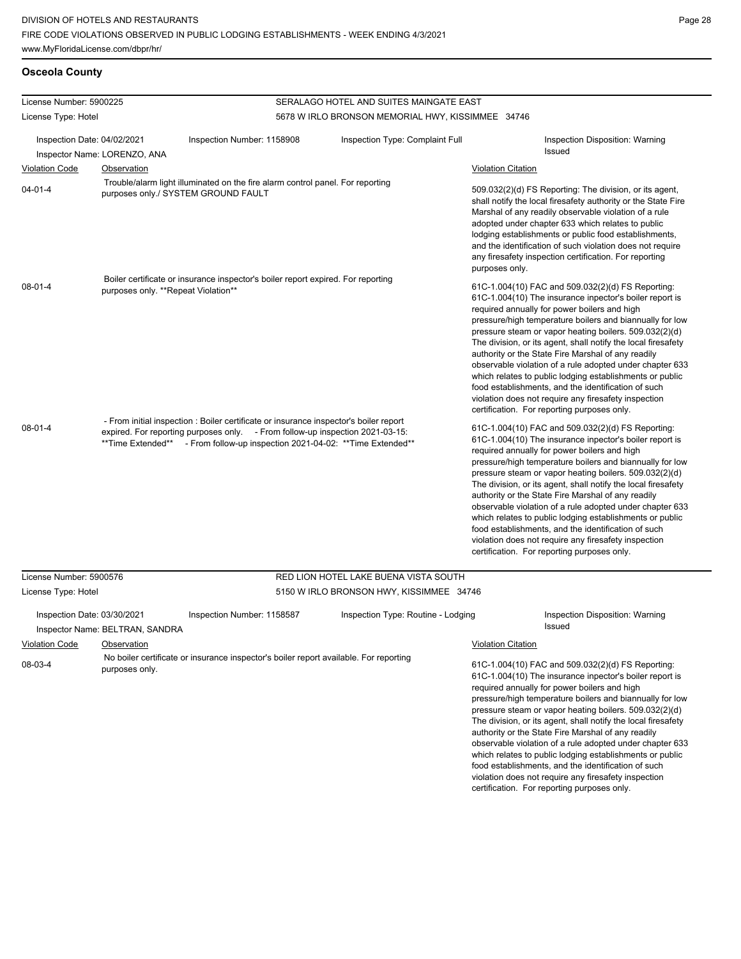which relates to public lodging establishments or public food establishments, and the identification of such violation does not require any firesafety inspection certification. For reporting purposes only.

### **Osceola County**

| License Number: 5900225                                           |                                     | SERALAGO HOTEL AND SUITES MAINGATE EAST                                                                                                                                                                                                               |                                                   |                                                                                                                                                                                                                                                                                                                                                                                                                                                                                                                                                                                                                                                                                                 |  |  |
|-------------------------------------------------------------------|-------------------------------------|-------------------------------------------------------------------------------------------------------------------------------------------------------------------------------------------------------------------------------------------------------|---------------------------------------------------|-------------------------------------------------------------------------------------------------------------------------------------------------------------------------------------------------------------------------------------------------------------------------------------------------------------------------------------------------------------------------------------------------------------------------------------------------------------------------------------------------------------------------------------------------------------------------------------------------------------------------------------------------------------------------------------------------|--|--|
| License Type: Hotel                                               |                                     |                                                                                                                                                                                                                                                       | 5678 W IRLO BRONSON MEMORIAL HWY, KISSIMMEE 34746 |                                                                                                                                                                                                                                                                                                                                                                                                                                                                                                                                                                                                                                                                                                 |  |  |
| Inspection Date: 04/02/2021                                       |                                     | Inspection Number: 1158908                                                                                                                                                                                                                            | Inspection Type: Complaint Full                   | Inspection Disposition: Warning<br>Issued                                                                                                                                                                                                                                                                                                                                                                                                                                                                                                                                                                                                                                                       |  |  |
|                                                                   | Inspector Name: LORENZO, ANA        |                                                                                                                                                                                                                                                       |                                                   |                                                                                                                                                                                                                                                                                                                                                                                                                                                                                                                                                                                                                                                                                                 |  |  |
| <b>Violation Code</b>                                             | <b>Observation</b>                  |                                                                                                                                                                                                                                                       |                                                   | <b>Violation Citation</b>                                                                                                                                                                                                                                                                                                                                                                                                                                                                                                                                                                                                                                                                       |  |  |
| $04 - 01 - 4$                                                     |                                     | Trouble/alarm light illuminated on the fire alarm control panel. For reporting<br>purposes only./ SYSTEM GROUND FAULT                                                                                                                                 |                                                   | 509.032(2)(d) FS Reporting: The division, or its agent,<br>shall notify the local firesafety authority or the State Fire<br>Marshal of any readily observable violation of a rule<br>adopted under chapter 633 which relates to public<br>lodging establishments or public food establishments,<br>and the identification of such violation does not require<br>any firesafety inspection certification. For reporting<br>purposes only.                                                                                                                                                                                                                                                        |  |  |
| 08-01-4                                                           | purposes only. **Repeat Violation** | Boiler certificate or insurance inspector's boiler report expired. For reporting                                                                                                                                                                      |                                                   | 61C-1.004(10) FAC and 509.032(2)(d) FS Reporting:<br>61C-1.004(10) The insurance inpector's boiler report is<br>required annually for power boilers and high<br>pressure/high temperature boilers and biannually for low<br>pressure steam or vapor heating boilers. 509.032(2)(d)<br>The division, or its agent, shall notify the local firesafety<br>authority or the State Fire Marshal of any readily<br>observable violation of a rule adopted under chapter 633<br>which relates to public lodging establishments or public<br>food establishments, and the identification of such<br>violation does not require any firesafety inspection<br>certification. For reporting purposes only. |  |  |
| $08 - 01 - 4$                                                     |                                     | - From initial inspection : Boiler certificate or insurance inspector's boiler report<br>expired. For reporting purposes only. - From follow-up inspection 2021-03-15:<br>**Time Extended** - From follow-up inspection 2021-04-02: **Time Extended** |                                                   | 61C-1.004(10) FAC and 509.032(2)(d) FS Reporting:<br>61C-1.004(10) The insurance inpector's boiler report is<br>required annually for power boilers and high<br>pressure/high temperature boilers and biannually for low<br>pressure steam or vapor heating boilers. 509.032(2)(d)<br>The division, or its agent, shall notify the local firesafety<br>authority or the State Fire Marshal of any readily<br>observable violation of a rule adopted under chapter 633<br>which relates to public lodging establishments or public<br>food establishments, and the identification of such<br>violation does not require any firesafety inspection<br>certification. For reporting purposes only. |  |  |
| License Number: 5900576                                           |                                     |                                                                                                                                                                                                                                                       | RED LION HOTEL LAKE BUENA VISTA SOUTH             |                                                                                                                                                                                                                                                                                                                                                                                                                                                                                                                                                                                                                                                                                                 |  |  |
| License Type: Hotel                                               |                                     |                                                                                                                                                                                                                                                       | 5150 W IRLO BRONSON HWY, KISSIMMEE 34746          |                                                                                                                                                                                                                                                                                                                                                                                                                                                                                                                                                                                                                                                                                                 |  |  |
| Inspection Date: 03/30/2021                                       | Inspector Name: BELTRAN, SANDRA     | Inspection Number: 1158587                                                                                                                                                                                                                            | Inspection Type: Routine - Lodging                | <b>Inspection Disposition: Warning</b><br>Issued<br><b>Violation Citation</b>                                                                                                                                                                                                                                                                                                                                                                                                                                                                                                                                                                                                                   |  |  |
| <b>Violation Code</b><br>Observation<br>08-03-4<br>purposes only. |                                     | No boiler certificate or insurance inspector's boiler report available. For reporting                                                                                                                                                                 |                                                   | 61C-1.004(10) FAC and 509.032(2)(d) FS Reporting:<br>61C-1.004(10) The insurance inpector's boiler report is<br>required annually for power boilers and high<br>pressure/high temperature boilers and biannually for low<br>pressure steam or vapor heating boilers. 509.032(2)(d)<br>The division, or its agent, shall notify the local firesafety<br>authority or the State Fire Marshal of any readily<br>observable violation of a rule adopted under chapter 633                                                                                                                                                                                                                           |  |  |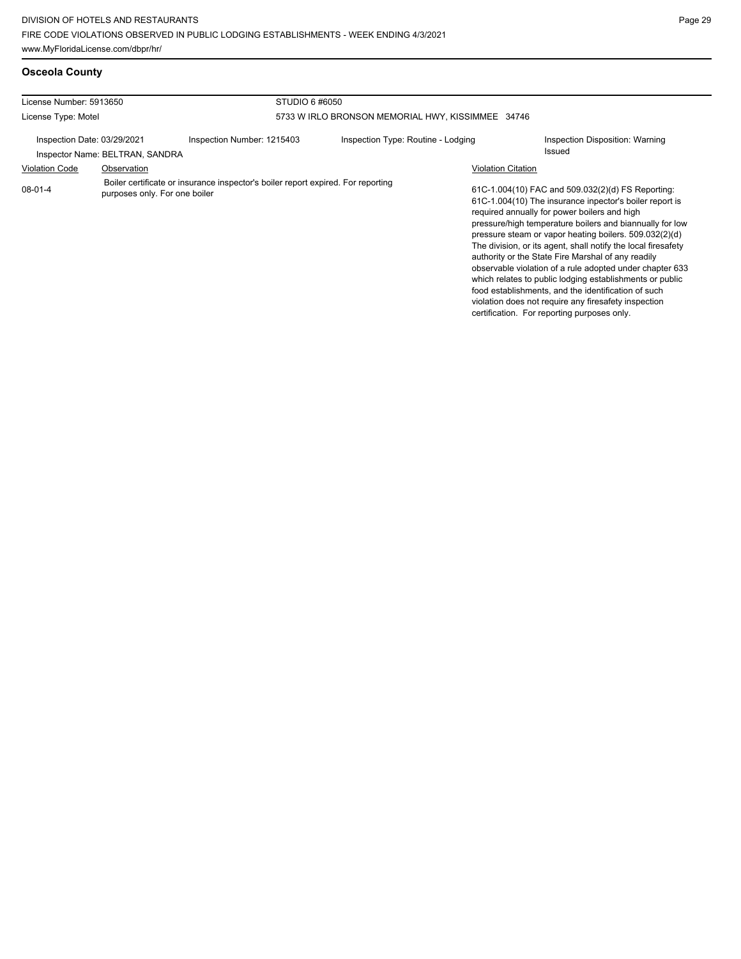## **Osceola County**

| License Number: 5913650                                        |                                                                                                                                                                                                                                                                                                                                                                                                                                                                                                                                                                                                                                                                                                 |  |
|----------------------------------------------------------------|-------------------------------------------------------------------------------------------------------------------------------------------------------------------------------------------------------------------------------------------------------------------------------------------------------------------------------------------------------------------------------------------------------------------------------------------------------------------------------------------------------------------------------------------------------------------------------------------------------------------------------------------------------------------------------------------------|--|
| License Type: Motel                                            | 5733 W IRLO BRONSON MEMORIAL HWY, KISSIMMEE 34746                                                                                                                                                                                                                                                                                                                                                                                                                                                                                                                                                                                                                                               |  |
| Inspection Date: 03/29/2021<br>Inspector Name: BELTRAN, SANDRA | Inspection Type: Routine - Lodging<br>Inspection Disposition: Warning<br>Issued                                                                                                                                                                                                                                                                                                                                                                                                                                                                                                                                                                                                                 |  |
| <b>Violation Code</b>                                          | <b>Violation Citation</b>                                                                                                                                                                                                                                                                                                                                                                                                                                                                                                                                                                                                                                                                       |  |
| $08-01-4$                                                      | 61C-1.004(10) FAC and 509.032(2)(d) FS Reporting:<br>61C-1.004(10) The insurance inpector's boiler report is<br>required annually for power boilers and high<br>pressure/high temperature boilers and biannually for low<br>pressure steam or vapor heating boilers. 509.032(2)(d)<br>The division, or its agent, shall notify the local firesafety<br>authority or the State Fire Marshal of any readily<br>observable violation of a rule adopted under chapter 633<br>which relates to public lodging establishments or public<br>food establishments, and the identification of such<br>violation does not require any firesafety inspection<br>certification. For reporting purposes only. |  |
|                                                                |                                                                                                                                                                                                                                                                                                                                                                                                                                                                                                                                                                                                                                                                                                 |  |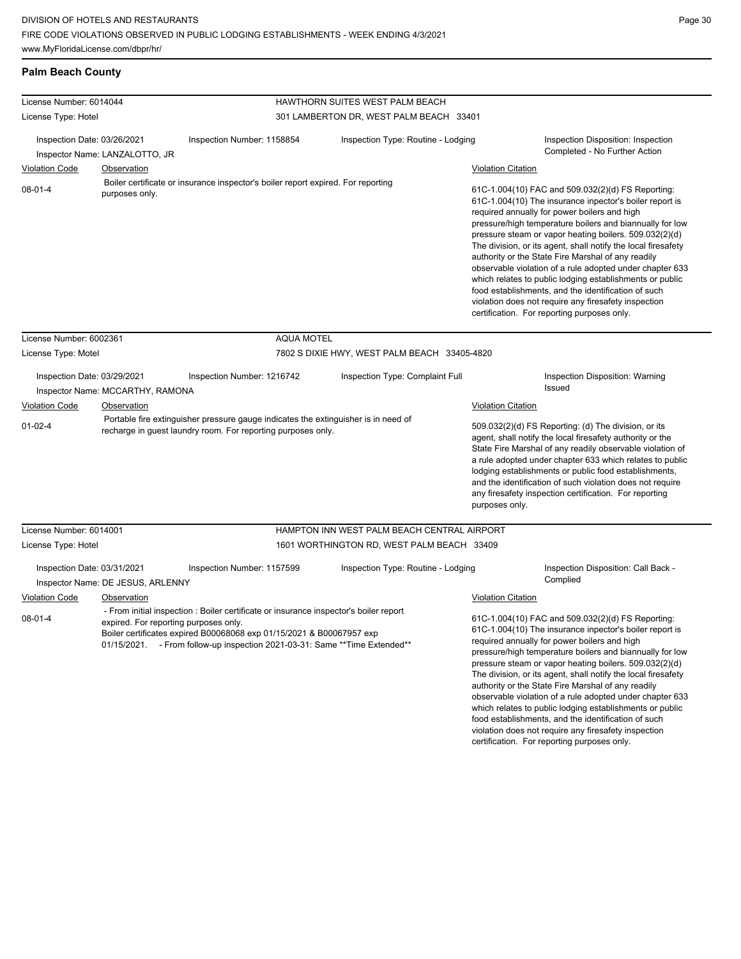**Palm Beach County**

| License Number: 6014044     |                                   |                                                                                                                                                                                                                                                                                       |                                 |                                              |                           |                                                                                                                                                                                                                                                                                                                                                                                                                                                                                                                                                                                          |
|-----------------------------|-----------------------------------|---------------------------------------------------------------------------------------------------------------------------------------------------------------------------------------------------------------------------------------------------------------------------------------|---------------------------------|----------------------------------------------|---------------------------|------------------------------------------------------------------------------------------------------------------------------------------------------------------------------------------------------------------------------------------------------------------------------------------------------------------------------------------------------------------------------------------------------------------------------------------------------------------------------------------------------------------------------------------------------------------------------------------|
|                             |                                   |                                                                                                                                                                                                                                                                                       | HAWTHORN SUITES WEST PALM BEACH |                                              |                           |                                                                                                                                                                                                                                                                                                                                                                                                                                                                                                                                                                                          |
| License Type: Hotel         |                                   |                                                                                                                                                                                                                                                                                       |                                 | 301 LAMBERTON DR, WEST PALM BEACH 33401      |                           |                                                                                                                                                                                                                                                                                                                                                                                                                                                                                                                                                                                          |
| Inspection Date: 03/26/2021 | Inspector Name: LANZALOTTO, JR    | Inspection Number: 1158854                                                                                                                                                                                                                                                            |                                 | Inspection Type: Routine - Lodging           |                           | Inspection Disposition: Inspection<br>Completed - No Further Action                                                                                                                                                                                                                                                                                                                                                                                                                                                                                                                      |
| <b>Violation Code</b>       | Observation                       |                                                                                                                                                                                                                                                                                       |                                 |                                              | <b>Violation Citation</b> |                                                                                                                                                                                                                                                                                                                                                                                                                                                                                                                                                                                          |
| $08 - 01 - 4$               | purposes only.                    | Boiler certificate or insurance inspector's boiler report expired. For reporting                                                                                                                                                                                                      |                                 |                                              |                           | 61C-1.004(10) FAC and 509.032(2)(d) FS Reporting:<br>61C-1.004(10) The insurance inpector's boiler report is<br>required annually for power boilers and high<br>pressure/high temperature boilers and biannually for low<br>pressure steam or vapor heating boilers. 509.032(2)(d)<br>The division, or its agent, shall notify the local firesafety<br>authority or the State Fire Marshal of any readily<br>observable violation of a rule adopted under chapter 633<br>which relates to public lodging establishments or public<br>food establishments, and the identification of such |
| License Number: 6002361     |                                   |                                                                                                                                                                                                                                                                                       | <b>AQUA MOTEL</b>               |                                              |                           | violation does not require any firesafety inspection<br>certification. For reporting purposes only.                                                                                                                                                                                                                                                                                                                                                                                                                                                                                      |
| License Type: Motel         |                                   |                                                                                                                                                                                                                                                                                       |                                 | 7802 S DIXIE HWY, WEST PALM BEACH 33405-4820 |                           |                                                                                                                                                                                                                                                                                                                                                                                                                                                                                                                                                                                          |
| Inspection Date: 03/29/2021 | Inspector Name: MCCARTHY, RAMONA  | Inspection Number: 1216742                                                                                                                                                                                                                                                            |                                 | Inspection Type: Complaint Full              |                           | Inspection Disposition: Warning<br><b>Issued</b>                                                                                                                                                                                                                                                                                                                                                                                                                                                                                                                                         |
| Violation Code              | Observation                       |                                                                                                                                                                                                                                                                                       |                                 |                                              | <b>Violation Citation</b> |                                                                                                                                                                                                                                                                                                                                                                                                                                                                                                                                                                                          |
| $01-02-4$                   |                                   | Portable fire extinguisher pressure gauge indicates the extinguisher is in need of<br>recharge in guest laundry room. For reporting purposes only.                                                                                                                                    |                                 |                                              | purposes only.            | 509.032(2)(d) FS Reporting: (d) The division, or its<br>agent, shall notify the local firesafety authority or the<br>State Fire Marshal of any readily observable violation of<br>a rule adopted under chapter 633 which relates to public<br>lodging establishments or public food establishments,<br>and the identification of such violation does not require<br>any firesafety inspection certification. For reporting                                                                                                                                                               |
| License Number: 6014001     |                                   |                                                                                                                                                                                                                                                                                       |                                 | HAMPTON INN WEST PALM BEACH CENTRAL AIRPORT  |                           |                                                                                                                                                                                                                                                                                                                                                                                                                                                                                                                                                                                          |
| License Type: Hotel         |                                   |                                                                                                                                                                                                                                                                                       |                                 | 1601 WORTHINGTON RD, WEST PALM BEACH 33409   |                           |                                                                                                                                                                                                                                                                                                                                                                                                                                                                                                                                                                                          |
| Inspection Date: 03/31/2021 | Inspector Name: DE JESUS, ARLENNY | Inspection Number: 1157599                                                                                                                                                                                                                                                            |                                 | Inspection Type: Routine - Lodging           |                           | Inspection Disposition: Call Back -<br>Complied                                                                                                                                                                                                                                                                                                                                                                                                                                                                                                                                          |
| <b>Violation Code</b>       | Observation                       |                                                                                                                                                                                                                                                                                       |                                 |                                              | <b>Violation Citation</b> |                                                                                                                                                                                                                                                                                                                                                                                                                                                                                                                                                                                          |
| $08 - 01 - 4$               |                                   | - From initial inspection : Boiler certificate or insurance inspector's boiler report<br>expired. For reporting purposes only.<br>Boiler certificates expired B00068068 exp 01/15/2021 & B00067957 exp<br>01/15/2021. - From follow-up inspection 2021-03-31: Same ** Time Extended** |                                 |                                              |                           | 61C-1.004(10) FAC and 509.032(2)(d) FS Reporting:<br>61C-1.004(10) The insurance inpector's boiler report is<br>required annually for power boilers and high<br>pressure/high temperature boilers and biannually for low<br>pressure steam or vapor heating boilers. 509.032(2)(d)<br>The division, or its agent, shall notify the local firesafety<br>authority or the State Fire Marshal of any readily                                                                                                                                                                                |

which relates to public lodging establishments or public food establishments, and the identification of such violation does not require any firesafety inspection certification. For reporting purposes only.

observable violation of a rule adopted under chapter 633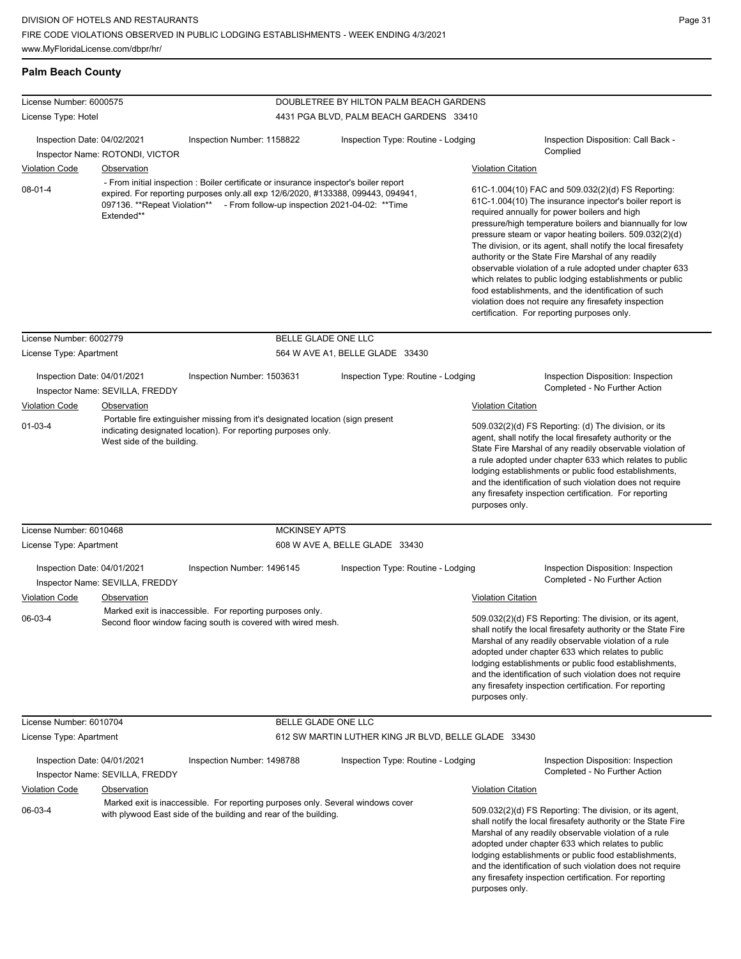## **Palm Beach County**

| License Number: 6000575<br>License Type: Hotel                                                                                                                                                 |                                 |                                                                                                                                                                                                                                                          | DOUBLETREE BY HILTON PALM BEACH GARDENS<br>4431 PGA BLVD, PALM BEACH GARDENS 33410 |                                                                                                                                                                                                                                                                                                                                                                                                                                              |                                                                                                                                                                                                                                                                                                                                                                                                                                                                                                                                                                                                                                                                                                 |  |
|------------------------------------------------------------------------------------------------------------------------------------------------------------------------------------------------|---------------------------------|----------------------------------------------------------------------------------------------------------------------------------------------------------------------------------------------------------------------------------------------------------|------------------------------------------------------------------------------------|----------------------------------------------------------------------------------------------------------------------------------------------------------------------------------------------------------------------------------------------------------------------------------------------------------------------------------------------------------------------------------------------------------------------------------------------|-------------------------------------------------------------------------------------------------------------------------------------------------------------------------------------------------------------------------------------------------------------------------------------------------------------------------------------------------------------------------------------------------------------------------------------------------------------------------------------------------------------------------------------------------------------------------------------------------------------------------------------------------------------------------------------------------|--|
|                                                                                                                                                                                                |                                 |                                                                                                                                                                                                                                                          |                                                                                    |                                                                                                                                                                                                                                                                                                                                                                                                                                              |                                                                                                                                                                                                                                                                                                                                                                                                                                                                                                                                                                                                                                                                                                 |  |
| Inspection Date: 04/02/2021                                                                                                                                                                    | Inspector Name: ROTONDI, VICTOR | Inspection Number: 1158822                                                                                                                                                                                                                               | Inspection Type: Routine - Lodging                                                 |                                                                                                                                                                                                                                                                                                                                                                                                                                              | Inspection Disposition: Call Back -<br>Complied                                                                                                                                                                                                                                                                                                                                                                                                                                                                                                                                                                                                                                                 |  |
| <b>Violation Code</b>                                                                                                                                                                          | Observation                     |                                                                                                                                                                                                                                                          |                                                                                    | <b>Violation Citation</b>                                                                                                                                                                                                                                                                                                                                                                                                                    |                                                                                                                                                                                                                                                                                                                                                                                                                                                                                                                                                                                                                                                                                                 |  |
| $08-01-4$                                                                                                                                                                                      | Extended**                      | - From initial inspection : Boiler certificate or insurance inspector's boiler report<br>expired. For reporting purposes only all exp 12/6/2020, #133388, 099443, 094941,<br>097136. **Repeat Violation** - From follow-up inspection 2021-04-02: **Time |                                                                                    |                                                                                                                                                                                                                                                                                                                                                                                                                                              | 61C-1.004(10) FAC and 509.032(2)(d) FS Reporting:<br>61C-1.004(10) The insurance inpector's boiler report is<br>required annually for power boilers and high<br>pressure/high temperature boilers and biannually for low<br>pressure steam or vapor heating boilers. 509.032(2)(d)<br>The division, or its agent, shall notify the local firesafety<br>authority or the State Fire Marshal of any readily<br>observable violation of a rule adopted under chapter 633<br>which relates to public lodging establishments or public<br>food establishments, and the identification of such<br>violation does not require any firesafety inspection<br>certification. For reporting purposes only. |  |
| License Number: 6002779                                                                                                                                                                        |                                 | BELLE GLADE ONE LLC                                                                                                                                                                                                                                      |                                                                                    |                                                                                                                                                                                                                                                                                                                                                                                                                                              |                                                                                                                                                                                                                                                                                                                                                                                                                                                                                                                                                                                                                                                                                                 |  |
| License Type: Apartment                                                                                                                                                                        |                                 |                                                                                                                                                                                                                                                          | 564 W AVE A1, BELLE GLADE 33430                                                    |                                                                                                                                                                                                                                                                                                                                                                                                                                              |                                                                                                                                                                                                                                                                                                                                                                                                                                                                                                                                                                                                                                                                                                 |  |
| Inspection Date: 04/01/2021                                                                                                                                                                    | Inspector Name: SEVILLA, FREDDY | Inspection Number: 1503631                                                                                                                                                                                                                               | Inspection Type: Routine - Lodging                                                 |                                                                                                                                                                                                                                                                                                                                                                                                                                              | Inspection Disposition: Inspection<br>Completed - No Further Action                                                                                                                                                                                                                                                                                                                                                                                                                                                                                                                                                                                                                             |  |
| <b>Violation Code</b>                                                                                                                                                                          | <b>Observation</b>              |                                                                                                                                                                                                                                                          |                                                                                    | <b>Violation Citation</b>                                                                                                                                                                                                                                                                                                                                                                                                                    |                                                                                                                                                                                                                                                                                                                                                                                                                                                                                                                                                                                                                                                                                                 |  |
| Portable fire extinguisher missing from it's designated location (sign present<br>$01 - 03 - 4$<br>indicating designated location). For reporting purposes only.<br>West side of the building. |                                 |                                                                                                                                                                                                                                                          |                                                                                    | 509.032(2)(d) FS Reporting: (d) The division, or its<br>agent, shall notify the local firesafety authority or the<br>State Fire Marshal of any readily observable violation of<br>a rule adopted under chapter 633 which relates to public<br>lodging establishments or public food establishments,<br>and the identification of such violation does not require<br>any firesafety inspection certification. For reporting<br>purposes only. |                                                                                                                                                                                                                                                                                                                                                                                                                                                                                                                                                                                                                                                                                                 |  |
| License Number: 6010468                                                                                                                                                                        |                                 | <b>MCKINSEY APTS</b>                                                                                                                                                                                                                                     |                                                                                    |                                                                                                                                                                                                                                                                                                                                                                                                                                              |                                                                                                                                                                                                                                                                                                                                                                                                                                                                                                                                                                                                                                                                                                 |  |
| License Type: Apartment                                                                                                                                                                        |                                 |                                                                                                                                                                                                                                                          | 608 W AVE A, BELLE GLADE 33430                                                     |                                                                                                                                                                                                                                                                                                                                                                                                                                              |                                                                                                                                                                                                                                                                                                                                                                                                                                                                                                                                                                                                                                                                                                 |  |
| Inspection Date: 04/01/2021                                                                                                                                                                    | Inspector Name: SEVILLA, FREDDY | Inspection Number: 1496145                                                                                                                                                                                                                               | Inspection Type: Routine - Lodging                                                 |                                                                                                                                                                                                                                                                                                                                                                                                                                              | Inspection Disposition: Inspection<br>Completed - No Further Action                                                                                                                                                                                                                                                                                                                                                                                                                                                                                                                                                                                                                             |  |
| <b>Violation Code</b>                                                                                                                                                                          | Observation                     |                                                                                                                                                                                                                                                          |                                                                                    | <b>Violation Citation</b>                                                                                                                                                                                                                                                                                                                                                                                                                    |                                                                                                                                                                                                                                                                                                                                                                                                                                                                                                                                                                                                                                                                                                 |  |
| 06-03-4                                                                                                                                                                                        |                                 | Marked exit is inaccessible. For reporting purposes only.<br>Second floor window facing south is covered with wired mesh.                                                                                                                                |                                                                                    | purposes only.                                                                                                                                                                                                                                                                                                                                                                                                                               | 509.032(2)(d) FS Reporting: The division, or its agent,<br>shall notify the local firesafety authority or the State Fire<br>Marshal of any readily observable violation of a rule<br>adopted under chapter 633 which relates to public<br>lodging establishments or public food establishments,<br>and the identification of such violation does not require<br>any firesafety inspection certification. For reporting                                                                                                                                                                                                                                                                          |  |
| License Number: 6010704                                                                                                                                                                        |                                 | BELLE GLADE ONE LLC                                                                                                                                                                                                                                      |                                                                                    |                                                                                                                                                                                                                                                                                                                                                                                                                                              |                                                                                                                                                                                                                                                                                                                                                                                                                                                                                                                                                                                                                                                                                                 |  |
| License Type: Apartment                                                                                                                                                                        |                                 |                                                                                                                                                                                                                                                          | 612 SW MARTIN LUTHER KING JR BLVD, BELLE GLADE 33430                               |                                                                                                                                                                                                                                                                                                                                                                                                                                              |                                                                                                                                                                                                                                                                                                                                                                                                                                                                                                                                                                                                                                                                                                 |  |
| Inspection Date: 04/01/2021                                                                                                                                                                    | Inspector Name: SEVILLA, FREDDY | Inspection Number: 1498788                                                                                                                                                                                                                               | Inspection Type: Routine - Lodging                                                 |                                                                                                                                                                                                                                                                                                                                                                                                                                              | Inspection Disposition: Inspection<br>Completed - No Further Action                                                                                                                                                                                                                                                                                                                                                                                                                                                                                                                                                                                                                             |  |
| <b>Violation Code</b>                                                                                                                                                                          | <b>Observation</b>              |                                                                                                                                                                                                                                                          |                                                                                    | <b>Violation Citation</b>                                                                                                                                                                                                                                                                                                                                                                                                                    |                                                                                                                                                                                                                                                                                                                                                                                                                                                                                                                                                                                                                                                                                                 |  |
| 06-03-4                                                                                                                                                                                        |                                 | Marked exit is inaccessible. For reporting purposes only. Several windows cover<br>with plywood East side of the building and rear of the building.                                                                                                      |                                                                                    | purposes only.                                                                                                                                                                                                                                                                                                                                                                                                                               | 509.032(2)(d) FS Reporting: The division, or its agent,<br>shall notify the local firesafety authority or the State Fire<br>Marshal of any readily observable violation of a rule<br>adopted under chapter 633 which relates to public<br>lodging establishments or public food establishments,<br>and the identification of such violation does not require<br>any firesafety inspection certification. For reporting                                                                                                                                                                                                                                                                          |  |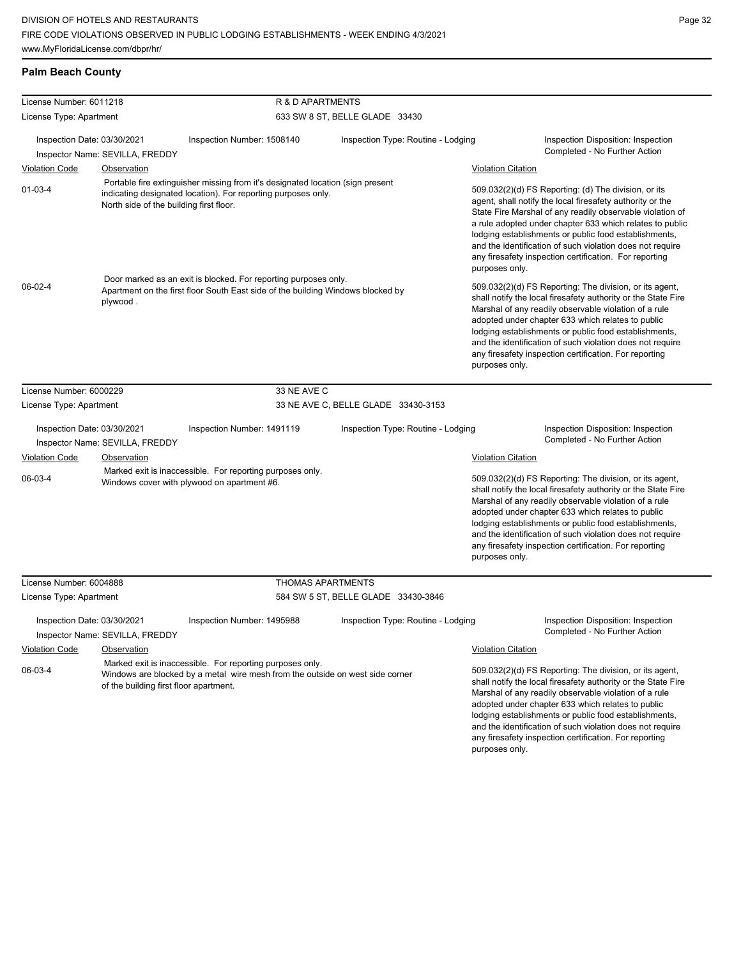| License Number: 6011218     |                                         | R & D APARTMENTS                                                                                                                                   |                                     |                                                                                                                                                                                                                                                                                                                                                                                                                                              |  |  |  |
|-----------------------------|-----------------------------------------|----------------------------------------------------------------------------------------------------------------------------------------------------|-------------------------------------|----------------------------------------------------------------------------------------------------------------------------------------------------------------------------------------------------------------------------------------------------------------------------------------------------------------------------------------------------------------------------------------------------------------------------------------------|--|--|--|
| License Type: Apartment     |                                         |                                                                                                                                                    | 633 SW 8 ST, BELLE GLADE 33430      |                                                                                                                                                                                                                                                                                                                                                                                                                                              |  |  |  |
| Inspection Date: 03/30/2021 | Inspector Name: SEVILLA, FREDDY         | Inspection Number: 1508140                                                                                                                         | Inspection Type: Routine - Lodging  | Inspection Disposition: Inspection<br>Completed - No Further Action                                                                                                                                                                                                                                                                                                                                                                          |  |  |  |
| <b>Violation Code</b>       | Observation                             |                                                                                                                                                    |                                     | <b>Violation Citation</b>                                                                                                                                                                                                                                                                                                                                                                                                                    |  |  |  |
| $01 - 03 - 4$               | North side of the building first floor. | Portable fire extinguisher missing from it's designated location (sign present<br>indicating designated location). For reporting purposes only.    |                                     | 509.032(2)(d) FS Reporting: (d) The division, or its<br>agent, shall notify the local firesafety authority or the<br>State Fire Marshal of any readily observable violation of<br>a rule adopted under chapter 633 which relates to public<br>lodging establishments or public food establishments,<br>and the identification of such violation does not require<br>any firesafety inspection certification. For reporting<br>purposes only. |  |  |  |
| 06-02-4                     | plywood.                                | Door marked as an exit is blocked. For reporting purposes only.<br>Apartment on the first floor South East side of the building Windows blocked by |                                     | 509.032(2)(d) FS Reporting: The division, or its agent,<br>shall notify the local firesafety authority or the State Fire<br>Marshal of any readily observable violation of a rule<br>adopted under chapter 633 which relates to public<br>lodging establishments or public food establishments,<br>and the identification of such violation does not require<br>any firesafety inspection certification. For reporting<br>purposes only.     |  |  |  |
| License Number: 6000229     |                                         | 33 NE AVE C                                                                                                                                        |                                     |                                                                                                                                                                                                                                                                                                                                                                                                                                              |  |  |  |
| License Type: Apartment     |                                         |                                                                                                                                                    | 33 NE AVE C, BELLE GLADE 33430-3153 |                                                                                                                                                                                                                                                                                                                                                                                                                                              |  |  |  |
| Inspection Date: 03/30/2021 | Inspector Name: SEVILLA, FREDDY         | Inspection Number: 1491119                                                                                                                         | Inspection Type: Routine - Lodging  | Inspection Disposition: Inspection<br>Completed - No Further Action                                                                                                                                                                                                                                                                                                                                                                          |  |  |  |
| <b>Violation Code</b>       | Observation                             |                                                                                                                                                    |                                     | <b>Violation Citation</b>                                                                                                                                                                                                                                                                                                                                                                                                                    |  |  |  |
| 06-03-4                     |                                         | Marked exit is inaccessible. For reporting purposes only.<br>Windows cover with plywood on apartment #6.                                           |                                     | 509.032(2)(d) FS Reporting: The division, or its agent,<br>shall notify the local firesafety authority or the State Fire<br>Marshal of any readily observable violation of a rule<br>adopted under chapter 633 which relates to public<br>lodging establishments or public food establishments,<br>and the identification of such violation does not require<br>any firesafety inspection certification. For reporting<br>purposes only.     |  |  |  |
| License Number: 6004888     |                                         | <b>THOMAS APARTMENTS</b>                                                                                                                           |                                     |                                                                                                                                                                                                                                                                                                                                                                                                                                              |  |  |  |
| License Type: Apartment     |                                         |                                                                                                                                                    | 584 SW 5 ST, BELLE GLADE 33430-3846 |                                                                                                                                                                                                                                                                                                                                                                                                                                              |  |  |  |
| Inspection Date: 03/30/2021 | Inspector Name: SEVILLA, FREDDY         | Inspection Number: 1495988                                                                                                                         | Inspection Type: Routine - Lodging  | Inspection Disposition: Inspection<br>Completed - No Further Action                                                                                                                                                                                                                                                                                                                                                                          |  |  |  |
| <b>Violation Code</b>       | <b>Observation</b>                      |                                                                                                                                                    |                                     | <b>Violation Citation</b>                                                                                                                                                                                                                                                                                                                                                                                                                    |  |  |  |
| 06-03-4                     | of the building first floor apartment.  | Marked exit is inaccessible. For reporting purposes only.<br>Windows are blocked by a metal wire mesh from the outside on west side corner         |                                     | 509.032(2)(d) FS Reporting: The division, or its agent,<br>shall notify the local firesafety authority or the State Fire<br>Marshal of any readily observable violation of a rule<br>adopted under chapter 633 which relates to public<br>lodging establishments or public food establishments,<br>and the identification of such violation does not require<br>any firesafety inspection certification. For reporting                       |  |  |  |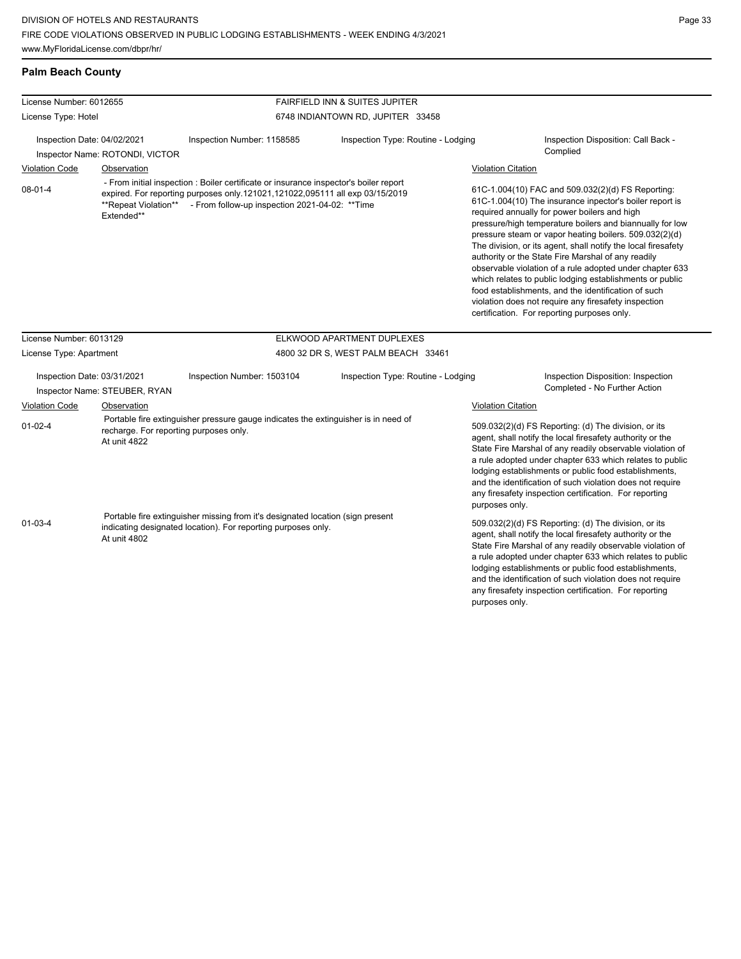## **Palm Beach County**

| License Number: 6012655     |                                                        |                                                                                                                                                                                                                                              | <b>FAIRFIELD INN &amp; SUITES JUPITER</b> |                           |                                                                                                                                                                                                                                                                                                                                                                                                                                                                                                                                                                                                                                                                                                 |
|-----------------------------|--------------------------------------------------------|----------------------------------------------------------------------------------------------------------------------------------------------------------------------------------------------------------------------------------------------|-------------------------------------------|---------------------------|-------------------------------------------------------------------------------------------------------------------------------------------------------------------------------------------------------------------------------------------------------------------------------------------------------------------------------------------------------------------------------------------------------------------------------------------------------------------------------------------------------------------------------------------------------------------------------------------------------------------------------------------------------------------------------------------------|
| License Type: Hotel         |                                                        |                                                                                                                                                                                                                                              | 6748 INDIANTOWN RD, JUPITER 33458         |                           |                                                                                                                                                                                                                                                                                                                                                                                                                                                                                                                                                                                                                                                                                                 |
| Inspection Date: 04/02/2021 | Inspector Name: ROTONDI, VICTOR                        | Inspection Number: 1158585                                                                                                                                                                                                                   | Inspection Type: Routine - Lodging        |                           | Inspection Disposition: Call Back -<br>Complied                                                                                                                                                                                                                                                                                                                                                                                                                                                                                                                                                                                                                                                 |
| <b>Violation Code</b>       | Observation                                            |                                                                                                                                                                                                                                              |                                           | <b>Violation Citation</b> |                                                                                                                                                                                                                                                                                                                                                                                                                                                                                                                                                                                                                                                                                                 |
| $08-01-4$                   | Extended**                                             | - From initial inspection : Boiler certificate or insurance inspector's boiler report<br>expired. For reporting purposes only.121021,121022,095111 all exp 03/15/2019<br>**Repeat Violation** - From follow-up inspection 2021-04-02: **Time |                                           |                           | 61C-1.004(10) FAC and 509.032(2)(d) FS Reporting:<br>61C-1.004(10) The insurance inpector's boiler report is<br>required annually for power boilers and high<br>pressure/high temperature boilers and biannually for low<br>pressure steam or vapor heating boilers. 509.032(2)(d)<br>The division, or its agent, shall notify the local firesafety<br>authority or the State Fire Marshal of any readily<br>observable violation of a rule adopted under chapter 633<br>which relates to public lodging establishments or public<br>food establishments, and the identification of such<br>violation does not require any firesafety inspection<br>certification. For reporting purposes only. |
| License Number: 6013129     |                                                        |                                                                                                                                                                                                                                              | ELKWOOD APARTMENT DUPLEXES                |                           |                                                                                                                                                                                                                                                                                                                                                                                                                                                                                                                                                                                                                                                                                                 |
| License Type: Apartment     |                                                        |                                                                                                                                                                                                                                              | 4800 32 DR S, WEST PALM BEACH 33461       |                           |                                                                                                                                                                                                                                                                                                                                                                                                                                                                                                                                                                                                                                                                                                 |
| Inspection Date: 03/31/2021 | Inspector Name: STEUBER, RYAN                          | Inspection Number: 1503104                                                                                                                                                                                                                   | Inspection Type: Routine - Lodging        |                           | Inspection Disposition: Inspection<br>Completed - No Further Action                                                                                                                                                                                                                                                                                                                                                                                                                                                                                                                                                                                                                             |
| <b>Violation Code</b>       | Observation                                            |                                                                                                                                                                                                                                              |                                           | <b>Violation Citation</b> |                                                                                                                                                                                                                                                                                                                                                                                                                                                                                                                                                                                                                                                                                                 |
| $01 - 02 - 4$               | recharge. For reporting purposes only.<br>At unit 4822 | Portable fire extinguisher pressure gauge indicates the extinguisher is in need of                                                                                                                                                           |                                           | purposes only.            | 509.032(2)(d) FS Reporting: (d) The division, or its<br>agent, shall notify the local firesafety authority or the<br>State Fire Marshal of any readily observable violation of<br>a rule adopted under chapter 633 which relates to public<br>lodging establishments or public food establishments,<br>and the identification of such violation does not require<br>any firesafety inspection certification. For reporting                                                                                                                                                                                                                                                                      |
| $01 - 03 - 4$               | At unit 4802                                           | Portable fire extinguisher missing from it's designated location (sign present<br>indicating designated location). For reporting purposes only.                                                                                              |                                           |                           | 509.032(2)(d) FS Reporting: (d) The division, or its<br>agent, shall notify the local firesafety authority or the<br>State Fire Marshal of any readily observable violation of<br>a rule adopted under chapter 633 which relates to public<br>lodging establishments or public food establishments,<br>and the identification of such violation does not require<br>any firesafety inspection certification. For reporting                                                                                                                                                                                                                                                                      |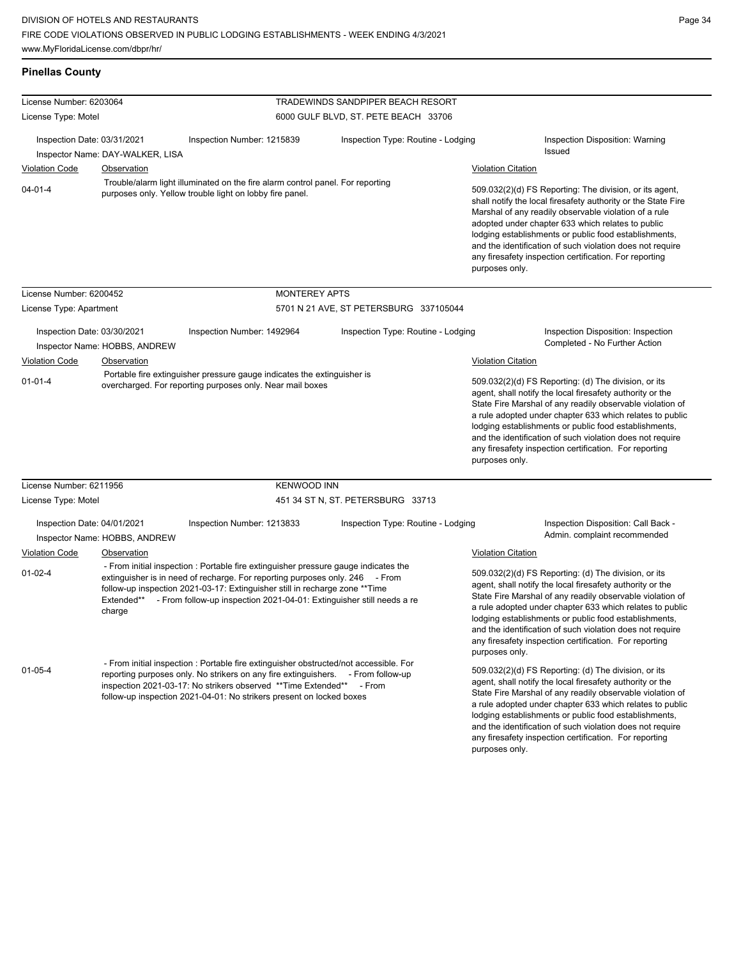| <b>Pinellas County</b>      |                                  |                                                                                                                                                                                                                                                                                                                              |                                          |                           |                                                                                                                                                                                                                                                                                                                                                                                                                            |
|-----------------------------|----------------------------------|------------------------------------------------------------------------------------------------------------------------------------------------------------------------------------------------------------------------------------------------------------------------------------------------------------------------------|------------------------------------------|---------------------------|----------------------------------------------------------------------------------------------------------------------------------------------------------------------------------------------------------------------------------------------------------------------------------------------------------------------------------------------------------------------------------------------------------------------------|
| License Number: 6203064     |                                  |                                                                                                                                                                                                                                                                                                                              | <b>TRADEWINDS SANDPIPER BEACH RESORT</b> |                           |                                                                                                                                                                                                                                                                                                                                                                                                                            |
| License Type: Motel         |                                  |                                                                                                                                                                                                                                                                                                                              | 6000 GULF BLVD, ST. PETE BEACH 33706     |                           |                                                                                                                                                                                                                                                                                                                                                                                                                            |
| Inspection Date: 03/31/2021 | Inspector Name: DAY-WALKER, LISA | Inspection Number: 1215839                                                                                                                                                                                                                                                                                                   | Inspection Type: Routine - Lodging       |                           | Inspection Disposition: Warning<br>Issued                                                                                                                                                                                                                                                                                                                                                                                  |
| <b>Violation Code</b>       | Observation                      |                                                                                                                                                                                                                                                                                                                              |                                          | <b>Violation Citation</b> |                                                                                                                                                                                                                                                                                                                                                                                                                            |
| $04 - 01 - 4$               |                                  | Trouble/alarm light illuminated on the fire alarm control panel. For reporting<br>purposes only. Yellow trouble light on lobby fire panel.                                                                                                                                                                                   |                                          | purposes only.            | 509.032(2)(d) FS Reporting: The division, or its agent,<br>shall notify the local firesafety authority or the State Fire<br>Marshal of any readily observable violation of a rule<br>adopted under chapter 633 which relates to public<br>lodging establishments or public food establishments,<br>and the identification of such violation does not require<br>any firesafety inspection certification. For reporting     |
| License Number: 6200452     |                                  | <b>MONTEREY APTS</b>                                                                                                                                                                                                                                                                                                         |                                          |                           |                                                                                                                                                                                                                                                                                                                                                                                                                            |
| License Type: Apartment     |                                  |                                                                                                                                                                                                                                                                                                                              | 5701 N 21 AVE, ST PETERSBURG 337105044   |                           |                                                                                                                                                                                                                                                                                                                                                                                                                            |
| Inspection Date: 03/30/2021 | Inspector Name: HOBBS, ANDREW    | Inspection Number: 1492964                                                                                                                                                                                                                                                                                                   | Inspection Type: Routine - Lodging       |                           | Inspection Disposition: Inspection<br>Completed - No Further Action                                                                                                                                                                                                                                                                                                                                                        |
| <b>Violation Code</b>       | Observation                      |                                                                                                                                                                                                                                                                                                                              |                                          | <b>Violation Citation</b> |                                                                                                                                                                                                                                                                                                                                                                                                                            |
| $01 - 01 - 4$               |                                  | Portable fire extinguisher pressure gauge indicates the extinguisher is<br>overcharged. For reporting purposes only. Near mail boxes                                                                                                                                                                                         |                                          | purposes only.            | 509.032(2)(d) FS Reporting: (d) The division, or its<br>agent, shall notify the local firesafety authority or the<br>State Fire Marshal of any readily observable violation of<br>a rule adopted under chapter 633 which relates to public<br>lodging establishments or public food establishments,<br>and the identification of such violation does not require<br>any firesafety inspection certification. For reporting |
| License Number: 6211956     |                                  | <b>KENWOOD INN</b>                                                                                                                                                                                                                                                                                                           |                                          |                           |                                                                                                                                                                                                                                                                                                                                                                                                                            |
| License Type: Motel         |                                  |                                                                                                                                                                                                                                                                                                                              | 451 34 ST N, ST. PETERSBURG 33713        |                           |                                                                                                                                                                                                                                                                                                                                                                                                                            |
| Inspection Date: 04/01/2021 | Inspector Name: HOBBS, ANDREW    | Inspection Number: 1213833                                                                                                                                                                                                                                                                                                   | Inspection Type: Routine - Lodging       |                           | Inspection Disposition: Call Back -<br>Admin. complaint recommended                                                                                                                                                                                                                                                                                                                                                        |
| <b>Violation Code</b>       | Observation                      |                                                                                                                                                                                                                                                                                                                              |                                          | <b>Violation Citation</b> |                                                                                                                                                                                                                                                                                                                                                                                                                            |
| $01 - 02 - 4$               | Extended**<br>charge             | - From initial inspection : Portable fire extinguisher pressure gauge indicates the<br>extinguisher is in need of recharge. For reporting purposes only. 246 - From<br>follow-up inspection 2021-03-17: Extinguisher still in recharge zone ** Time<br>- From follow-up inspection 2021-04-01: Extinguisher still needs a re |                                          | purposes only.            | 509.032(2)(d) FS Reporting: (d) The division, or its<br>agent, shall notify the local firesafety authority or the<br>State Fire Marshal of any readily observable violation of<br>a rule adopted under chapter 633 which relates to public<br>lodging establishments or public food establishments,<br>and the identification of such violation does not require<br>any firesafety inspection certification. For reporting |
| $01 - 05 - 4$               |                                  | - From initial inspection : Portable fire extinguisher obstructed/not accessible. For<br>reporting purposes only. No strikers on any fire extinguishers. - From follow-up<br>inspection 2021-03-17: No strikers observed **Time Extended** - From<br>follow-up inspection 2021-04-01: No strikers present on locked boxes    |                                          | purposes only.            | 509.032(2)(d) FS Reporting: (d) The division, or its<br>agent, shall notify the local firesafety authority or the<br>State Fire Marshal of any readily observable violation of<br>a rule adopted under chapter 633 which relates to public<br>lodging establishments or public food establishments,<br>and the identification of such violation does not require<br>any firesafety inspection certification. For reporting |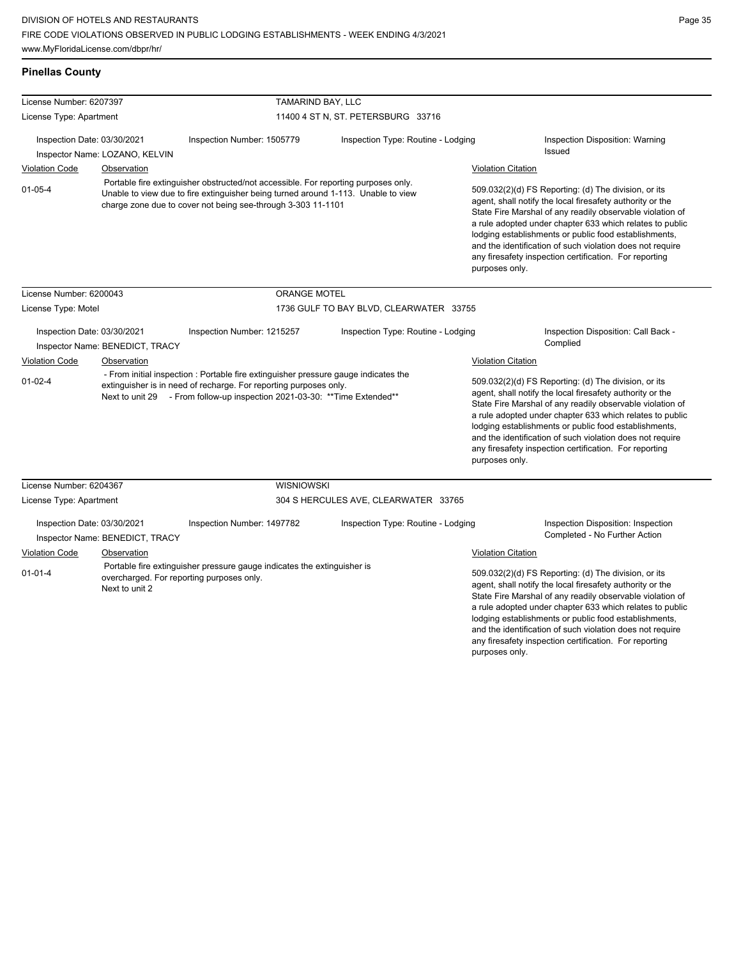**Pinellas County**

| License Number: 6207397                                       |                                                                                                                                                                                                                                         | TAMARIND BAY, LLC                                                                                                    |                                         |                                                                                                                                                                                                                                                                                                                                                                                                                                              |                                                                                                                                                                                                                                                                                                                                                                                                                            |
|---------------------------------------------------------------|-----------------------------------------------------------------------------------------------------------------------------------------------------------------------------------------------------------------------------------------|----------------------------------------------------------------------------------------------------------------------|-----------------------------------------|----------------------------------------------------------------------------------------------------------------------------------------------------------------------------------------------------------------------------------------------------------------------------------------------------------------------------------------------------------------------------------------------------------------------------------------------|----------------------------------------------------------------------------------------------------------------------------------------------------------------------------------------------------------------------------------------------------------------------------------------------------------------------------------------------------------------------------------------------------------------------------|
| License Type: Apartment                                       |                                                                                                                                                                                                                                         |                                                                                                                      | 11400 4 ST N, ST. PETERSBURG 33716      |                                                                                                                                                                                                                                                                                                                                                                                                                                              |                                                                                                                                                                                                                                                                                                                                                                                                                            |
| Inspection Date: 03/30/2021<br>Inspector Name: LOZANO, KELVIN |                                                                                                                                                                                                                                         | Inspection Number: 1505779                                                                                           | Inspection Type: Routine - Lodging      |                                                                                                                                                                                                                                                                                                                                                                                                                                              | Inspection Disposition: Warning<br><b>Issued</b>                                                                                                                                                                                                                                                                                                                                                                           |
| <b>Violation Code</b>                                         | Observation                                                                                                                                                                                                                             |                                                                                                                      |                                         | <b>Violation Citation</b>                                                                                                                                                                                                                                                                                                                                                                                                                    |                                                                                                                                                                                                                                                                                                                                                                                                                            |
| $01 - 05 - 4$                                                 | Portable fire extinguisher obstructed/not accessible. For reporting purposes only.<br>Unable to view due to fire extinguisher being turned around 1-113. Unable to view<br>charge zone due to cover not being see-through 3-303 11-1101 |                                                                                                                      |                                         | 509.032(2)(d) FS Reporting: (d) The division, or its<br>agent, shall notify the local firesafety authority or the<br>State Fire Marshal of any readily observable violation of<br>a rule adopted under chapter 633 which relates to public<br>lodging establishments or public food establishments,<br>and the identification of such violation does not require<br>any firesafety inspection certification. For reporting<br>purposes only. |                                                                                                                                                                                                                                                                                                                                                                                                                            |
| License Number: 6200043                                       |                                                                                                                                                                                                                                         | <b>ORANGE MOTEL</b>                                                                                                  |                                         |                                                                                                                                                                                                                                                                                                                                                                                                                                              |                                                                                                                                                                                                                                                                                                                                                                                                                            |
| License Type: Motel                                           |                                                                                                                                                                                                                                         |                                                                                                                      | 1736 GULF TO BAY BLVD, CLEARWATER 33755 |                                                                                                                                                                                                                                                                                                                                                                                                                                              |                                                                                                                                                                                                                                                                                                                                                                                                                            |
| Inspection Date: 03/30/2021                                   | Inspector Name: BENEDICT, TRACY                                                                                                                                                                                                         | Inspection Number: 1215257                                                                                           | Inspection Type: Routine - Lodging      |                                                                                                                                                                                                                                                                                                                                                                                                                                              | Inspection Disposition: Call Back -<br>Complied                                                                                                                                                                                                                                                                                                                                                                            |
| <b>Violation Code</b>                                         | Observation                                                                                                                                                                                                                             |                                                                                                                      |                                         | <b>Violation Citation</b>                                                                                                                                                                                                                                                                                                                                                                                                                    |                                                                                                                                                                                                                                                                                                                                                                                                                            |
| $01 - 02 - 4$                                                 | - From initial inspection : Portable fire extinguisher pressure gauge indicates the<br>extinguisher is in need of recharge. For reporting purposes only.<br>Next to unit 29 - From follow-up inspection 2021-03-30: **Time Extended**   |                                                                                                                      |                                         | purposes only.                                                                                                                                                                                                                                                                                                                                                                                                                               | 509.032(2)(d) FS Reporting: (d) The division, or its<br>agent, shall notify the local firesafety authority or the<br>State Fire Marshal of any readily observable violation of<br>a rule adopted under chapter 633 which relates to public<br>lodging establishments or public food establishments,<br>and the identification of such violation does not require<br>any firesafety inspection certification. For reporting |
| License Number: 6204367                                       |                                                                                                                                                                                                                                         | <b>WISNIOWSKI</b>                                                                                                    |                                         |                                                                                                                                                                                                                                                                                                                                                                                                                                              |                                                                                                                                                                                                                                                                                                                                                                                                                            |
| License Type: Apartment                                       |                                                                                                                                                                                                                                         |                                                                                                                      | 304 S HERCULES AVE, CLEARWATER 33765    |                                                                                                                                                                                                                                                                                                                                                                                                                                              |                                                                                                                                                                                                                                                                                                                                                                                                                            |
| Inspection Date: 03/30/2021                                   | Inspector Name: BENEDICT, TRACY                                                                                                                                                                                                         | Inspection Number: 1497782                                                                                           | Inspection Type: Routine - Lodging      |                                                                                                                                                                                                                                                                                                                                                                                                                                              | Inspection Disposition: Inspection<br>Completed - No Further Action                                                                                                                                                                                                                                                                                                                                                        |
| <b>Violation Code</b>                                         | Observation                                                                                                                                                                                                                             |                                                                                                                      |                                         | <b>Violation Citation</b>                                                                                                                                                                                                                                                                                                                                                                                                                    |                                                                                                                                                                                                                                                                                                                                                                                                                            |
| $01 - 01 - 4$                                                 | Next to unit 2                                                                                                                                                                                                                          | Portable fire extinguisher pressure gauge indicates the extinguisher is<br>overcharged. For reporting purposes only. |                                         | purposes only.                                                                                                                                                                                                                                                                                                                                                                                                                               | 509.032(2)(d) FS Reporting: (d) The division, or its<br>agent, shall notify the local firesafety authority or the<br>State Fire Marshal of any readily observable violation of<br>a rule adopted under chapter 633 which relates to public<br>lodging establishments or public food establishments,<br>and the identification of such violation does not require<br>any firesafety inspection certification. For reporting |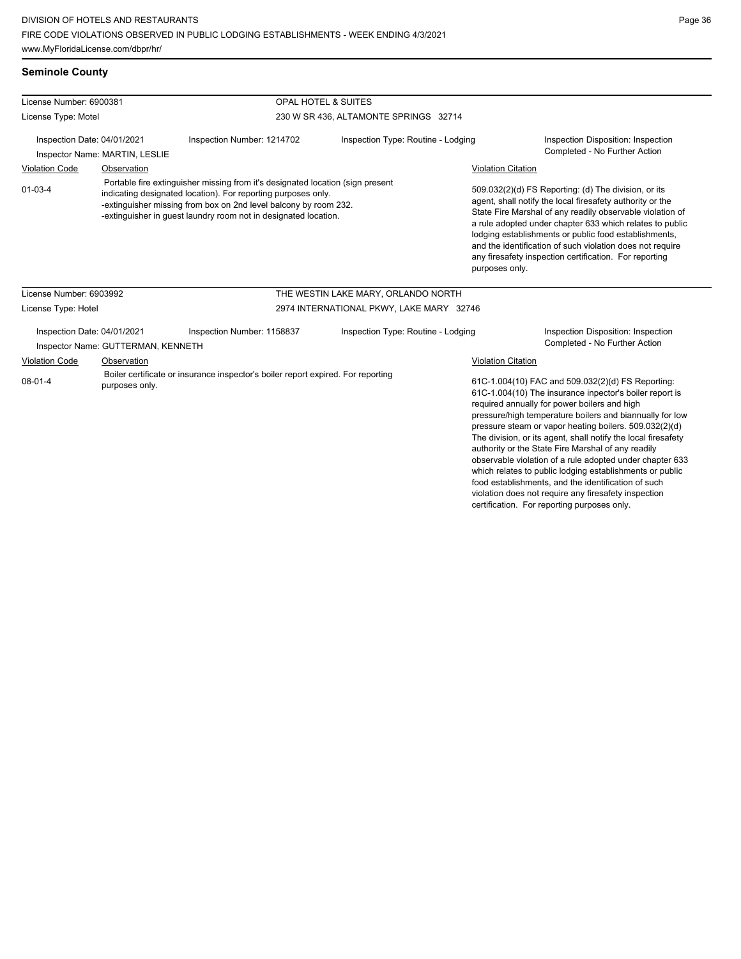### **Seminole County**

| License Number: 6900381<br>License Type: Motel                                                                      |                                                                                                                                                                                                                                                                                        |                            | <b>OPAL HOTEL &amp; SUITES</b>           |                                                                                                                                                                                                                                                                                                                                                                                                                                              |                                                                     |  |
|---------------------------------------------------------------------------------------------------------------------|----------------------------------------------------------------------------------------------------------------------------------------------------------------------------------------------------------------------------------------------------------------------------------------|----------------------------|------------------------------------------|----------------------------------------------------------------------------------------------------------------------------------------------------------------------------------------------------------------------------------------------------------------------------------------------------------------------------------------------------------------------------------------------------------------------------------------------|---------------------------------------------------------------------|--|
|                                                                                                                     |                                                                                                                                                                                                                                                                                        |                            |                                          | 230 W SR 436, ALTAMONTE SPRINGS 32714                                                                                                                                                                                                                                                                                                                                                                                                        |                                                                     |  |
| Inspection Date: 04/01/2021<br>Inspector Name: MARTIN, LESLIE                                                       |                                                                                                                                                                                                                                                                                        | Inspection Number: 1214702 | Inspection Type: Routine - Lodging       |                                                                                                                                                                                                                                                                                                                                                                                                                                              | Inspection Disposition: Inspection<br>Completed - No Further Action |  |
| <b>Violation Code</b><br>Observation                                                                                |                                                                                                                                                                                                                                                                                        |                            |                                          | <b>Violation Citation</b>                                                                                                                                                                                                                                                                                                                                                                                                                    |                                                                     |  |
| $01 - 03 - 4$                                                                                                       | Portable fire extinguisher missing from it's designated location (sign present<br>indicating designated location). For reporting purposes only.<br>-extinguisher missing from box on 2nd level balcony by room 232.<br>-extinguisher in guest laundry room not in designated location. |                            |                                          | 509.032(2)(d) FS Reporting: (d) The division, or its<br>agent, shall notify the local firesafety authority or the<br>State Fire Marshal of any readily observable violation of<br>a rule adopted under chapter 633 which relates to public<br>lodging establishments or public food establishments,<br>and the identification of such violation does not require<br>any firesafety inspection certification. For reporting<br>purposes only. |                                                                     |  |
| License Number: 6903992                                                                                             |                                                                                                                                                                                                                                                                                        |                            | THE WESTIN LAKE MARY, ORLANDO NORTH      |                                                                                                                                                                                                                                                                                                                                                                                                                                              |                                                                     |  |
| License Type: Hotel                                                                                                 |                                                                                                                                                                                                                                                                                        |                            | 2974 INTERNATIONAL PKWY, LAKE MARY 32746 |                                                                                                                                                                                                                                                                                                                                                                                                                                              |                                                                     |  |
| Inspection Date: 04/01/2021                                                                                         | Inspector Name: GUTTERMAN, KENNETH                                                                                                                                                                                                                                                     | Inspection Number: 1158837 | Inspection Type: Routine - Lodging       |                                                                                                                                                                                                                                                                                                                                                                                                                                              | Inspection Disposition: Inspection<br>Completed - No Further Action |  |
| Violation Code                                                                                                      | Observation                                                                                                                                                                                                                                                                            |                            |                                          | Violation Citation                                                                                                                                                                                                                                                                                                                                                                                                                           |                                                                     |  |
| Boiler certificate or insurance inspector's boiler report expired. For reporting<br>$08 - 01 - 4$<br>purposes only. |                                                                                                                                                                                                                                                                                        |                            |                                          | 61C-1.004(10) FAC and 509.032(2)(d) FS Reporting:<br>61C-1.004(10) The insurance inpector's boiler report is<br>required annually for power boilers and high<br>pressure/high temperature boilers and biannually for low<br>pressure steam or vapor heating boilers. 509.032(2)(d)<br>The division, or its agent, shall notify the local firesafety<br>outhority on the Ctate Fire Marabal of any roadily                                    |                                                                     |  |

authority or the State Fire Marshal of any readily observable violation of a rule adopted under chapter 633 which relates to public lodging establishments or public food establishments, and the identification of such violation does not require any firesafety inspection certification. For reporting purposes only.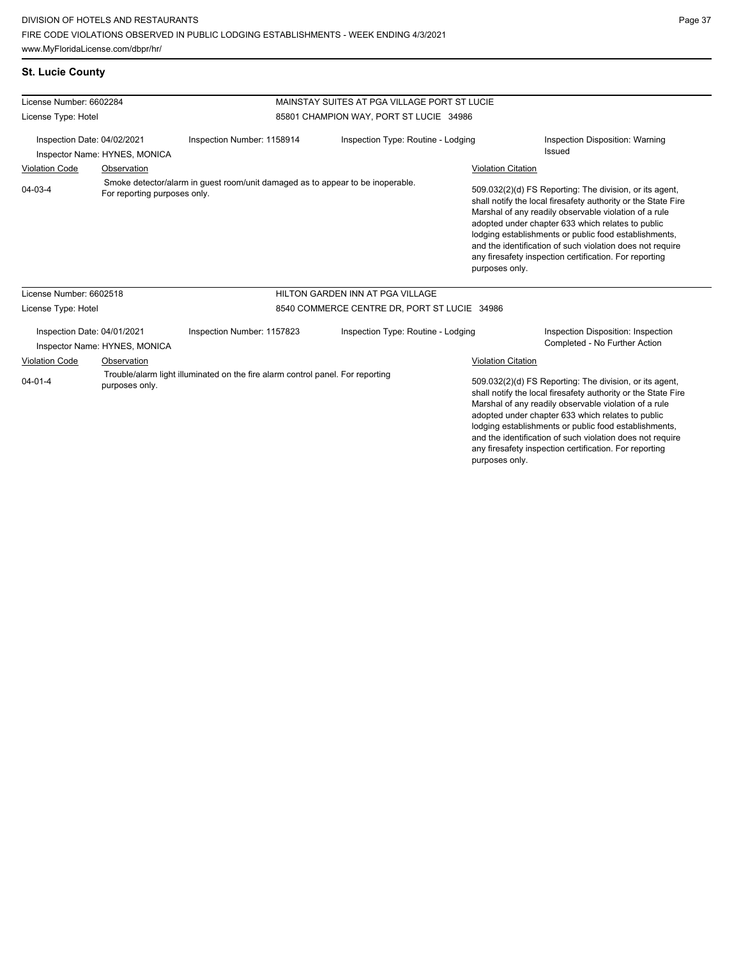|  | St. Lucie County |
|--|------------------|
|  |                  |

| License Number: 6602284                                                                                                                                   |                                                              |                                                                                | MAINSTAY SUITES AT PGA VILLAGE PORT ST LUCIE |                                                                                                                                                                                                                                                                                                                                                                                                                        |                                                                                                                                                                                                                                                                                                                                                                                                                        |  |  |
|-----------------------------------------------------------------------------------------------------------------------------------------------------------|--------------------------------------------------------------|--------------------------------------------------------------------------------|----------------------------------------------|------------------------------------------------------------------------------------------------------------------------------------------------------------------------------------------------------------------------------------------------------------------------------------------------------------------------------------------------------------------------------------------------------------------------|------------------------------------------------------------------------------------------------------------------------------------------------------------------------------------------------------------------------------------------------------------------------------------------------------------------------------------------------------------------------------------------------------------------------|--|--|
| License Type: Hotel                                                                                                                                       |                                                              |                                                                                |                                              | 85801 CHAMPION WAY, PORT ST LUCIE 34986                                                                                                                                                                                                                                                                                                                                                                                |                                                                                                                                                                                                                                                                                                                                                                                                                        |  |  |
| Inspection Date: 04/02/2021<br>Inspector Name: HYNES, MONICA                                                                                              |                                                              | Inspection Number: 1158914                                                     | Inspection Type: Routine - Lodging           |                                                                                                                                                                                                                                                                                                                                                                                                                        | Inspection Disposition: Warning<br><b>Issued</b>                                                                                                                                                                                                                                                                                                                                                                       |  |  |
| <b>Violation Code</b>                                                                                                                                     | Observation                                                  |                                                                                |                                              |                                                                                                                                                                                                                                                                                                                                                                                                                        | <b>Violation Citation</b>                                                                                                                                                                                                                                                                                                                                                                                              |  |  |
| 04-03-4                                                                                                                                                   | For reporting purposes only.                                 | Smoke detector/alarm in guest room/unit damaged as to appear to be inoperable. |                                              | purposes only.                                                                                                                                                                                                                                                                                                                                                                                                         | 509.032(2)(d) FS Reporting: The division, or its agent,<br>shall notify the local firesafety authority or the State Fire<br>Marshal of any readily observable violation of a rule<br>adopted under chapter 633 which relates to public<br>lodging establishments or public food establishments,<br>and the identification of such violation does not require<br>any firesafety inspection certification. For reporting |  |  |
| License Number: 6602518                                                                                                                                   |                                                              |                                                                                | HILTON GARDEN INN AT PGA VILLAGE             |                                                                                                                                                                                                                                                                                                                                                                                                                        |                                                                                                                                                                                                                                                                                                                                                                                                                        |  |  |
| License Type: Hotel                                                                                                                                       |                                                              |                                                                                | 8540 COMMERCE CENTRE DR, PORT ST LUCIE 34986 |                                                                                                                                                                                                                                                                                                                                                                                                                        |                                                                                                                                                                                                                                                                                                                                                                                                                        |  |  |
|                                                                                                                                                           | Inspection Date: 04/01/2021<br>Inspector Name: HYNES, MONICA | Inspection Number: 1157823                                                     | Inspection Type: Routine - Lodging           |                                                                                                                                                                                                                                                                                                                                                                                                                        | Inspection Disposition: Inspection<br>Completed - No Further Action                                                                                                                                                                                                                                                                                                                                                    |  |  |
| <b>Violation Code</b><br>Observation<br>Trouble/alarm light illuminated on the fire alarm control panel. For reporting<br>$04 - 01 - 4$<br>purposes only. |                                                              |                                                                                | <b>Violation Citation</b>                    |                                                                                                                                                                                                                                                                                                                                                                                                                        |                                                                                                                                                                                                                                                                                                                                                                                                                        |  |  |
|                                                                                                                                                           |                                                              |                                                                                |                                              | 509.032(2)(d) FS Reporting: The division, or its agent,<br>shall notify the local firesafety authority or the State Fire<br>Marshal of any readily observable violation of a rule<br>adopted under chapter 633 which relates to public<br>lodging establishments or public food establishments,<br>and the identification of such violation does not require<br>any firesafety inspection certification. For reporting |                                                                                                                                                                                                                                                                                                                                                                                                                        |  |  |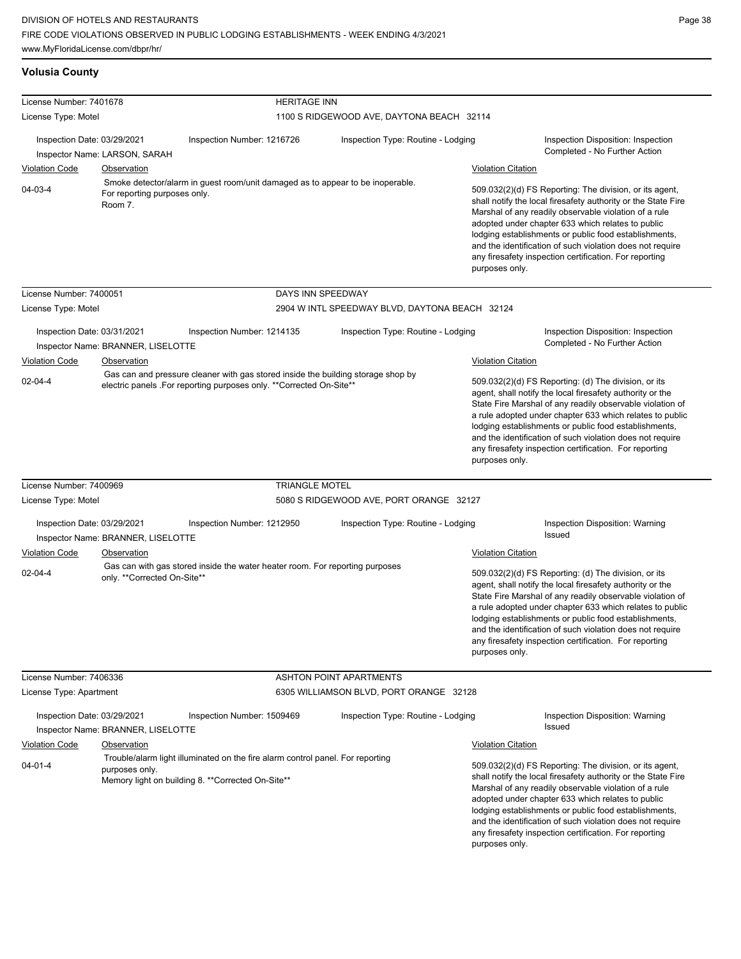|  | Volusia County |  |
|--|----------------|--|
|  |                |  |

| License Number: 7401678     |                                         | <b>HERITAGE INN</b>                                                                                                                                     |                                                |                           |                                                                                                                                                                                                                                                                                                                                                                                                                            |
|-----------------------------|-----------------------------------------|---------------------------------------------------------------------------------------------------------------------------------------------------------|------------------------------------------------|---------------------------|----------------------------------------------------------------------------------------------------------------------------------------------------------------------------------------------------------------------------------------------------------------------------------------------------------------------------------------------------------------------------------------------------------------------------|
| License Type: Motel         |                                         |                                                                                                                                                         | 1100 S RIDGEWOOD AVE, DAYTONA BEACH 32114      |                           |                                                                                                                                                                                                                                                                                                                                                                                                                            |
| Inspection Date: 03/29/2021 | Inspector Name: LARSON, SARAH           | Inspection Number: 1216726                                                                                                                              | Inspection Type: Routine - Lodging             |                           | Inspection Disposition: Inspection<br>Completed - No Further Action                                                                                                                                                                                                                                                                                                                                                        |
| <b>Violation Code</b>       | Observation                             |                                                                                                                                                         |                                                | <b>Violation Citation</b> |                                                                                                                                                                                                                                                                                                                                                                                                                            |
| 04-03-4                     | For reporting purposes only.<br>Room 7. | Smoke detector/alarm in guest room/unit damaged as to appear to be inoperable.                                                                          |                                                | purposes only.            | 509.032(2)(d) FS Reporting: The division, or its agent,<br>shall notify the local firesafety authority or the State Fire<br>Marshal of any readily observable violation of a rule<br>adopted under chapter 633 which relates to public<br>lodging establishments or public food establishments,<br>and the identification of such violation does not require<br>any firesafety inspection certification. For reporting     |
| License Number: 7400051     |                                         | DAYS INN SPEEDWAY                                                                                                                                       |                                                |                           |                                                                                                                                                                                                                                                                                                                                                                                                                            |
| License Type: Motel         |                                         |                                                                                                                                                         | 2904 W INTL SPEEDWAY BLVD, DAYTONA BEACH 32124 |                           |                                                                                                                                                                                                                                                                                                                                                                                                                            |
| Inspection Date: 03/31/2021 | Inspector Name: BRANNER, LISELOTTE      | Inspection Number: 1214135                                                                                                                              | Inspection Type: Routine - Lodging             |                           | Inspection Disposition: Inspection<br>Completed - No Further Action                                                                                                                                                                                                                                                                                                                                                        |
| <b>Violation Code</b>       | Observation                             |                                                                                                                                                         |                                                | <b>Violation Citation</b> |                                                                                                                                                                                                                                                                                                                                                                                                                            |
| $02 - 04 - 4$               |                                         | Gas can and pressure cleaner with gas stored inside the building storage shop by<br>electric panels .For reporting purposes only. **Corrected On-Site** |                                                | purposes only.            | 509.032(2)(d) FS Reporting: (d) The division, or its<br>agent, shall notify the local firesafety authority or the<br>State Fire Marshal of any readily observable violation of<br>a rule adopted under chapter 633 which relates to public<br>lodging establishments or public food establishments,<br>and the identification of such violation does not require<br>any firesafety inspection certification. For reporting |
| License Number: 7400969     |                                         | <b>TRIANGLE MOTEL</b>                                                                                                                                   |                                                |                           |                                                                                                                                                                                                                                                                                                                                                                                                                            |
| License Type: Motel         |                                         |                                                                                                                                                         | 5080 S RIDGEWOOD AVE, PORT ORANGE 32127        |                           |                                                                                                                                                                                                                                                                                                                                                                                                                            |
| Inspection Date: 03/29/2021 | Inspector Name: BRANNER, LISELOTTE      | Inspection Number: 1212950                                                                                                                              | Inspection Type: Routine - Lodging             |                           | Inspection Disposition: Warning<br>Issued                                                                                                                                                                                                                                                                                                                                                                                  |
| <b>Violation Code</b>       | Observation                             |                                                                                                                                                         |                                                | <b>Violation Citation</b> |                                                                                                                                                                                                                                                                                                                                                                                                                            |
| $02 - 04 - 4$               | only. **Corrected On-Site**             | Gas can with gas stored inside the water heater room. For reporting purposes                                                                            |                                                | purposes only.            | 509.032(2)(d) FS Reporting: (d) The division, or its<br>agent, shall notify the local firesafety authority or the<br>State Fire Marshal of any readily observable violation of<br>a rule adopted under chapter 633 which relates to public<br>lodging establishments or public food establishments,<br>and the identification of such violation does not require<br>any firesafety inspection certification. For reporting |
| License Number: 7406336     |                                         |                                                                                                                                                         | <b>ASHTON POINT APARTMENTS</b>                 |                           |                                                                                                                                                                                                                                                                                                                                                                                                                            |
| License Type: Apartment     |                                         |                                                                                                                                                         | 6305 WILLIAMSON BLVD, PORT ORANGE 32128        |                           |                                                                                                                                                                                                                                                                                                                                                                                                                            |
| Inspection Date: 03/29/2021 | Inspector Name: BRANNER, LISELOTTE      | Inspection Number: 1509469                                                                                                                              | Inspection Type: Routine - Lodging             |                           | <b>Inspection Disposition: Warning</b><br>Issued                                                                                                                                                                                                                                                                                                                                                                           |
| <b>Violation Code</b>       | Observation                             |                                                                                                                                                         |                                                | <b>Violation Citation</b> |                                                                                                                                                                                                                                                                                                                                                                                                                            |
| $04 - 01 - 4$               | purposes only.                          | Trouble/alarm light illuminated on the fire alarm control panel. For reporting<br>Memory light on building 8. ** Corrected On-Site**                    |                                                | purposes only.            | 509.032(2)(d) FS Reporting: The division, or its agent,<br>shall notify the local firesafety authority or the State Fire<br>Marshal of any readily observable violation of a rule<br>adopted under chapter 633 which relates to public<br>lodging establishments or public food establishments,<br>and the identification of such violation does not require<br>any firesafety inspection certification. For reporting     |